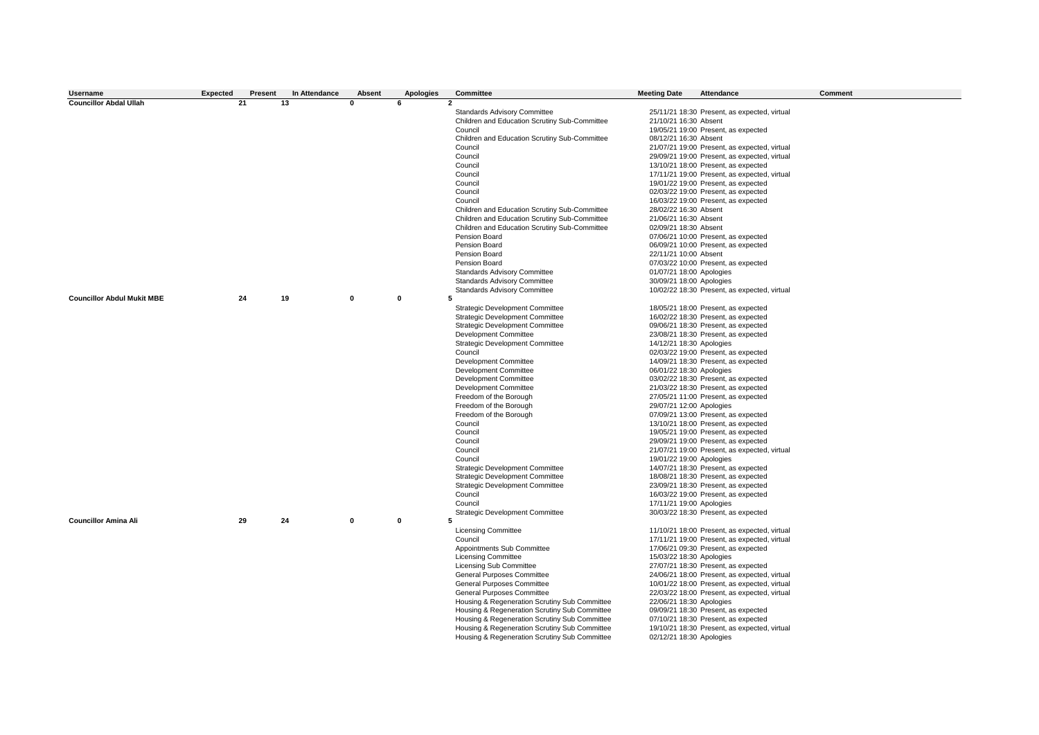| Username                          | <b>Expected</b> | Present | In Attendance | <b>Absent</b> | Apologies         | Committee                                     | <b>Meeting Date</b>      | Attendance                                   | Comment |
|-----------------------------------|-----------------|---------|---------------|---------------|-------------------|-----------------------------------------------|--------------------------|----------------------------------------------|---------|
| <b>Councillor Abdal Ullah</b>     | 21              |         | 13            | n             | 6<br>$\mathbf{2}$ |                                               |                          |                                              |         |
|                                   |                 |         |               |               |                   | <b>Standards Advisory Committee</b>           |                          | 25/11/21 18:30 Present, as expected, virtual |         |
|                                   |                 |         |               |               |                   | Children and Education Scrutiny Sub-Committee | 21/10/21 16:30 Absent    |                                              |         |
|                                   |                 |         |               |               |                   | Council                                       |                          | 19/05/21 19:00 Present, as expected          |         |
|                                   |                 |         |               |               |                   | Children and Education Scrutiny Sub-Committee | 08/12/21 16:30 Absent    |                                              |         |
|                                   |                 |         |               |               |                   | Council                                       |                          | 21/07/21 19:00 Present, as expected, virtual |         |
|                                   |                 |         |               |               |                   | Council                                       |                          | 29/09/21 19:00 Present, as expected, virtual |         |
|                                   |                 |         |               |               |                   | Council                                       |                          | 13/10/21 18:00 Present, as expected          |         |
|                                   |                 |         |               |               |                   |                                               |                          |                                              |         |
|                                   |                 |         |               |               |                   | Council                                       |                          | 17/11/21 19:00 Present, as expected, virtual |         |
|                                   |                 |         |               |               |                   | Council                                       |                          | 19/01/22 19:00 Present, as expected          |         |
|                                   |                 |         |               |               |                   | Council                                       |                          | 02/03/22 19:00 Present, as expected          |         |
|                                   |                 |         |               |               |                   | Council                                       |                          | 16/03/22 19:00 Present, as expected          |         |
|                                   |                 |         |               |               |                   | Children and Education Scrutiny Sub-Committee | 28/02/22 16:30 Absent    |                                              |         |
|                                   |                 |         |               |               |                   | Children and Education Scrutiny Sub-Committee | 21/06/21 16:30 Absent    |                                              |         |
|                                   |                 |         |               |               |                   | Children and Education Scrutiny Sub-Committee | 02/09/21 18:30 Absent    |                                              |         |
|                                   |                 |         |               |               |                   | Pension Board                                 |                          | 07/06/21 10:00 Present, as expected          |         |
|                                   |                 |         |               |               |                   | Pension Board                                 |                          | 06/09/21 10:00 Present, as expected          |         |
|                                   |                 |         |               |               |                   | Pension Board                                 | 22/11/21 10:00 Absent    |                                              |         |
|                                   |                 |         |               |               |                   | Pension Board                                 |                          | 07/03/22 10:00 Present, as expected          |         |
|                                   |                 |         |               |               |                   | Standards Advisory Committee                  | 01/07/21 18:00 Apologies |                                              |         |
|                                   |                 |         |               |               |                   | Standards Advisory Committee                  | 30/09/21 18:00 Apologies |                                              |         |
|                                   |                 |         |               |               |                   | <b>Standards Advisory Committee</b>           |                          | 10/02/22 18:30 Present, as expected, virtual |         |
| <b>Councillor Abdul Mukit MBE</b> | 24              |         | 19            | $\Omega$      | $\mathbf{0}$<br>5 |                                               |                          |                                              |         |
|                                   |                 |         |               |               |                   | <b>Strategic Development Committee</b>        |                          | 18/05/21 18:00 Present, as expected          |         |
|                                   |                 |         |               |               |                   | <b>Strategic Development Committee</b>        |                          | 16/02/22 18:30 Present, as expected          |         |
|                                   |                 |         |               |               |                   | <b>Strategic Development Committee</b>        |                          | 09/06/21 18:30 Present, as expected          |         |
|                                   |                 |         |               |               |                   | Development Committee                         |                          | 23/08/21 18:30 Present, as expected          |         |
|                                   |                 |         |               |               |                   | <b>Strategic Development Committee</b>        | 14/12/21 18:30 Apologies |                                              |         |
|                                   |                 |         |               |               |                   | Council                                       |                          | 02/03/22 19:00 Present, as expected          |         |
|                                   |                 |         |               |               |                   | <b>Development Committee</b>                  |                          | 14/09/21 18:30 Present, as expected          |         |
|                                   |                 |         |               |               |                   | Development Committee                         | 06/01/22 18:30 Apologies |                                              |         |
|                                   |                 |         |               |               |                   | Development Committee                         |                          | 03/02/22 18:30 Present, as expected          |         |
|                                   |                 |         |               |               |                   | Development Committee                         |                          | 21/03/22 18:30 Present, as expected          |         |
|                                   |                 |         |               |               |                   | Freedom of the Borough                        |                          | 27/05/21 11:00 Present, as expected          |         |
|                                   |                 |         |               |               |                   | Freedom of the Borough                        | 29/07/21 12:00 Apologies |                                              |         |
|                                   |                 |         |               |               |                   | Freedom of the Borough                        |                          | 07/09/21 13:00 Present, as expected          |         |
|                                   |                 |         |               |               |                   | Council                                       |                          | 13/10/21 18:00 Present, as expected          |         |
|                                   |                 |         |               |               |                   | Council                                       |                          | 19/05/21 19:00 Present, as expected          |         |
|                                   |                 |         |               |               |                   | Council                                       |                          | 29/09/21 19:00 Present, as expected          |         |
|                                   |                 |         |               |               |                   | Council                                       |                          | 21/07/21 19:00 Present, as expected, virtual |         |
|                                   |                 |         |               |               |                   | Council                                       | 19/01/22 19:00 Apologies |                                              |         |
|                                   |                 |         |               |               |                   | <b>Strategic Development Committee</b>        |                          | 14/07/21 18:30 Present, as expected          |         |
|                                   |                 |         |               |               |                   | <b>Strategic Development Committee</b>        |                          | 18/08/21 18:30 Present, as expected          |         |
|                                   |                 |         |               |               |                   | <b>Strategic Development Committee</b>        |                          | 23/09/21 18:30 Present, as expected          |         |
|                                   |                 |         |               |               |                   | Council                                       |                          | 16/03/22 19:00 Present, as expected          |         |
|                                   |                 |         |               |               |                   | Council                                       | 17/11/21 19:00 Apologies |                                              |         |
|                                   |                 |         |               |               |                   | <b>Strategic Development Committee</b>        |                          | 30/03/22 18:30 Present, as expected          |         |
| <b>Councillor Amina Ali</b>       | 29              |         | 24            | $\mathbf{0}$  | $\mathbf{0}$<br>5 |                                               |                          |                                              |         |
|                                   |                 |         |               |               |                   | <b>Licensing Committee</b>                    |                          | 11/10/21 18:00 Present, as expected, virtual |         |
|                                   |                 |         |               |               |                   | Council                                       |                          | 17/11/21 19:00 Present, as expected, virtual |         |
|                                   |                 |         |               |               |                   | Appointments Sub Committee                    |                          | 17/06/21 09:30 Present, as expected          |         |
|                                   |                 |         |               |               |                   | <b>Licensing Committee</b>                    | 15/03/22 18:30 Apologies |                                              |         |
|                                   |                 |         |               |               |                   | Licensing Sub Committee                       |                          | 27/07/21 18:30 Present, as expected          |         |
|                                   |                 |         |               |               |                   | General Purposes Committee                    |                          | 24/06/21 18:00 Present, as expected, virtual |         |
|                                   |                 |         |               |               |                   | General Purposes Committee                    |                          | 10/01/22 18:00 Present, as expected, virtual |         |
|                                   |                 |         |               |               |                   | General Purposes Committee                    |                          | 22/03/22 18:00 Present, as expected, virtual |         |
|                                   |                 |         |               |               |                   | Housing & Regeneration Scrutiny Sub Committee | 22/06/21 18:30 Apologies |                                              |         |
|                                   |                 |         |               |               |                   | Housing & Regeneration Scrutiny Sub Committee |                          | 09/09/21 18:30 Present, as expected          |         |
|                                   |                 |         |               |               |                   | Housing & Regeneration Scrutiny Sub Committee |                          | 07/10/21 18:30 Present, as expected          |         |
|                                   |                 |         |               |               |                   | Housing & Regeneration Scrutiny Sub Committee |                          | 19/10/21 18:30 Present, as expected, virtual |         |
|                                   |                 |         |               |               |                   | Housing & Regeneration Scrutiny Sub Committee | 02/12/21 18:30 Apologies |                                              |         |
|                                   |                 |         |               |               |                   |                                               |                          |                                              |         |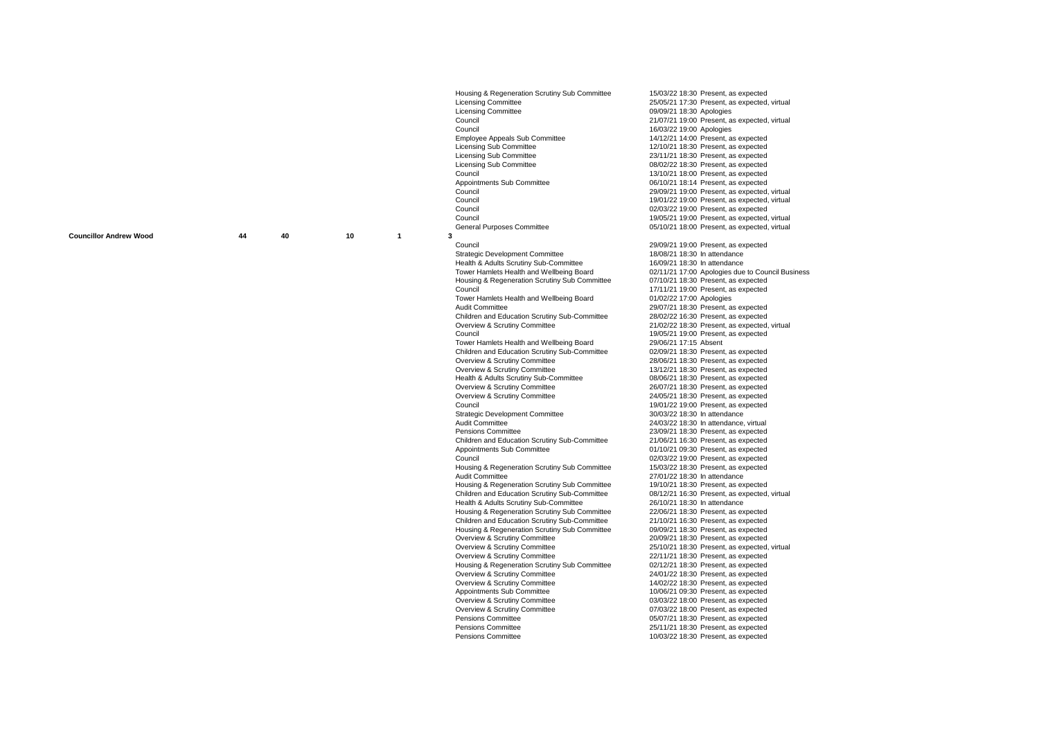**Councillor Andrew Wood 44 40 10**

**1**

Housing & Regeneration Scrutiny Sub Committee 15/03/22 18:30 Present, as expected<br>
Licensing Committee 15/05/21 17:30 Present, as expected, Licensing Committee<br>
Licensing Committee 25/05/21 17:30 Present, as expected, virtual<br>
25/05/21 18:30 Apologies  $Licensing \textbf{Committee} \sim 0.909/21\textbf{ 18:30 Apologies}$ Council Council 21/07/21 19:00 Present, as expected, virtual<br>Council 21/07/21 19:00 Apologies Councillor Amina Ali Council 16/03/22 19:00 Apologies Employee Appeals Sub Committee 14/12/21 14:00 Present, as expected<br>
Licensing Sub Committee 12/10/21 18:30 Present, as expected Licensing Sub Committee 12/10/21 18:30 Present, as expected<br>
Licensing Sub Committee 123/11/21 18:30 Present, as expected Licensing Sub Committee 23/11/21 18:30 Present, as expected<br>
Licensing Sub Committee 20002/22 18:30 Present, as expected Licensing Sub Committee 1980 18/02/22 18:30 Present, as expected<br>Council 19/10/21 18:00 Present as expected Council<br>
Council Committee 13/10/21 18:00 Present, as expected<br>  $\frac{13}{10}$  O6/10/21 18:14 Present, as expected Appointments Sub Committee 06/10/21 18:14 Present, as expected<br>Council 29/09/21 19:00 Present, as expected. Council Council 2001/22 19:00 Present, as expected, virtual<br>  $\frac{19}{02}$ /03/22 19:00 Present as expected Council<br>Council 02/03/22 19:00 Present, as expected<br>19/05/21 19:00 Present as expected Council<br>Council Council Council Council Council Council Council Council Council Council Council Council Council Council<br>Council Council Council Council Council Council Council Council Council Council Council Council Counci Council Purposes Committee 05/10/21 18:00 Present, as expected, virtual 44 40 10 1 3 **3** Council 29/09/2021 29:00 Present, as expected as expected as expected as expected as expected as expected as expected as expected as  $\alpha$ Council<br>
Council<br>
Strategic Development Committee<br>
18/08/21 18:30 In attendance Strategic Development Committee 18/08/21 18:30 In attendance<br>
Health & Adults Scrutiny Sub-Committee 16/09/21 18:30 In attendance Health & Adults Scrutiny Sub-Committee<br>Tower Hamlets Health and Wellbeing Board Housing & Regeneration Scrutiny Sub Committee<br>Council Tower Hamlets Health and Wellbeing Board<br>Audit Committee Children and Education Scrutiny Sub-Committee<br>Overview & Scrutiny Committee Overview & Scrutiny Committee 21/02/22 18:30 Present, as expected, virtual<br>Council<br>19/05/21 19:00 Present as expected Tower Hamlets Health and Wellbeing Board 29/06/21 17:15 Absent Children and Education Scrutiny Sub-Committee<br>Overview & Scrutiny Committee Overview & Scrutiny Committee 28/06/21 18:30 Present, as expected<br>
Overview & Scrutiny Committee 28/06/21 18:30 Present, as expected Health & Adults Scrutiny Sub-Committee<br>Overview & Scrutiny Committee Overview & Scrutiny Committee <br>
Overview & Scrutiny Committee 24/05/21 18:30 Present, as expected<br>
24/05/21 18:30 Present, as expected Council<br>Council Comment Committee Council 20/03/22 19:00 Present, as expected<br>30/03/22 18:30 In attendance Strategic Development Committee<br>Audit Committee Audit Committee 24/03/22 18:30 In attendance, virtual<br>
Pensions Committee 23/09/21 18:30 Present as expected Children and Education Scrutiny Sub-Committee Appointments Sub Committee 01/10/21 09:30 Present, as expected<br>Council 02/03/22 19:00 Present, as expected Housing & Regeneration Scrutiny Sub Committee<br>Audit Committee Housing & Regeneration Scrutiny Sub Committee 19/10/21 18:30 Present, as expected<br>Children and Education Scrutiny Sub-Committee 08/12/21 16:30 Present, as expected, virtual Children and Education Scrutiny Sub-Committee 08/12/21 16:30 Present, as ex<br>
Health & Adults Scrutiny Sub-Committee 26/10/21 18:30 In attendance Health & Adults Scrutiny Sub-Committee 26/10/21 18:30 In attendance<br>
Housing & Regeneration Scrutiny Sub Committee 22/06/21 18:30 Present, as expected Housing & Regeneration Scrutiny Sub Committee 22/06/21 18:30 Present, as expected<br>Children and Education Scrutiny Sub-Committee 21/10/21 16:30 Present, as expected Children and Education Scrutiny Sub-Committee 21/10/21 16:30 Present, as expected<br>
Housing & Regeneration Scrutiny Sub-Committee 209/09/21 18:30 Present, as expected<br>
Housing & Regeneration Scrutiny Sub-Committee 209/09/21 Housing & Regeneration Scrutiny Sub Committee Overview & Scrutiny Committee Overview & Scrutiny Committee 20/09/21 18:30 Present, as expected<br>
Overview & Scrutiny Committee 25/10/21 18:30 Present, as expected. Overview & Scrutiny Committee 25/10/21 18:30 Present, as expected, virtual<br>Coverview & Scrutiny Committee 22/11/21 18:30 Present, as expected Housing & Regeneration Scrutiny Sub Committee<br>Overview & Scrutiny Committee Overview & Scrutiny Committee <br>
Overview & Scrutiny Committee 24/01/22 18:30 Present, as expected<br>
24/02/22 18:30 Present, as expected Overview & Scrutiny Committee 14/02/22 18:30 Present, as expected<br>
Appointments Sub Committee 16/06/21 09:30 Present, as expected Appointments Sub Committee 10/06/21 09:30 Present, as expected<br>Coverview & Scrutiny Committee 10/06/22 18:00 Present, as expected Overview & Scrutiny Committee <br>
Overview & Scrutiny Committee 03/03/22 18:00 Present, as expected<br>
07/03/22 18:00 Present, as expected Overview & Scrutiny Committee 07/03/22 18:00 Present, as expected<br>
Pensions Committee 07/03/22 18:30 Present, as expected Pensions Committee **Council Council** Council Council Council Council Of Densions Committee Pensions Committee **Pensions Committee** 25/11/21 18:30 Present, as expected Pensions Committee 25/11/21 18:30 Present, as expected<br>
Pensions Committee 25/11/21 18:30 Present, as expected

29/09/21 19:00 Present, as expected, virtual 02/11/21 17:00 Apologies due to Council Business<br>07/10/21 18:30 Present, as expected  $17/11/21$  19:00 Present, as expected 01/02/22 17:00 Apologies  $29/07/21$  18:30 Present, as expected  $28/02/22$  16:30 Present, as expected 19/05/21 19:00 Present, as expected<br>29/06/21 17:15 Absent 13/12/21 18:30 Present, as expected<br>08/06/21 18:30 Present, as expected  $24/05/21$  18:30 Present, as expected 23/09/21 18:30 Present, as expected<br>21/06/21 16:30 Present, as expected 02/03/22 19:00 Present, as expected<br>15/03/22 18:30 Present, as expected  $27/01/22$  18:30 In attendance<br>19/10/21 18:30 Present, as expected  $22/11/21$  18:30 Present, as expected  $02/12/21$  18:30 Present, as expected 10/03/22 18:30 Present, as expected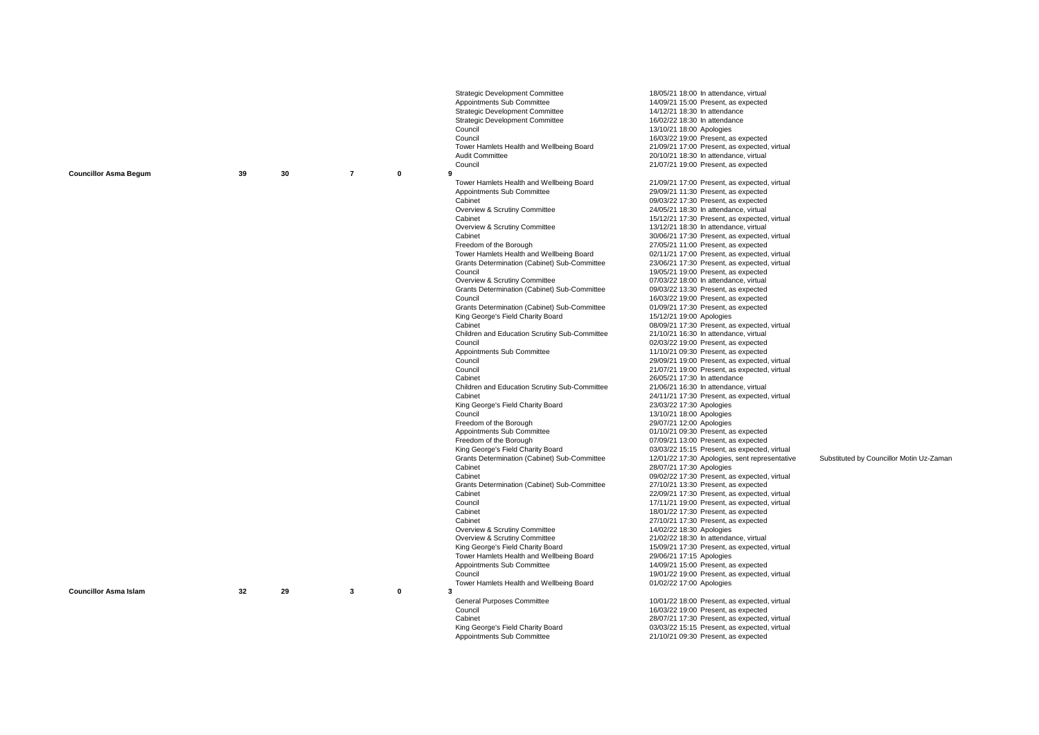|                              |    |    |                         |              | Strategic Development Committee<br>Appointments Sub Committee<br><b>Strategic Development Committee</b><br><b>Strategic Development Committee</b><br>Council<br>Council<br>Tower Hamlets Health and Wellbeing Board<br>Audit Committee<br>Council                                                                                                                                                                                                                                                                                                                                                                                                                                                                                                                                                                                                                                                                                                                                                                                                                                                                                                                                                                                       | 18/05/21 18:00 In attendance, virtual<br>14/09/21 15:00 Present, as expected<br>14/12/21 18:30 In attendance<br>16/02/22 18:30 In attendance<br>13/10/21 18:00 Apologies<br>16/03/22 19:00 Present, as expected<br>21/09/21 17:00 Present, as expected, virtual<br>20/10/21 18:30 In attendance, virtual<br>21/07/21 19:00 Present, as expected                                                                                                                                                                                                                                                                                                                                                                                                                                                                                                                                                                                                                                                                                                                                                                                                                                                                                                                                                                                                                                                                                                                                                                                                                                                                                                                                                                                                                                                                                                                                                  |                                          |
|------------------------------|----|----|-------------------------|--------------|-----------------------------------------------------------------------------------------------------------------------------------------------------------------------------------------------------------------------------------------------------------------------------------------------------------------------------------------------------------------------------------------------------------------------------------------------------------------------------------------------------------------------------------------------------------------------------------------------------------------------------------------------------------------------------------------------------------------------------------------------------------------------------------------------------------------------------------------------------------------------------------------------------------------------------------------------------------------------------------------------------------------------------------------------------------------------------------------------------------------------------------------------------------------------------------------------------------------------------------------|--------------------------------------------------------------------------------------------------------------------------------------------------------------------------------------------------------------------------------------------------------------------------------------------------------------------------------------------------------------------------------------------------------------------------------------------------------------------------------------------------------------------------------------------------------------------------------------------------------------------------------------------------------------------------------------------------------------------------------------------------------------------------------------------------------------------------------------------------------------------------------------------------------------------------------------------------------------------------------------------------------------------------------------------------------------------------------------------------------------------------------------------------------------------------------------------------------------------------------------------------------------------------------------------------------------------------------------------------------------------------------------------------------------------------------------------------------------------------------------------------------------------------------------------------------------------------------------------------------------------------------------------------------------------------------------------------------------------------------------------------------------------------------------------------------------------------------------------------------------------------------------------------|------------------------------------------|
| <b>Councillor Asma Begum</b> | 39 | 30 | $\overline{7}$          | 0            | 9<br>Tower Hamlets Health and Wellbeing Board<br>Appointments Sub Committee<br>Cabinet<br>Overview & Scrutiny Committee<br>Cabinet<br>Overview & Scrutiny Committee<br>Cabinet<br>Freedom of the Borough<br>Tower Hamlets Health and Wellbeing Board<br>Grants Determination (Cabinet) Sub-Committee<br>Council<br>Overview & Scrutiny Committee<br>Grants Determination (Cabinet) Sub-Committee<br>Council<br>Grants Determination (Cabinet) Sub-Committee<br>King George's Field Charity Board<br>Cabinet<br>Children and Education Scrutiny Sub-Committee<br>Council<br>Appointments Sub Committee<br>Council<br>Council<br>Cabinet<br>Children and Education Scrutiny Sub-Committee<br>Cabinet<br>King George's Field Charity Board<br>Council<br>Freedom of the Borough<br>Appointments Sub Committee<br>Freedom of the Borough<br>King George's Field Charity Board<br>Grants Determination (Cabinet) Sub-Committee<br>Cabinet<br>Cabinet<br>Grants Determination (Cabinet) Sub-Committee<br>Cabinet<br>Council<br>Cabinet<br>Cabinet<br>Overview & Scrutiny Committee<br>Overview & Scrutiny Committee<br>King George's Field Charity Board<br>Tower Hamlets Health and Wellbeing Board<br>Appointments Sub Committee<br>Council | 21/09/21 17:00 Present, as expected, virtual<br>29/09/21 11:30 Present, as expected<br>09/03/22 17:30 Present, as expected<br>24/05/21 18:30 In attendance, virtual<br>15/12/21 17:30 Present, as expected, virtual<br>13/12/21 18:30 In attendance, virtual<br>30/06/21 17:30 Present, as expected, virtual<br>27/05/21 11:00 Present, as expected<br>02/11/21 17:00 Present, as expected, virtual<br>23/06/21 17:30 Present, as expected, virtual<br>19/05/21 19:00 Present, as expected<br>07/03/22 18:00 In attendance, virtual<br>09/03/22 13:30 Present, as expected<br>16/03/22 19:00 Present, as expected<br>01/09/21 17:30 Present, as expected<br>15/12/21 19:00 Apologies<br>08/09/21 17:30 Present, as expected, virtual<br>21/10/21 16:30 In attendance, virtual<br>02/03/22 19:00 Present, as expected<br>11/10/21 09:30 Present, as expected<br>29/09/21 19:00 Present, as expected, virtual<br>21/07/21 19:00 Present, as expected, virtual<br>26/05/21 17:30 In attendance<br>21/06/21 16:30 In attendance, virtual<br>24/11/21 17:30 Present, as expected, virtual<br>23/03/22 17:30 Apologies<br>13/10/21 18:00 Apologies<br>29/07/21 12:00 Apologies<br>01/10/21 09:30 Present, as expected<br>07/09/21 13:00 Present, as expected<br>03/03/22 15:15 Present, as expected, virtual<br>12/01/22 17:30 Apologies, sent representative<br>28/07/21 17:30 Apologies<br>09/02/22 17:30 Present, as expected, virtual<br>27/10/21 13:30 Present, as expected<br>22/09/21 17:30 Present, as expected, virtual<br>17/11/21 19:00 Present, as expected, virtual<br>18/01/22 17:30 Present, as expected<br>27/10/21 17:30 Present, as expected<br>14/02/22 18:30 Apologies<br>21/02/22 18:30 In attendance, virtual<br>15/09/21 17:30 Present, as expected, virtual<br>29/06/21 17:15 Apologies<br>14/09/21 15:00 Present, as expected<br>19/01/22 19:00 Present, as expected, virtual | Substituted by Councillor Motin Uz-Zaman |
| <b>Councillor Asma Islam</b> | 32 | 29 | $\overline{\mathbf{3}}$ | $\mathbf{0}$ | Tower Hamlets Health and Wellbeing Board<br>-3<br>General Purposes Committee<br>Council<br>Cabinet<br>King George's Field Charity Board<br>Appointments Sub Committee                                                                                                                                                                                                                                                                                                                                                                                                                                                                                                                                                                                                                                                                                                                                                                                                                                                                                                                                                                                                                                                                   | 01/02/22 17:00 Apologies<br>10/01/22 18:00 Present, as expected, virtual<br>16/03/22 19:00 Present, as expected<br>28/07/21 17:30 Present, as expected, virtual<br>03/03/22 15:15 Present, as expected, virtual<br>21/10/21 09:30 Present, as expected                                                                                                                                                                                                                                                                                                                                                                                                                                                                                                                                                                                                                                                                                                                                                                                                                                                                                                                                                                                                                                                                                                                                                                                                                                                                                                                                                                                                                                                                                                                                                                                                                                           |                                          |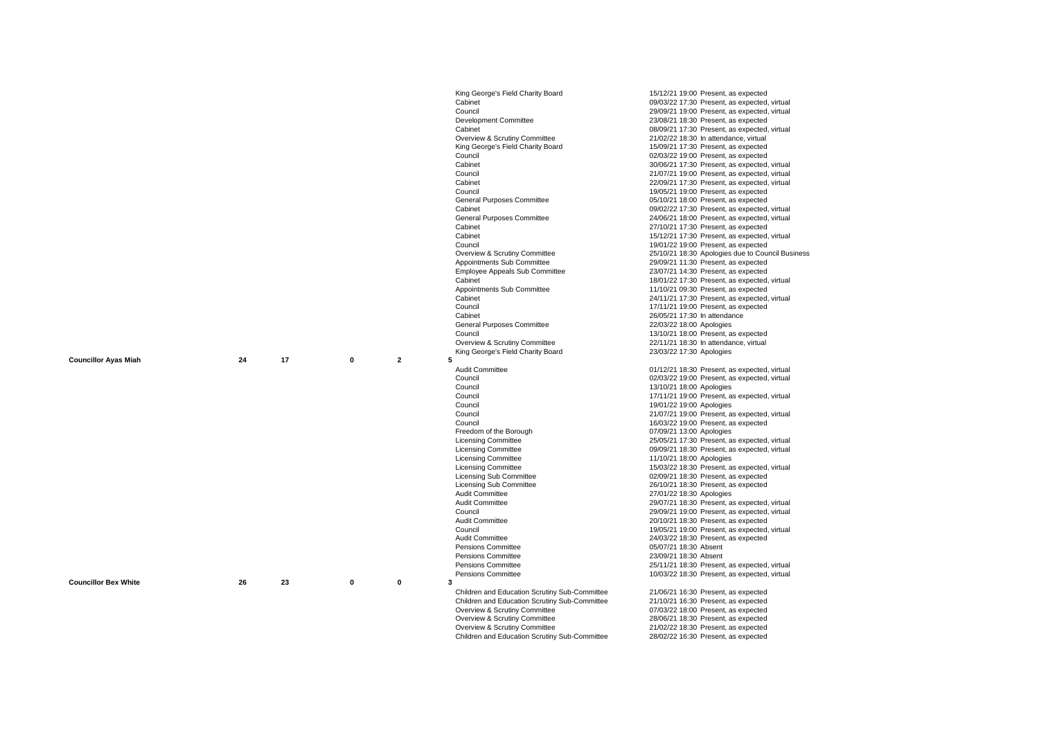|                             |    |    |             |                              | King George's Field Charity Board             | 15/12/21 19:00 Present, as expected                                                 |
|-----------------------------|----|----|-------------|------------------------------|-----------------------------------------------|-------------------------------------------------------------------------------------|
|                             |    |    |             |                              | Cabinet                                       | 09/03/22 17:30 Present, as expected, virtual                                        |
|                             |    |    |             |                              | Council                                       | 29/09/21 19:00 Present, as expected, virtual                                        |
|                             |    |    |             |                              | Development Committee                         | 23/08/21 18:30 Present, as expected                                                 |
|                             |    |    |             |                              | Cabinet                                       | 08/09/21 17:30 Present, as expected, virtual                                        |
|                             |    |    |             |                              | Overview & Scrutiny Committee                 | 21/02/22 18:30 In attendance, virtual                                               |
|                             |    |    |             |                              | King George's Field Charity Board             | 15/09/21 17:30 Present, as expected                                                 |
|                             |    |    |             |                              | Council                                       | 02/03/22 19:00 Present, as expected                                                 |
|                             |    |    |             |                              | Cabinet                                       | 30/06/21 17:30 Present, as expected, virtual                                        |
|                             |    |    |             |                              | Council                                       | 21/07/21 19:00 Present, as expected, virtual                                        |
|                             |    |    |             |                              | Cabinet                                       | 22/09/21 17:30 Present, as expected, virtual                                        |
|                             |    |    |             |                              | Council                                       | 19/05/21 19:00 Present, as expected                                                 |
|                             |    |    |             |                              | <b>General Purposes Committee</b>             | 05/10/21 18:00 Present, as expected                                                 |
|                             |    |    |             |                              | Cabinet                                       | 09/02/22 17:30 Present, as expected, virtual                                        |
|                             |    |    |             |                              | <b>General Purposes Committee</b>             | 24/06/21 18:00 Present, as expected, virtual                                        |
|                             |    |    |             |                              | Cabinet                                       | 27/10/21 17:30 Present, as expected                                                 |
|                             |    |    |             |                              | Cabinet                                       | 15/12/21 17:30 Present, as expected, virtual                                        |
|                             |    |    |             |                              | Council                                       | 19/01/22 19:00 Present, as expected                                                 |
|                             |    |    |             |                              | Overview & Scrutiny Committee                 | 25/10/21 18:30 Apologies due to Council Business                                    |
|                             |    |    |             |                              | Appointments Sub Committee                    | 29/09/21 11:30 Present, as expected                                                 |
|                             |    |    |             |                              | Employee Appeals Sub Committee                | 23/07/21 14:30 Present, as expected                                                 |
|                             |    |    |             |                              | Cabinet                                       | 18/01/22 17:30 Present, as expected, virtual                                        |
|                             |    |    |             |                              | Appointments Sub Committee<br>Cabinet         | 11/10/21 09:30 Present, as expected<br>24/11/21 17:30 Present, as expected, virtual |
|                             |    |    |             |                              | Council                                       | 17/11/21 19:00 Present, as expected                                                 |
|                             |    |    |             |                              | Cabinet                                       | 26/05/21 17:30 In attendance                                                        |
|                             |    |    |             |                              | General Purposes Committee                    | 22/03/22 18:00 Apologies                                                            |
|                             |    |    |             |                              | Council                                       | 13/10/21 18:00 Present, as expected                                                 |
|                             |    |    |             |                              | Overview & Scrutiny Committee                 | 22/11/21 18:30 In attendance, virtual                                               |
|                             |    |    |             |                              | King George's Field Charity Board             | 23/03/22 17:30 Apologies                                                            |
| <b>Councillor Ayas Miah</b> | 24 | 17 | $\bf{0}$    | $\overline{\mathbf{2}}$<br>5 |                                               |                                                                                     |
|                             |    |    |             |                              |                                               |                                                                                     |
|                             |    |    |             |                              | Audit Committee                               | 01/12/21 18:30 Present, as expected, virtual                                        |
|                             |    |    |             |                              | Council                                       | 02/03/22 19:00 Present, as expected, virtual                                        |
|                             |    |    |             |                              | Council                                       | 13/10/21 18:00 Apologies                                                            |
|                             |    |    |             |                              | Council                                       | 17/11/21 19:00 Present, as expected, virtual                                        |
|                             |    |    |             |                              | Council                                       | 19/01/22 19:00 Apologies                                                            |
|                             |    |    |             |                              | Council                                       | 21/07/21 19:00 Present, as expected, virtual                                        |
|                             |    |    |             |                              | Council                                       | 16/03/22 19:00 Present, as expected                                                 |
|                             |    |    |             |                              | Freedom of the Borough                        | 07/09/21 13:00 Apologies                                                            |
|                             |    |    |             |                              | <b>Licensing Committee</b>                    | 25/05/21 17:30 Present, as expected, virtual                                        |
|                             |    |    |             |                              | <b>Licensing Committee</b>                    | 09/09/21 18:30 Present, as expected, virtual                                        |
|                             |    |    |             |                              | <b>Licensing Committee</b>                    | 11/10/21 18:00 Apologies                                                            |
|                             |    |    |             |                              | <b>Licensing Committee</b>                    | 15/03/22 18:30 Present, as expected, virtual                                        |
|                             |    |    |             |                              | <b>Licensing Sub Committee</b>                | 02/09/21 18:30 Present, as expected                                                 |
|                             |    |    |             |                              | <b>Licensing Sub Committee</b>                | 26/10/21 18:30 Present, as expected                                                 |
|                             |    |    |             |                              | <b>Audit Committee</b>                        | 27/01/22 18:30 Apologies                                                            |
|                             |    |    |             |                              | Audit Committee                               | 29/07/21 18:30 Present, as expected, virtual                                        |
|                             |    |    |             |                              | Council                                       | 29/09/21 19:00 Present, as expected, virtual                                        |
|                             |    |    |             |                              | <b>Audit Committee</b>                        | 20/10/21 18:30 Present, as expected                                                 |
|                             |    |    |             |                              | Council                                       | 19/05/21 19:00 Present, as expected, virtual                                        |
|                             |    |    |             |                              | Audit Committee                               | 24/03/22 18:30 Present, as expected                                                 |
|                             |    |    |             |                              | <b>Pensions Committee</b>                     | 05/07/21 18:30 Absent                                                               |
|                             |    |    |             |                              | Pensions Committee                            | 23/09/21 18:30 Absent                                                               |
|                             |    |    |             |                              | Pensions Committee<br>Pensions Committee      | 25/11/21 18:30 Present, as expected, virtual                                        |
| <b>Councillor Bex White</b> | 26 | 23 | $\mathbf 0$ | $\mathbf 0$<br>3             |                                               | 10/03/22 18:30 Present, as expected, virtual                                        |
|                             |    |    |             |                              | Children and Education Scrutiny Sub-Committee | 21/06/21 16:30 Present, as expected                                                 |
|                             |    |    |             |                              | Children and Education Scrutiny Sub-Committee | 21/10/21 16:30 Present, as expected                                                 |
|                             |    |    |             |                              | Overview & Scrutiny Committee                 | 07/03/22 18:00 Present, as expected                                                 |
|                             |    |    |             |                              | Overview & Scrutiny Committee                 | 28/06/21 18:30 Present, as expected                                                 |
|                             |    |    |             |                              | Overview & Scrutiny Committee                 | 21/02/22 18:30 Present, as expected                                                 |
|                             |    |    |             |                              | Children and Education Scrutiny Sub-Committee | 28/02/22 16:30 Present, as expected                                                 |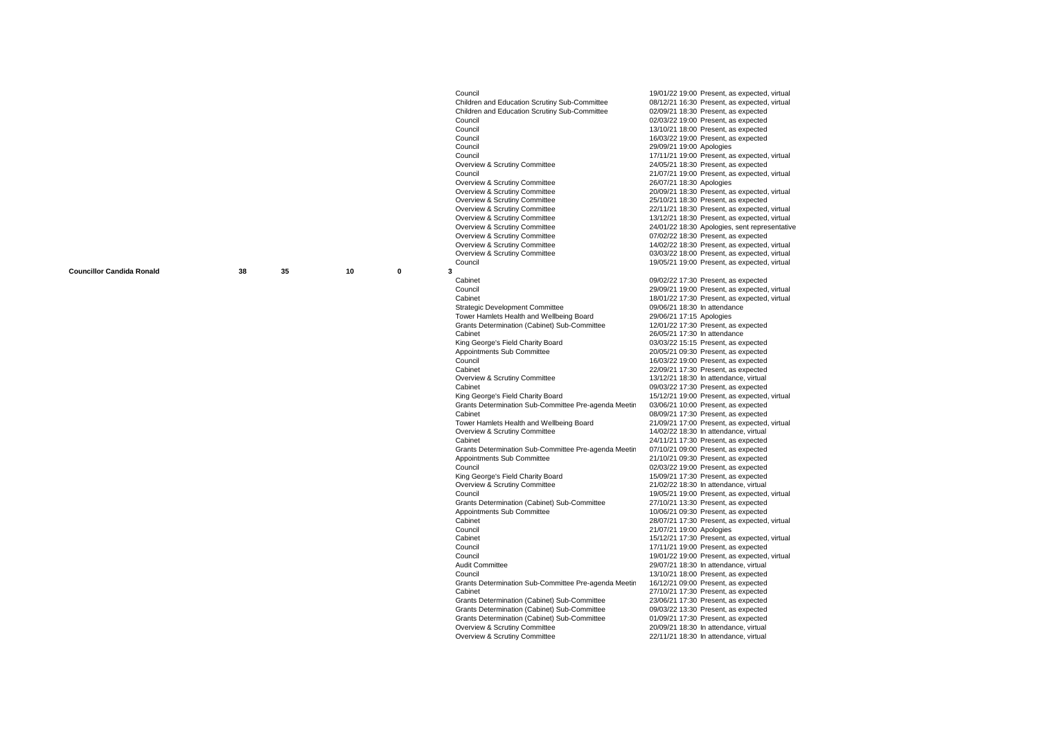**Councillor Candida Ronald 38 35 10**

**0**

Council<br>Children and Education Scrutiny Sub-Committee <br>08/12/21 16:30 Present, as expected, virtual Children and Education Scrutiny Sub-Committee 08/12/21 16:30 Present, as expected, Children and Education Scrutiny Sub-Committee 02/09/21 18:30 Present as expected Children and Education Scrutiny Sub-Committee Council Council<br>
Council  $02/03/22 19:00$  Present, as expected<br>  $13/10/21 18:00$  Present as expected Council Council Council Council Council Council Council Council Council Council Council Council Council Council Council Council Council Council Council Council Council Council Council Council Council Council Council Counci Council<br>Council Council 29/09/21 19:00 Apologies<br>
29/09/21 19:00 Apologies Councillor Bex White Council 29/09/21 19:00 Apologies Council<br>Council Committee Council 17/11/21 19:00 Present, as expected, virtual<br>24/05/21 18:30 Present, as expected Overview & Scrutiny Committee 24/05/21 18:30 Present, as expected<br>Council 21/07/21 19:00 Present, as expected. Overview & Scrutiny Committee<br>Overview & Scrutiny Committee Overview & Scrutiny Committee 25/10/21 18:30 Present, as expected<br>
Overview & Scrutiny Committee 22/11/21 18:30 Present, as expected. Overview & Scrutiny Committee 22/11/21 18:30 Present, as expected, virtual<br>Coverview & Scrutiny Committee 13/12/21 18:30 Present as expected virtual Overview & Scrutiny Committee 13/12/21 18:30 Present, as expected, virtual<br>
Overview & Scrutiny Committee 1990 1990 24/01/22 18:30 Apologies, sent representativ Councillor Bex White Overview & Scrutiny Committee 24/01/22 18:30 Apologies, sent representative Overview & Scrutiny Committee 07/02/22 18:30 Present, as expected<br>Coverview & Scrutiny Committee 14/02/22 18:30 Present as expected Overview & Scrutiny Committee 14/02/22 18:30 Present, as expected, virtual<br>
Overview & Scrutiny Committee 16 and 13/03/22 18:00 Present, as expected, virtual Overview & Scrutiny Committee <br>Council<br>19/05/21 19:00 Present, as expected, virtual Council Council Council 19/05/21 19:00 Present, as expected, virtual 19/05/21 19:00 Present, as expected, virtual 19/05/21 19:00 Present, as expected, virtual **3** Mayor's Advisory Board (Expired) 12/01/2022 15:00 Cabinet Council Council Council Council Council Council<br>Council Council Council Council Council Council Council Council Council Council Council Council Council Council Council Council Council Council Council Council Counci Council<br>
Council 29/09/21 19:00 Present, as expected, virtual<br>
Cobinet Council Committee 09/06/21 18:30 In attendance of the development Committee 09/06/21 18:30 In attendance 1<br>Tower Hamlets Health and Wellbeing Board 29/06/21 17:15 Apologies Tower Hamlets Health and Wellbeing Board 29/06/21 17:15 Apologies<br>
Grants Determination (Cabinet) Sub-Committee 12/01/22 17:30 Present, as expected Crants Determination (Cabinet) Sub-Committee 12/01/22 17:30 Present, as ex<br>Cabinet 26/05/21 17:30 In attendance Cabinet **Cabinet** Cabinet Cabinet 26/05/21 17:30 In attendance King George's Field Charity Board<br>
Appointments Sub Committee<br>
20/05/21 09:30 Present, as expected Appointments Sub Committee 20/05/21 09:30 Present, as expected<br>Council<br>16/03/22 19:00 Present, as expected Council<br>Candida Ronald Candida Ronald Council 16/03/22 19:00 Present, as expected<br>Candida Ronald Council 22/09/21 17:30 Present as expected Cabinet<br>
Council overview & Scrutiny Committee<br>
13/12/21 18:30 In attendance, virtual Overview & Scrutiny Committee 13/12/21 18:30 In attendance, virtual<br>Cabinet 13/12/21 18:30 In attendance, virtual Cabinet<br>
King George's Field Charity Board<br>
15/12/21 19:00 Present, as expected, Grants Determination Sub-Committee Pre-agenda Meetin 03/06/21 10:00 Present, as expected<br>Cabinet 08/09/21 17:30 Present, as expected Cabinet<br>Tower Hamlets Health and Wellbeing Board<br>21/09/21 17:00 Present, as expected. Tower Hamlets Health and Wellbeing Board 21/09/21 17:00 Present, as expected, virtual<br>Council American Roman 14/02/22 18:30 In attendance virtual Council of Council of Candida Roman Council of Candida Roman Council of Candida Roman Council of Candida Roman Candida Roman Candida Candida Candida Candida Candida Candida Candida Candida Candida Candida Candida Candida C Councillor Candida Ronald Grants Determination Sub-Committee Pre-agenda Meeting 07/10/21 09:00 Present, as expected Appointments Sub Committee 21/10/21 09:30 Present, as expected<br>Council<br>02/03/22 19:00 Present, as expected Council<br>Council Charity Board<br>Council Charity Board 15/09/21 17:30 Present, as expected King George's Field Charity Board<br>
Council Council Council Council Council 21/02/22 18:30 In attendance, virtual<br>
21/02/22 18:30 In attendance, virtual Council<br>Crants Determination (Cabinet) Sub-Committee 27/10/21 13:30 Present, as expected Grants Determination (Cabinet) Sub-Committee<br>Appointments Sub Committee Appointments Sub Committee 10/06/21 09:30 Present, as expected<br>Cabinet 28/07/21 17:30 Present, as expected. Colinet Candida Capital Capital Capital Capital Capital Roman Capital Capital Capital Capital Capital Capital Capital Capital Capital Capital Capital Capital Capital Capital Capital Capital Capital Capital Capital Capital Councillor Candida Ronald Council 21/07/21 19:00 Apologies Cabinet Candida Council Capinet 15/12/21 17:30 Present, as expected, virtual<br>17/11/21 19:00 Present. as expected Council<br>Council Council Council Council 19/01/22 19:00 Present, as expected<br>19/01/22 19:00 Present, as expected. Council<br>
Audit Committee<br>
Audit Committee Audit Committee 29/07/21 18:30 In attendance, virtual<br>Council Committee 2010/21 18:00 Present, as expected Grants Determination Sub-Committee Pre-agenda Meetin<br>Cabinet Grants Determination (Cabinet) Sub-Committee Crants Determination (Cabinet) Sub-Committee 09/03/22 13:30 Present, as expected<br>
Grants Determination (Cabinet) Sub-Committee 01/09/21 17:30 Present, as expected Grants Determination (Cabinet) Sub-Committee<br>Overview & Scrutiny Committee **Overview & Scrutiny Committee** 

 $21/07/21$  19:00 Present, as expected, virtual  $26/07/21$  18:30 Apologies 20/09/21 18:30 Present, as expected, virtual  $18/01/22$  17:30 Present, as expected, virtual 09/06/21 18:30 In attendance 15/12/21 19:00 Present, as expected, virtual 24/11/21 17:30 Present, as expected 21/02/22 18:30 In attendance, virtual 13/10/21 18:00 Present, as expected<br>16/12/21 09:00 Present, as expected 27/10/21 17:30 Present, as expected<br>23/06/21 17:30 Present, as expected  $20/09/21$  18:30 In attendance, virtual<br> $22/11/21$  18:30 In attendance, virtual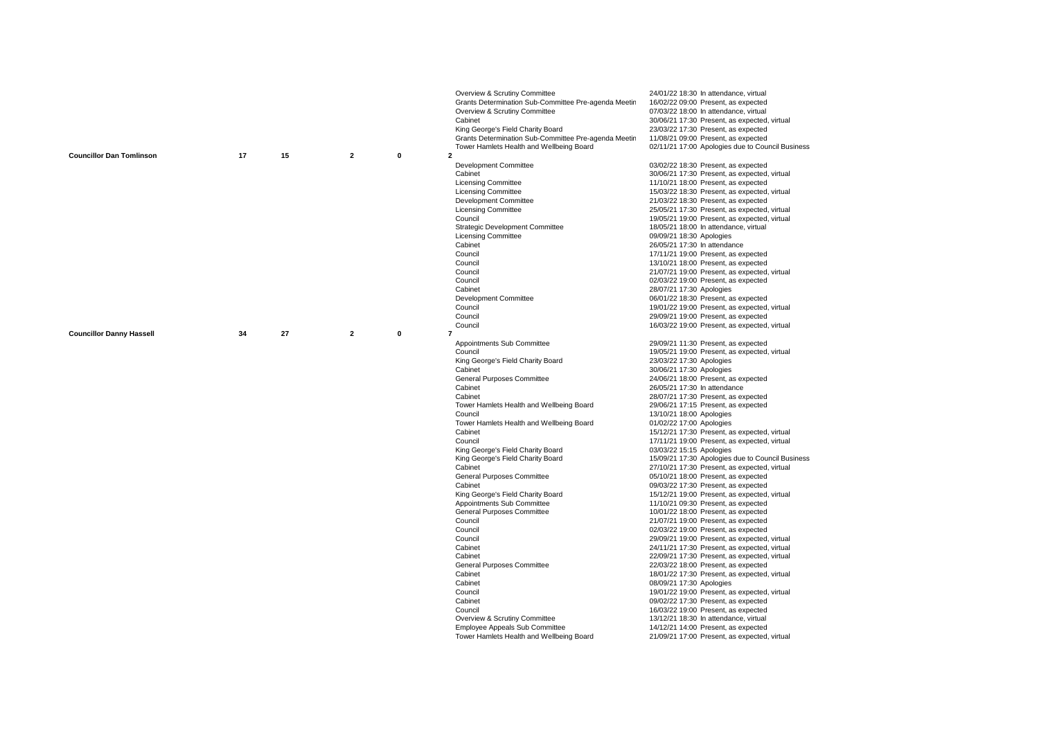|                                 |    |    |                |          | Overview & Scrutiny Committee<br>Grants Determination Sub-Committee Pre-agenda Meetin<br>Overview & Scrutiny Committee<br>Cabinet<br>King George's Field Charity Board<br>Grants Determination Sub-Committee Pre-agenda Meetin<br>Tower Hamlets Health and Wellbeing Board                                                                                                                                                                                                                                                                                                                                                                                                                                                                                                            | 24/01/22 18:30 In attendance, virtual<br>16/02/22 09:00 Present, as expected<br>07/03/22 18:00 In attendance, virtual<br>30/06/21 17:30 Present, as expected, virtual<br>23/03/22 17:30 Present, as expected<br>11/08/21 09:00 Present, as expected<br>02/11/21 17:00 Apologies due to Council Business                                                                                                                                                                                                                                                                                                                                                                                                                                                                                                                                                                                                                                                                                                                                                                                                                                                                                                                                                                                                                                                                                                             |
|---------------------------------|----|----|----------------|----------|---------------------------------------------------------------------------------------------------------------------------------------------------------------------------------------------------------------------------------------------------------------------------------------------------------------------------------------------------------------------------------------------------------------------------------------------------------------------------------------------------------------------------------------------------------------------------------------------------------------------------------------------------------------------------------------------------------------------------------------------------------------------------------------|---------------------------------------------------------------------------------------------------------------------------------------------------------------------------------------------------------------------------------------------------------------------------------------------------------------------------------------------------------------------------------------------------------------------------------------------------------------------------------------------------------------------------------------------------------------------------------------------------------------------------------------------------------------------------------------------------------------------------------------------------------------------------------------------------------------------------------------------------------------------------------------------------------------------------------------------------------------------------------------------------------------------------------------------------------------------------------------------------------------------------------------------------------------------------------------------------------------------------------------------------------------------------------------------------------------------------------------------------------------------------------------------------------------------|
| <b>Councillor Dan Tomlinson</b> | 17 | 15 | $\overline{2}$ | 0        | $\mathbf{2}$                                                                                                                                                                                                                                                                                                                                                                                                                                                                                                                                                                                                                                                                                                                                                                          |                                                                                                                                                                                                                                                                                                                                                                                                                                                                                                                                                                                                                                                                                                                                                                                                                                                                                                                                                                                                                                                                                                                                                                                                                                                                                                                                                                                                                     |
|                                 |    |    |                |          | <b>Development Committee</b><br>Cabinet<br><b>Licensing Committee</b><br><b>Licensing Committee</b><br>Development Committee<br><b>Licensing Committee</b><br>Council<br><b>Strategic Development Committee</b><br><b>Licensing Committee</b><br>Cabinet<br>Council<br>Council<br>Council<br>Council<br>Cabinet<br>Development Committee                                                                                                                                                                                                                                                                                                                                                                                                                                              | 03/02/22 18:30 Present, as expected<br>30/06/21 17:30 Present, as expected, virtual<br>11/10/21 18:00 Present, as expected<br>15/03/22 18:30 Present, as expected, virtual<br>21/03/22 18:30 Present, as expected<br>25/05/21 17:30 Present, as expected, virtual<br>19/05/21 19:00 Present, as expected, virtual<br>18/05/21 18:00 In attendance, virtual<br>09/09/21 18:30 Apologies<br>26/05/21 17:30 In attendance<br>17/11/21 19:00 Present, as expected<br>13/10/21 18:00 Present, as expected<br>21/07/21 19:00 Present, as expected, virtual<br>02/03/22 19:00 Present, as expected<br>28/07/21 17:30 Apologies<br>06/01/22 18:30 Present, as expected                                                                                                                                                                                                                                                                                                                                                                                                                                                                                                                                                                                                                                                                                                                                                      |
|                                 |    |    |                |          | Council                                                                                                                                                                                                                                                                                                                                                                                                                                                                                                                                                                                                                                                                                                                                                                               | 19/01/22 19:00 Present, as expected, virtual                                                                                                                                                                                                                                                                                                                                                                                                                                                                                                                                                                                                                                                                                                                                                                                                                                                                                                                                                                                                                                                                                                                                                                                                                                                                                                                                                                        |
|                                 |    |    |                |          | Council                                                                                                                                                                                                                                                                                                                                                                                                                                                                                                                                                                                                                                                                                                                                                                               | 29/09/21 19:00 Present, as expected                                                                                                                                                                                                                                                                                                                                                                                                                                                                                                                                                                                                                                                                                                                                                                                                                                                                                                                                                                                                                                                                                                                                                                                                                                                                                                                                                                                 |
|                                 |    |    |                |          | Council                                                                                                                                                                                                                                                                                                                                                                                                                                                                                                                                                                                                                                                                                                                                                                               | 16/03/22 19:00 Present, as expected, virtual                                                                                                                                                                                                                                                                                                                                                                                                                                                                                                                                                                                                                                                                                                                                                                                                                                                                                                                                                                                                                                                                                                                                                                                                                                                                                                                                                                        |
| <b>Councillor Danny Hassell</b> | 34 | 27 | $\overline{2}$ | $\bf{0}$ | $\overline{7}$<br>Appointments Sub Committee<br>Council<br>King George's Field Charity Board<br>Cabinet<br>General Purposes Committee<br>Cabinet<br>Cabinet<br>Tower Hamlets Health and Wellbeing Board<br>Council<br>Tower Hamlets Health and Wellbeing Board<br>Cabinet<br>Council<br>King George's Field Charity Board<br>King George's Field Charity Board<br>Cabinet<br>General Purposes Committee<br>Cabinet<br>King George's Field Charity Board<br>Appointments Sub Committee<br>General Purposes Committee<br>Council<br>Council<br>Council<br>Cabinet<br>Cabinet<br>General Purposes Committee<br>Cabinet<br>Cabinet<br>Council<br>Cabinet<br>Council<br>Overview & Scrutiny Committee<br><b>Employee Appeals Sub Committee</b><br>Tower Hamlets Health and Wellbeing Board | 29/09/21 11:30 Present, as expected<br>19/05/21 19:00 Present, as expected, virtual<br>23/03/22 17:30 Apologies<br>30/06/21 17:30 Apologies<br>24/06/21 18:00 Present, as expected<br>26/05/21 17:30 In attendance<br>28/07/21 17:30 Present, as expected<br>29/06/21 17:15 Present, as expected<br>13/10/21 18:00 Apologies<br>01/02/22 17:00 Apologies<br>15/12/21 17:30 Present, as expected, virtual<br>17/11/21 19:00 Present, as expected, virtual<br>03/03/22 15:15 Apologies<br>15/09/21 17:30 Apologies due to Council Business<br>27/10/21 17:30 Present, as expected, virtual<br>05/10/21 18:00 Present, as expected<br>09/03/22 17:30 Present, as expected<br>15/12/21 19:00 Present, as expected, virtual<br>11/10/21 09:30 Present, as expected<br>10/01/22 18:00 Present, as expected<br>21/07/21 19:00 Present, as expected<br>02/03/22 19:00 Present, as expected<br>29/09/21 19:00 Present, as expected, virtual<br>24/11/21 17:30 Present, as expected, virtual<br>22/09/21 17:30 Present, as expected, virtual<br>22/03/22 18:00 Present, as expected<br>18/01/22 17:30 Present, as expected, virtual<br>08/09/21 17:30 Apologies<br>19/01/22 19:00 Present, as expected, virtual<br>09/02/22 17:30 Present, as expected<br>16/03/22 19:00 Present, as expected<br>13/12/21 18:30 In attendance, virtual<br>14/12/21 14:00 Present, as expected<br>21/09/21 17:00 Present, as expected, virtual |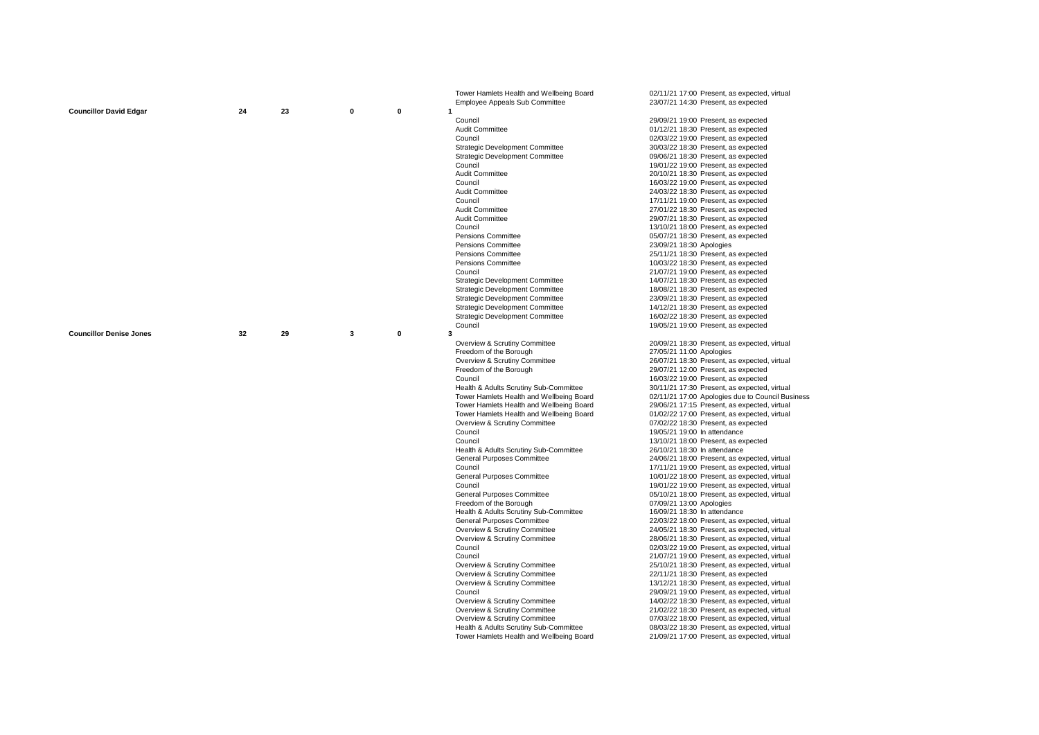|                                |    |    |             |             | Tower Hamlets Health and Wellbeing Board | 02/11/21 17:00 Present, as expected, virtual     |
|--------------------------------|----|----|-------------|-------------|------------------------------------------|--------------------------------------------------|
| <b>Councillor David Edgar</b>  | 24 | 23 | $\mathbf 0$ | $\mathbf 0$ | Employee Appeals Sub Committee           | 23/07/21 14:30 Present, as expected              |
|                                |    |    |             |             | Council                                  | 29/09/21 19:00 Present, as expected              |
|                                |    |    |             |             | Audit Committee                          | 01/12/21 18:30 Present, as expected              |
|                                |    |    |             |             | Council                                  | 02/03/22 19:00 Present, as expected              |
|                                |    |    |             |             | <b>Strategic Development Committee</b>   | 30/03/22 18:30 Present, as expected              |
|                                |    |    |             |             | <b>Strategic Development Committee</b>   | 09/06/21 18:30 Present, as expected              |
|                                |    |    |             |             | Council                                  | 19/01/22 19:00 Present, as expected              |
|                                |    |    |             |             | Audit Committee                          | 20/10/21 18:30 Present, as expected              |
|                                |    |    |             |             | Council                                  | 16/03/22 19:00 Present, as expected              |
|                                |    |    |             |             | <b>Audit Committee</b>                   | 24/03/22 18:30 Present, as expected              |
|                                |    |    |             |             | Council                                  | 17/11/21 19:00 Present, as expected              |
|                                |    |    |             |             | Audit Committee                          | 27/01/22 18:30 Present, as expected              |
|                                |    |    |             |             | Audit Committee                          | 29/07/21 18:30 Present, as expected              |
|                                |    |    |             |             | Council                                  | 13/10/21 18:00 Present, as expected              |
|                                |    |    |             |             | <b>Pensions Committee</b>                | 05/07/21 18:30 Present, as expected              |
|                                |    |    |             |             | <b>Pensions Committee</b>                | 23/09/21 18:30 Apologies                         |
|                                |    |    |             |             |                                          |                                                  |
|                                |    |    |             |             | <b>Pensions Committee</b>                | 25/11/21 18:30 Present, as expected              |
|                                |    |    |             |             | <b>Pensions Committee</b>                | 10/03/22 18:30 Present, as expected              |
|                                |    |    |             |             | Council                                  | 21/07/21 19:00 Present, as expected              |
|                                |    |    |             |             | <b>Strategic Development Committee</b>   | 14/07/21 18:30 Present, as expected              |
|                                |    |    |             |             | <b>Strategic Development Committee</b>   | 18/08/21 18:30 Present, as expected              |
|                                |    |    |             |             | <b>Strategic Development Committee</b>   | 23/09/21 18:30 Present, as expected              |
|                                |    |    |             |             | <b>Strategic Development Committee</b>   | 14/12/21 18:30 Present, as expected              |
|                                |    |    |             |             | <b>Strategic Development Committee</b>   | 16/02/22 18:30 Present, as expected              |
|                                |    |    |             |             | Council                                  | 19/05/21 19:00 Present, as expected              |
| <b>Councillor Denise Jones</b> | 32 | 29 | 3           | $\mathbf 0$ | 3                                        |                                                  |
|                                |    |    |             |             | Overview & Scrutiny Committee            | 20/09/21 18:30 Present, as expected, virtual     |
|                                |    |    |             |             | Freedom of the Borough                   | 27/05/21 11:00 Apologies                         |
|                                |    |    |             |             | Overview & Scrutiny Committee            | 26/07/21 18:30 Present, as expected, virtual     |
|                                |    |    |             |             | Freedom of the Borough                   | 29/07/21 12:00 Present, as expected              |
|                                |    |    |             |             | Council                                  | 16/03/22 19:00 Present, as expected              |
|                                |    |    |             |             | Health & Adults Scrutiny Sub-Committee   | 30/11/21 17:30 Present, as expected, virtual     |
|                                |    |    |             |             | Tower Hamlets Health and Wellbeing Board | 02/11/21 17:00 Apologies due to Council Business |
|                                |    |    |             |             | Tower Hamlets Health and Wellbeing Board | 29/06/21 17:15 Present, as expected, virtual     |
|                                |    |    |             |             | Tower Hamlets Health and Wellbeing Board | 01/02/22 17:00 Present, as expected, virtual     |
|                                |    |    |             |             | Overview & Scrutiny Committee            | 07/02/22 18:30 Present, as expected              |
|                                |    |    |             |             | Council                                  | 19/05/21 19:00 In attendance                     |
|                                |    |    |             |             | Council                                  | 13/10/21 18:00 Present, as expected              |
|                                |    |    |             |             | Health & Adults Scrutiny Sub-Committee   | 26/10/21 18:30 In attendance                     |
|                                |    |    |             |             | General Purposes Committee               | 24/06/21 18:00 Present, as expected, virtual     |
|                                |    |    |             |             | Council                                  | 17/11/21 19:00 Present, as expected, virtual     |
|                                |    |    |             |             | General Purposes Committee               | 10/01/22 18:00 Present, as expected, virtual     |
|                                |    |    |             |             | Council                                  | 19/01/22 19:00 Present, as expected, virtual     |
|                                |    |    |             |             | General Purposes Committee               | 05/10/21 18:00 Present, as expected, virtual     |
|                                |    |    |             |             | Freedom of the Borough                   | 07/09/21 13:00 Apologies                         |
|                                |    |    |             |             | Health & Adults Scrutiny Sub-Committee   | 16/09/21 18:30 In attendance                     |
|                                |    |    |             |             | General Purposes Committee               | 22/03/22 18:00 Present, as expected, virtual     |
|                                |    |    |             |             | Overview & Scrutiny Committee            | 24/05/21 18:30 Present, as expected, virtual     |
|                                |    |    |             |             | Overview & Scrutiny Committee            | 28/06/21 18:30 Present, as expected, virtual     |
|                                |    |    |             |             | Council                                  | 02/03/22 19:00 Present, as expected, virtual     |
|                                |    |    |             |             | Council                                  | 21/07/21 19:00 Present, as expected, virtual     |
|                                |    |    |             |             | Overview & Scrutiny Committee            | 25/10/21 18:30 Present, as expected, virtual     |
|                                |    |    |             |             | Overview & Scrutiny Committee            | 22/11/21 18:30 Present, as expected              |
|                                |    |    |             |             | Overview & Scrutiny Committee            | 13/12/21 18:30 Present, as expected, virtual     |
|                                |    |    |             |             | Council                                  | 29/09/21 19:00 Present, as expected, virtual     |
|                                |    |    |             |             | Overview & Scrutiny Committee            | 14/02/22 18:30 Present, as expected, virtual     |
|                                |    |    |             |             | Overview & Scrutiny Committee            | 21/02/22 18:30 Present, as expected, virtual     |
|                                |    |    |             |             | Overview & Scrutiny Committee            | 07/03/22 18:00 Present, as expected, virtual     |
|                                |    |    |             |             | Health & Adults Scrutiny Sub-Committee   | 08/03/22 18:30 Present, as expected, virtual     |
|                                |    |    |             |             | Tower Hamlets Health and Wellbeing Board | 21/09/21 17:00 Present, as expected, virtual     |
|                                |    |    |             |             |                                          |                                                  |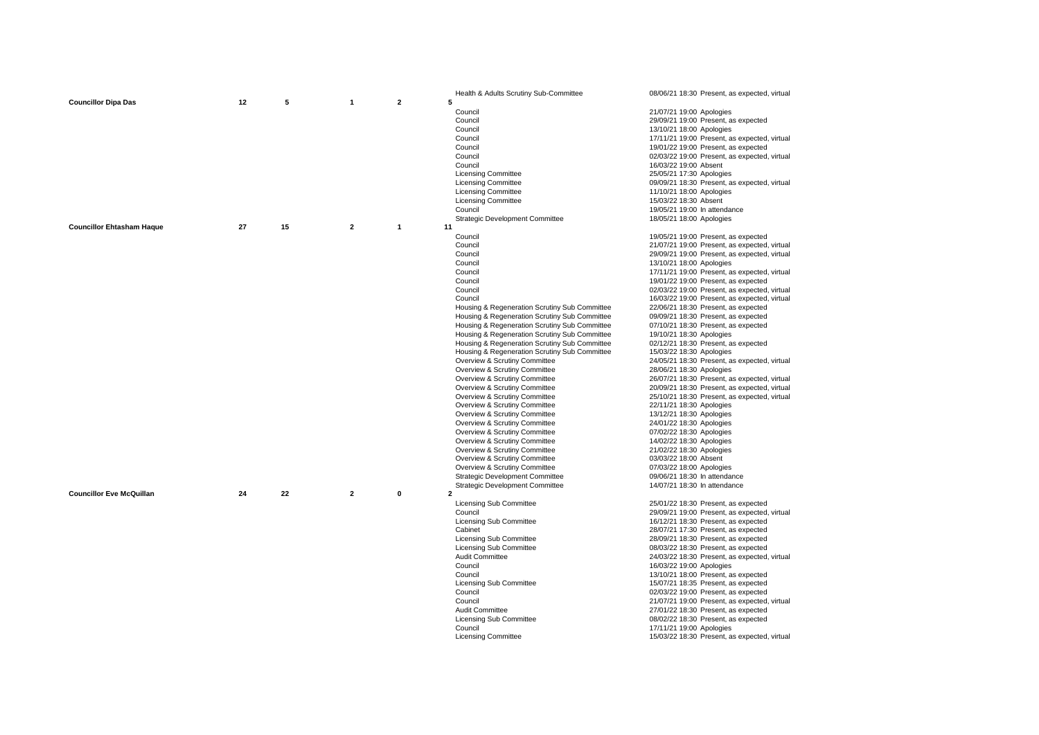| $\overline{2}$<br><b>Councillor Dipa Das</b><br>12<br>5<br>5<br>1<br>Council<br>21/07/21 19:00 Apologies<br>Council<br>29/09/21 19:00 Present, as expected<br>Council<br>13/10/21 18:00 Apologies<br>Council<br>17/11/21 19:00 Present, as expected, virtual<br>Council<br>19/01/22 19:00 Present, as expected<br>Council<br>02/03/22 19:00 Present, as expected, virtual<br>Council<br>16/03/22 19:00 Absent<br><b>Licensing Committee</b><br>25/05/21 17:30 Apologies<br><b>Licensing Committee</b><br>09/09/21 18:30 Present, as expected, virtual<br><b>Licensing Committee</b><br>11/10/21 18:00 Apologies |  |
|-----------------------------------------------------------------------------------------------------------------------------------------------------------------------------------------------------------------------------------------------------------------------------------------------------------------------------------------------------------------------------------------------------------------------------------------------------------------------------------------------------------------------------------------------------------------------------------------------------------------|--|
|                                                                                                                                                                                                                                                                                                                                                                                                                                                                                                                                                                                                                 |  |
|                                                                                                                                                                                                                                                                                                                                                                                                                                                                                                                                                                                                                 |  |
|                                                                                                                                                                                                                                                                                                                                                                                                                                                                                                                                                                                                                 |  |
|                                                                                                                                                                                                                                                                                                                                                                                                                                                                                                                                                                                                                 |  |
|                                                                                                                                                                                                                                                                                                                                                                                                                                                                                                                                                                                                                 |  |
|                                                                                                                                                                                                                                                                                                                                                                                                                                                                                                                                                                                                                 |  |
|                                                                                                                                                                                                                                                                                                                                                                                                                                                                                                                                                                                                                 |  |
|                                                                                                                                                                                                                                                                                                                                                                                                                                                                                                                                                                                                                 |  |
|                                                                                                                                                                                                                                                                                                                                                                                                                                                                                                                                                                                                                 |  |
|                                                                                                                                                                                                                                                                                                                                                                                                                                                                                                                                                                                                                 |  |
|                                                                                                                                                                                                                                                                                                                                                                                                                                                                                                                                                                                                                 |  |
|                                                                                                                                                                                                                                                                                                                                                                                                                                                                                                                                                                                                                 |  |
| <b>Licensing Committee</b><br>15/03/22 18:30 Absent                                                                                                                                                                                                                                                                                                                                                                                                                                                                                                                                                             |  |
| Council<br>19/05/21 19:00 In attendance                                                                                                                                                                                                                                                                                                                                                                                                                                                                                                                                                                         |  |
| <b>Strategic Development Committee</b><br>18/05/21 18:00 Apologies                                                                                                                                                                                                                                                                                                                                                                                                                                                                                                                                              |  |
| $\mathbf{2}$<br><b>Councillor Ehtasham Haque</b><br>27<br>15<br>$\mathbf{1}$<br>11                                                                                                                                                                                                                                                                                                                                                                                                                                                                                                                              |  |
| Council<br>19/05/21 19:00 Present, as expected                                                                                                                                                                                                                                                                                                                                                                                                                                                                                                                                                                  |  |
| Council                                                                                                                                                                                                                                                                                                                                                                                                                                                                                                                                                                                                         |  |
| 21/07/21 19:00 Present, as expected, virtual                                                                                                                                                                                                                                                                                                                                                                                                                                                                                                                                                                    |  |
| Council<br>29/09/21 19:00 Present, as expected, virtual                                                                                                                                                                                                                                                                                                                                                                                                                                                                                                                                                         |  |
| Council<br>13/10/21 18:00 Apologies                                                                                                                                                                                                                                                                                                                                                                                                                                                                                                                                                                             |  |
| Council<br>17/11/21 19:00 Present, as expected, virtual                                                                                                                                                                                                                                                                                                                                                                                                                                                                                                                                                         |  |
| Council<br>19/01/22 19:00 Present, as expected                                                                                                                                                                                                                                                                                                                                                                                                                                                                                                                                                                  |  |
| Council<br>02/03/22 19:00 Present, as expected, virtual                                                                                                                                                                                                                                                                                                                                                                                                                                                                                                                                                         |  |
| Council<br>16/03/22 19:00 Present, as expected, virtual                                                                                                                                                                                                                                                                                                                                                                                                                                                                                                                                                         |  |
| Housing & Regeneration Scrutiny Sub Committee<br>22/06/21 18:30 Present, as expected                                                                                                                                                                                                                                                                                                                                                                                                                                                                                                                            |  |
| Housing & Regeneration Scrutiny Sub Committee<br>09/09/21 18:30 Present, as expected                                                                                                                                                                                                                                                                                                                                                                                                                                                                                                                            |  |
| Housing & Regeneration Scrutiny Sub Committee<br>07/10/21 18:30 Present, as expected                                                                                                                                                                                                                                                                                                                                                                                                                                                                                                                            |  |
| Housing & Regeneration Scrutiny Sub Committee<br>19/10/21 18:30 Apologies                                                                                                                                                                                                                                                                                                                                                                                                                                                                                                                                       |  |
| Housing & Regeneration Scrutiny Sub Committee<br>02/12/21 18:30 Present, as expected                                                                                                                                                                                                                                                                                                                                                                                                                                                                                                                            |  |
|                                                                                                                                                                                                                                                                                                                                                                                                                                                                                                                                                                                                                 |  |
| Housing & Regeneration Scrutiny Sub Committee<br>15/03/22 18:30 Apologies                                                                                                                                                                                                                                                                                                                                                                                                                                                                                                                                       |  |
| Overview & Scrutiny Committee<br>24/05/21 18:30 Present, as expected, virtual                                                                                                                                                                                                                                                                                                                                                                                                                                                                                                                                   |  |
| Overview & Scrutiny Committee<br>28/06/21 18:30 Apologies                                                                                                                                                                                                                                                                                                                                                                                                                                                                                                                                                       |  |
| Overview & Scrutiny Committee<br>26/07/21 18:30 Present, as expected, virtual                                                                                                                                                                                                                                                                                                                                                                                                                                                                                                                                   |  |
| Overview & Scrutiny Committee<br>20/09/21 18:30 Present, as expected, virtual                                                                                                                                                                                                                                                                                                                                                                                                                                                                                                                                   |  |
| Overview & Scrutiny Committee<br>25/10/21 18:30 Present, as expected, virtual                                                                                                                                                                                                                                                                                                                                                                                                                                                                                                                                   |  |
| Overview & Scrutiny Committee<br>22/11/21 18:30 Apologies                                                                                                                                                                                                                                                                                                                                                                                                                                                                                                                                                       |  |
|                                                                                                                                                                                                                                                                                                                                                                                                                                                                                                                                                                                                                 |  |
| Overview & Scrutiny Committee<br>13/12/21 18:30 Apologies                                                                                                                                                                                                                                                                                                                                                                                                                                                                                                                                                       |  |
|                                                                                                                                                                                                                                                                                                                                                                                                                                                                                                                                                                                                                 |  |
| Overview & Scrutiny Committee<br>24/01/22 18:30 Apologies                                                                                                                                                                                                                                                                                                                                                                                                                                                                                                                                                       |  |
| Overview & Scrutiny Committee<br>07/02/22 18:30 Apologies                                                                                                                                                                                                                                                                                                                                                                                                                                                                                                                                                       |  |
| Overview & Scrutiny Committee<br>14/02/22 18:30 Apologies                                                                                                                                                                                                                                                                                                                                                                                                                                                                                                                                                       |  |
| Overview & Scrutiny Committee<br>21/02/22 18:30 Apologies                                                                                                                                                                                                                                                                                                                                                                                                                                                                                                                                                       |  |
| Overview & Scrutiny Committee<br>03/03/22 18:00 Absent                                                                                                                                                                                                                                                                                                                                                                                                                                                                                                                                                          |  |
| Overview & Scrutiny Committee<br>07/03/22 18:00 Apologies                                                                                                                                                                                                                                                                                                                                                                                                                                                                                                                                                       |  |
| <b>Strategic Development Committee</b><br>09/06/21 18:30 In attendance                                                                                                                                                                                                                                                                                                                                                                                                                                                                                                                                          |  |
| <b>Strategic Development Committee</b><br>14/07/21 18:30 In attendance                                                                                                                                                                                                                                                                                                                                                                                                                                                                                                                                          |  |
| <b>Councillor Eve McQuillan</b><br>22<br>$\overline{2}$<br>$\mathbf 0$<br>$\mathbf{2}$<br>24                                                                                                                                                                                                                                                                                                                                                                                                                                                                                                                    |  |
| <b>Licensing Sub Committee</b><br>25/01/22 18:30 Present, as expected                                                                                                                                                                                                                                                                                                                                                                                                                                                                                                                                           |  |
| Council<br>29/09/21 19:00 Present, as expected, virtual                                                                                                                                                                                                                                                                                                                                                                                                                                                                                                                                                         |  |
| <b>Licensing Sub Committee</b><br>16/12/21 18:30 Present, as expected                                                                                                                                                                                                                                                                                                                                                                                                                                                                                                                                           |  |
| 28/07/21 17:30 Present, as expected<br>Cabinet                                                                                                                                                                                                                                                                                                                                                                                                                                                                                                                                                                  |  |
| <b>Licensing Sub Committee</b><br>28/09/21 18:30 Present, as expected                                                                                                                                                                                                                                                                                                                                                                                                                                                                                                                                           |  |
| <b>Licensing Sub Committee</b><br>08/03/22 18:30 Present, as expected                                                                                                                                                                                                                                                                                                                                                                                                                                                                                                                                           |  |
| <b>Audit Committee</b><br>24/03/22 18:30 Present, as expected, virtual                                                                                                                                                                                                                                                                                                                                                                                                                                                                                                                                          |  |
| Council<br>16/03/22 19:00 Apologies                                                                                                                                                                                                                                                                                                                                                                                                                                                                                                                                                                             |  |
| Council                                                                                                                                                                                                                                                                                                                                                                                                                                                                                                                                                                                                         |  |
| 13/10/21 18:00 Present, as expected                                                                                                                                                                                                                                                                                                                                                                                                                                                                                                                                                                             |  |
| <b>Licensing Sub Committee</b><br>15/07/21 18:35 Present, as expected                                                                                                                                                                                                                                                                                                                                                                                                                                                                                                                                           |  |
| Council<br>02/03/22 19:00 Present, as expected                                                                                                                                                                                                                                                                                                                                                                                                                                                                                                                                                                  |  |
| Council<br>21/07/21 19:00 Present, as expected, virtual                                                                                                                                                                                                                                                                                                                                                                                                                                                                                                                                                         |  |
| Audit Committee<br>27/01/22 18:30 Present, as expected                                                                                                                                                                                                                                                                                                                                                                                                                                                                                                                                                          |  |
| <b>Licensing Sub Committee</b><br>08/02/22 18:30 Present, as expected                                                                                                                                                                                                                                                                                                                                                                                                                                                                                                                                           |  |
| Council<br>17/11/21 19:00 Apologies<br><b>Licensing Committee</b><br>15/03/22 18:30 Present, as expected, virtual                                                                                                                                                                                                                                                                                                                                                                                                                                                                                               |  |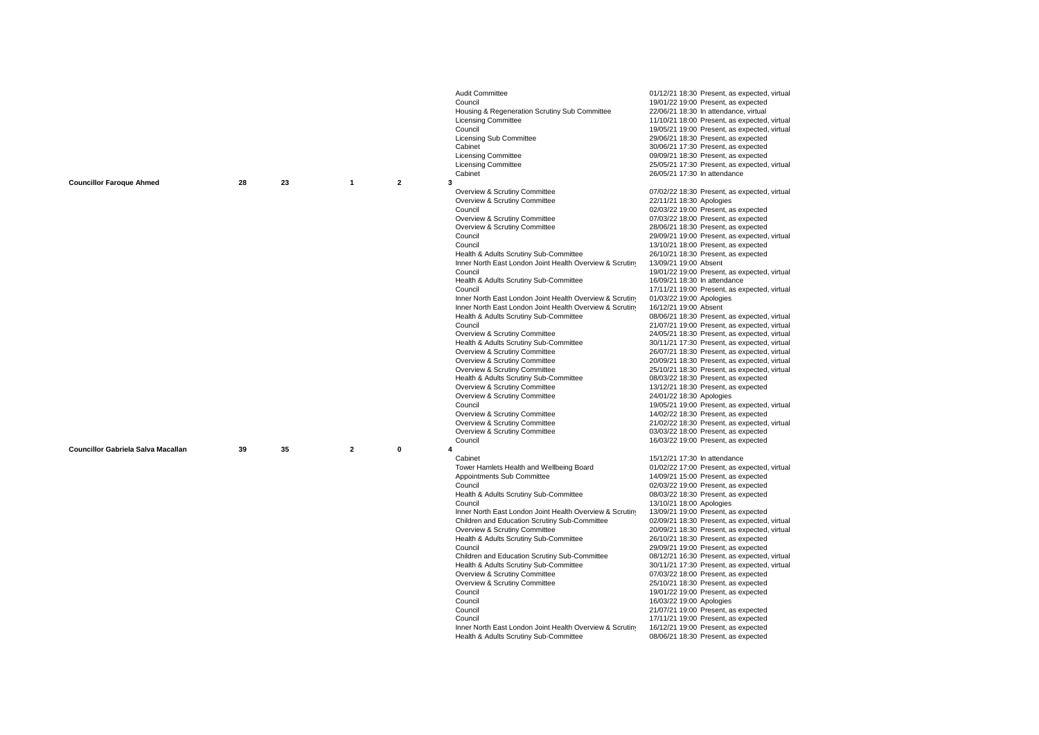|                                    |    |    |                |                | Audit Committee                                          | 01/12/21 18:30 Present, as expected, virtual |
|------------------------------------|----|----|----------------|----------------|----------------------------------------------------------|----------------------------------------------|
|                                    |    |    |                |                | Council                                                  | 19/01/22 19:00 Present, as expected          |
|                                    |    |    |                |                | Housing & Regeneration Scrutiny Sub Committee            | 22/06/21 18:30 In attendance, virtual        |
|                                    |    |    |                |                | <b>Licensing Committee</b>                               | 11/10/21 18:00 Present, as expected, virtual |
|                                    |    |    |                |                | Council                                                  | 19/05/21 19:00 Present, as expected, virtual |
|                                    |    |    |                |                | Licensing Sub Committee                                  | 29/06/21 18:30 Present, as expected          |
|                                    |    |    |                |                | Cabinet                                                  | 30/06/21 17:30 Present, as expected          |
|                                    |    |    |                |                | <b>Licensing Committee</b>                               | 09/09/21 18:30 Present, as expected          |
|                                    |    |    |                |                | <b>Licensing Committee</b>                               | 25/05/21 17:30 Present, as expected, virtual |
|                                    |    |    |                |                | Cabinet                                                  | 26/05/21 17:30 In attendance                 |
| <b>Councillor Faroque Ahmed</b>    | 28 | 23 | $\overline{1}$ | $\overline{2}$ | 3                                                        |                                              |
|                                    |    |    |                |                | Overview & Scrutiny Committee                            | 07/02/22 18:30 Present, as expected, virtual |
|                                    |    |    |                |                | Overview & Scrutiny Committee                            | 22/11/21 18:30 Apologies                     |
|                                    |    |    |                |                | Council                                                  | 02/03/22 19:00 Present, as expected          |
|                                    |    |    |                |                | Overview & Scrutiny Committee                            | 07/03/22 18:00 Present, as expected          |
|                                    |    |    |                |                | Overview & Scrutiny Committee                            | 28/06/21 18:30 Present, as expected          |
|                                    |    |    |                |                | Council                                                  | 29/09/21 19:00 Present, as expected, virtual |
|                                    |    |    |                |                | Council                                                  | 13/10/21 18:00 Present, as expected          |
|                                    |    |    |                |                | Health & Adults Scrutiny Sub-Committee                   | 26/10/21 18:30 Present, as expected          |
|                                    |    |    |                |                | Inner North East London Joint Health Overview & Scrutiny | 13/09/21 19:00 Absent                        |
|                                    |    |    |                |                | Council                                                  | 19/01/22 19:00 Present, as expected, virtual |
|                                    |    |    |                |                | Health & Adults Scrutiny Sub-Committee                   | 16/09/21 18:30 In attendance                 |
|                                    |    |    |                |                | Council                                                  | 17/11/21 19:00 Present, as expected, virtual |
|                                    |    |    |                |                |                                                          |                                              |
|                                    |    |    |                |                | Inner North East London Joint Health Overview & Scrutiny | 01/03/22 19:00 Apologies                     |
|                                    |    |    |                |                | Inner North East London Joint Health Overview & Scrutiny | 16/12/21 19:00 Absent                        |
|                                    |    |    |                |                | Health & Adults Scrutiny Sub-Committee                   | 08/06/21 18:30 Present, as expected, virtual |
|                                    |    |    |                |                | Council                                                  | 21/07/21 19:00 Present, as expected, virtual |
|                                    |    |    |                |                | Overview & Scrutiny Committee                            | 24/05/21 18:30 Present, as expected, virtual |
|                                    |    |    |                |                | Health & Adults Scrutiny Sub-Committee                   | 30/11/21 17:30 Present, as expected, virtual |
|                                    |    |    |                |                | Overview & Scrutiny Committee                            | 26/07/21 18:30 Present, as expected, virtual |
|                                    |    |    |                |                | Overview & Scrutiny Committee                            | 20/09/21 18:30 Present, as expected, virtual |
|                                    |    |    |                |                | Overview & Scrutiny Committee                            | 25/10/21 18:30 Present, as expected, virtual |
|                                    |    |    |                |                | Health & Adults Scrutiny Sub-Committee                   | 08/03/22 18:30 Present, as expected          |
|                                    |    |    |                |                | Overview & Scrutiny Committee                            | 13/12/21 18:30 Present, as expected          |
|                                    |    |    |                |                | Overview & Scrutiny Committee                            | 24/01/22 18:30 Apologies                     |
|                                    |    |    |                |                | Council                                                  | 19/05/21 19:00 Present, as expected, virtual |
|                                    |    |    |                |                | Overview & Scrutiny Committee                            | 14/02/22 18:30 Present, as expected          |
|                                    |    |    |                |                | Overview & Scrutiny Committee                            | 21/02/22 18:30 Present, as expected, virtual |
|                                    |    |    |                |                | Overview & Scrutiny Committee                            | 03/03/22 18:00 Present, as expected          |
|                                    |    |    |                |                | Council                                                  | 16/03/22 19:00 Present, as expected          |
| Councillor Gabriela Salva Macallan | 39 | 35 | $\overline{2}$ | $\mathbf 0$    | 4                                                        |                                              |
|                                    |    |    |                |                | Cabinet                                                  | 15/12/21 17:30 In attendance                 |
|                                    |    |    |                |                | Tower Hamlets Health and Wellbeing Board                 | 01/02/22 17:00 Present, as expected, virtual |
|                                    |    |    |                |                | Appointments Sub Committee                               | 14/09/21 15:00 Present, as expected          |
|                                    |    |    |                |                | Council                                                  | 02/03/22 19:00 Present, as expected          |
|                                    |    |    |                |                | Health & Adults Scrutiny Sub-Committee                   | 08/03/22 18:30 Present, as expected          |
|                                    |    |    |                |                | Council                                                  | 13/10/21 18:00 Apologies                     |
|                                    |    |    |                |                | Inner North East London Joint Health Overview & Scrutiny | 13/09/21 19:00 Present, as expected          |
|                                    |    |    |                |                | Children and Education Scrutiny Sub-Committee            | 02/09/21 18:30 Present, as expected, virtual |
|                                    |    |    |                |                | Overview & Scrutiny Committee                            | 20/09/21 18:30 Present, as expected, virtual |
|                                    |    |    |                |                | Health & Adults Scrutiny Sub-Committee                   | 26/10/21 18:30 Present, as expected          |
|                                    |    |    |                |                | Council                                                  | 29/09/21 19:00 Present, as expected          |
|                                    |    |    |                |                | Children and Education Scrutiny Sub-Committee            | 08/12/21 16:30 Present, as expected, virtual |
|                                    |    |    |                |                | Health & Adults Scrutiny Sub-Committee                   | 30/11/21 17:30 Present, as expected, virtual |
|                                    |    |    |                |                | Overview & Scrutiny Committee                            | 07/03/22 18:00 Present, as expected          |
|                                    |    |    |                |                | Overview & Scrutiny Committee                            | 25/10/21 18:30 Present, as expected          |
|                                    |    |    |                |                | Council                                                  | 19/01/22 19:00 Present, as expected          |
|                                    |    |    |                |                | Council                                                  | 16/03/22 19:00 Apologies                     |
|                                    |    |    |                |                | Council                                                  | 21/07/21 19:00 Present, as expected          |
|                                    |    |    |                |                | Council                                                  | 17/11/21 19:00 Present, as expected          |
|                                    |    |    |                |                | Inner North East London Joint Health Overview & Scrutiny | 16/12/21 19:00 Present, as expected          |
|                                    |    |    |                |                | Health & Adults Scrutiny Sub-Committee                   | 08/06/21 18:30 Present, as expected          |
|                                    |    |    |                |                |                                                          |                                              |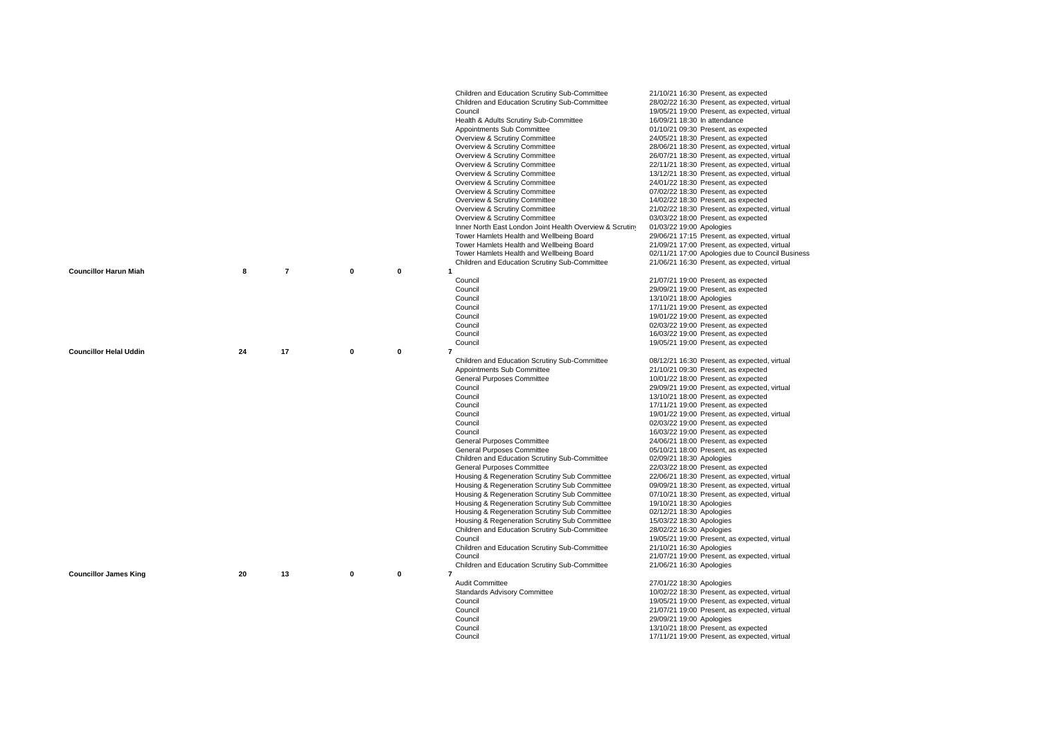|                               |    |                |             |               | Children and Education Scrutiny Sub-Committee            | 21/10/21 16:30 Present, as expected              |
|-------------------------------|----|----------------|-------------|---------------|----------------------------------------------------------|--------------------------------------------------|
|                               |    |                |             |               | Children and Education Scrutiny Sub-Committee            | 28/02/22 16:30 Present, as expected, virtual     |
|                               |    |                |             |               | Council                                                  | 19/05/21 19:00 Present, as expected, virtual     |
|                               |    |                |             |               | Health & Adults Scrutiny Sub-Committee                   | 16/09/21 18:30 In attendance                     |
|                               |    |                |             |               | Appointments Sub Committee                               | 01/10/21 09:30 Present, as expected              |
|                               |    |                |             |               | Overview & Scrutiny Committee                            | 24/05/21 18:30 Present, as expected              |
|                               |    |                |             |               | Overview & Scrutiny Committee                            | 28/06/21 18:30 Present, as expected, virtual     |
|                               |    |                |             |               | Overview & Scrutiny Committee                            | 26/07/21 18:30 Present, as expected, virtual     |
|                               |    |                |             |               | Overview & Scrutiny Committee                            | 22/11/21 18:30 Present, as expected, virtual     |
|                               |    |                |             |               | Overview & Scrutiny Committee                            | 13/12/21 18:30 Present, as expected, virtual     |
|                               |    |                |             |               | Overview & Scrutiny Committee                            | 24/01/22 18:30 Present, as expected              |
|                               |    |                |             |               | Overview & Scrutiny Committee                            | 07/02/22 18:30 Present, as expected              |
|                               |    |                |             |               | Overview & Scrutiny Committee                            | 14/02/22 18:30 Present, as expected              |
|                               |    |                |             |               | Overview & Scrutiny Committee                            | 21/02/22 18:30 Present, as expected, virtual     |
|                               |    |                |             |               | Overview & Scrutiny Committee                            | 03/03/22 18:00 Present, as expected              |
|                               |    |                |             |               | Inner North East London Joint Health Overview & Scrutiny | 01/03/22 19:00 Apologies                         |
|                               |    |                |             |               | Tower Hamlets Health and Wellbeing Board                 | 29/06/21 17:15 Present, as expected, virtual     |
|                               |    |                |             |               | Tower Hamlets Health and Wellbeing Board                 | 21/09/21 17:00 Present, as expected, virtual     |
|                               |    |                |             |               | Tower Hamlets Health and Wellbeing Board                 | 02/11/21 17:00 Apologies due to Council Business |
|                               |    |                |             |               | Children and Education Scrutiny Sub-Committee            | 21/06/21 16:30 Present, as expected, virtual     |
| <b>Councillor Harun Miah</b>  | 8  | $\overline{7}$ | $\mathbf 0$ | $\bf{0}$<br>1 |                                                          |                                                  |
|                               |    |                |             |               | Council                                                  | 21/07/21 19:00 Present, as expected              |
|                               |    |                |             |               | Council                                                  | 29/09/21 19:00 Present, as expected              |
|                               |    |                |             |               | Council                                                  | 13/10/21 18:00 Apologies                         |
|                               |    |                |             |               | Council                                                  | 17/11/21 19:00 Present, as expected              |
|                               |    |                |             |               | Council                                                  | 19/01/22 19:00 Present, as expected              |
|                               |    |                |             |               | Council                                                  | 02/03/22 19:00 Present, as expected              |
|                               |    |                |             |               | Council                                                  | 16/03/22 19:00 Present, as expected              |
|                               |    |                |             |               | Council                                                  | 19/05/21 19:00 Present, as expected              |
| <b>Councillor Helal Uddin</b> | 24 | 17             | $\mathbf 0$ | $\mathbf 0$   | $\overline{7}$                                           |                                                  |
|                               |    |                |             |               | Children and Education Scrutiny Sub-Committee            | 08/12/21 16:30 Present, as expected, virtual     |
|                               |    |                |             |               | Appointments Sub Committee                               | 21/10/21 09:30 Present, as expected              |
|                               |    |                |             |               | General Purposes Committee                               | 10/01/22 18:00 Present, as expected              |
|                               |    |                |             |               | Council                                                  | 29/09/21 19:00 Present, as expected, virtual     |
|                               |    |                |             |               | Council                                                  | 13/10/21 18:00 Present, as expected              |
|                               |    |                |             |               | Council                                                  | 17/11/21 19:00 Present, as expected              |
|                               |    |                |             |               | Council                                                  | 19/01/22 19:00 Present, as expected, virtual     |
|                               |    |                |             |               | Council                                                  | 02/03/22 19:00 Present, as expected              |
|                               |    |                |             |               | Council                                                  | 16/03/22 19:00 Present, as expected              |
|                               |    |                |             |               | General Purposes Committee                               | 24/06/21 18:00 Present, as expected              |
|                               |    |                |             |               | General Purposes Committee                               | 05/10/21 18:00 Present, as expected              |
|                               |    |                |             |               | Children and Education Scrutiny Sub-Committee            | 02/09/21 18:30 Apologies                         |
|                               |    |                |             |               | General Purposes Committee                               | 22/03/22 18:00 Present, as expected              |
|                               |    |                |             |               | Housing & Regeneration Scrutiny Sub Committee            | 22/06/21 18:30 Present, as expected, virtual     |
|                               |    |                |             |               | Housing & Regeneration Scrutiny Sub Committee            | 09/09/21 18:30 Present, as expected, virtual     |
|                               |    |                |             |               | Housing & Regeneration Scrutiny Sub Committee            | 07/10/21 18:30 Present, as expected, virtual     |
|                               |    |                |             |               | Housing & Regeneration Scrutiny Sub Committee            | 19/10/21 18:30 Apologies                         |
|                               |    |                |             |               | Housing & Regeneration Scrutiny Sub Committee            | 02/12/21 18:30 Apologies                         |
|                               |    |                |             |               | Housing & Regeneration Scrutiny Sub Committee            | 15/03/22 18:30 Apologies                         |
|                               |    |                |             |               | Children and Education Scrutiny Sub-Committee            | 28/02/22 16:30 Apologies                         |
|                               |    |                |             |               | Council                                                  | 19/05/21 19:00 Present, as expected, virtual     |
|                               |    |                |             |               | Children and Education Scrutiny Sub-Committee            | 21/10/21 16:30 Apologies                         |
|                               |    |                |             |               | Council                                                  | 21/07/21 19:00 Present, as expected, virtual     |
|                               |    |                |             |               | Children and Education Scrutiny Sub-Committee            | 21/06/21 16:30 Apologies                         |
| <b>Councillor James King</b>  | 20 | 13             | $\mathbf 0$ | 0             | $\overline{7}$                                           |                                                  |
|                               |    |                |             |               | Audit Committee                                          | 27/01/22 18:30 Apologies                         |
|                               |    |                |             |               | <b>Standards Advisory Committee</b>                      | 10/02/22 18:30 Present, as expected, virtual     |
|                               |    |                |             |               | Council                                                  | 19/05/21 19:00 Present, as expected, virtual     |
|                               |    |                |             |               | Council                                                  | 21/07/21 19:00 Present, as expected, virtual     |
|                               |    |                |             |               | Council                                                  | 29/09/21 19:00 Apologies                         |
|                               |    |                |             |               | Council                                                  | 13/10/21 18:00 Present, as expected              |
|                               |    |                |             |               | Council                                                  | 17/11/21 19:00 Present, as expected, virtual     |
|                               |    |                |             |               |                                                          |                                                  |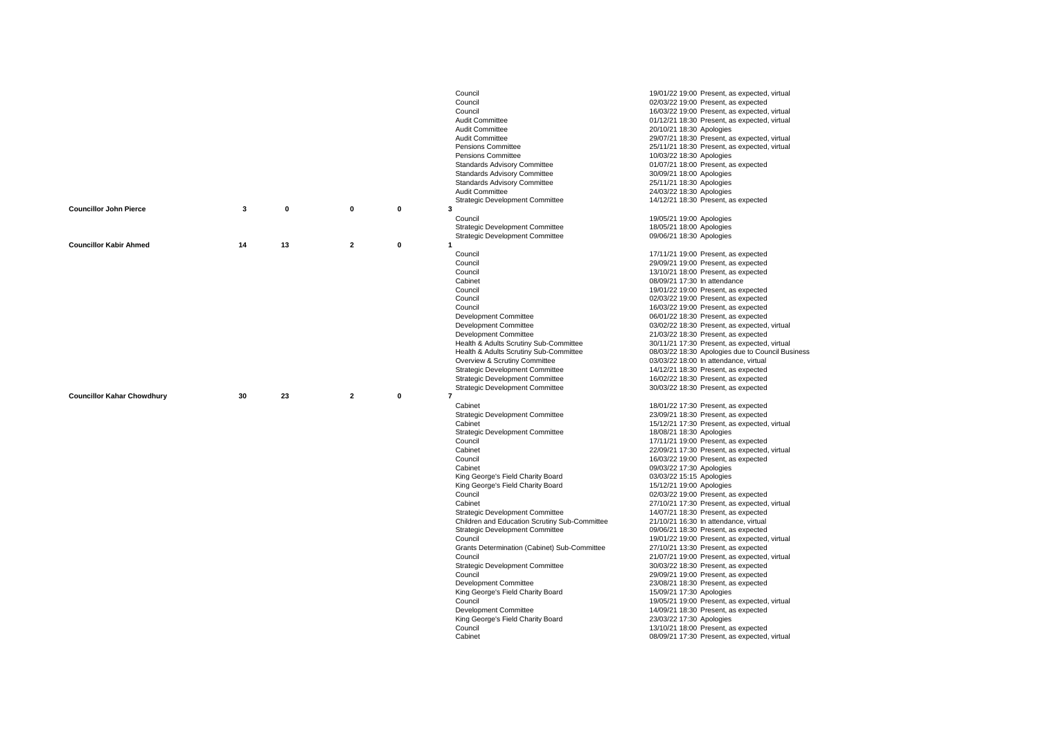|                                   |    |    |                |                  | Council                                       | 19/01/22 19:00 Present, as expected, virtual                                        |
|-----------------------------------|----|----|----------------|------------------|-----------------------------------------------|-------------------------------------------------------------------------------------|
|                                   |    |    |                |                  | Council                                       | 02/03/22 19:00 Present, as expected                                                 |
|                                   |    |    |                |                  | Council                                       | 16/03/22 19:00 Present, as expected, virtual                                        |
|                                   |    |    |                |                  | Audit Committee                               | 01/12/21 18:30 Present, as expected, virtual                                        |
|                                   |    |    |                |                  | Audit Committee                               | 20/10/21 18:30 Apologies                                                            |
|                                   |    |    |                |                  | <b>Audit Committee</b>                        | 29/07/21 18:30 Present, as expected, virtual                                        |
|                                   |    |    |                |                  | Pensions Committee                            | 25/11/21 18:30 Present, as expected, virtual                                        |
|                                   |    |    |                |                  | Pensions Committee                            | 10/03/22 18:30 Apologies                                                            |
|                                   |    |    |                |                  | <b>Standards Advisory Committee</b>           | 01/07/21 18:00 Present, as expected                                                 |
|                                   |    |    |                |                  | Standards Advisory Committee                  | 30/09/21 18:00 Apologies                                                            |
|                                   |    |    |                |                  | Standards Advisory Committee                  | 25/11/21 18:30 Apologies                                                            |
|                                   |    |    |                |                  | Audit Committee                               | 24/03/22 18:30 Apologies                                                            |
|                                   |    |    |                |                  | <b>Strategic Development Committee</b>        | 14/12/21 18:30 Present, as expected                                                 |
| <b>Councillor John Pierce</b>     | 3  | 0  | 0              | 0                | 3                                             |                                                                                     |
|                                   |    |    |                |                  | Council                                       | 19/05/21 19:00 Apologies                                                            |
|                                   |    |    |                |                  | <b>Strategic Development Committee</b>        |                                                                                     |
|                                   |    |    |                |                  |                                               | 18/05/21 18:00 Apologies                                                            |
| <b>Councillor Kabir Ahmed</b>     | 14 | 13 | $\overline{2}$ | $\mathbf 0$<br>1 | <b>Strategic Development Committee</b>        | 09/06/21 18:30 Apologies                                                            |
|                                   |    |    |                |                  |                                               |                                                                                     |
|                                   |    |    |                |                  | Council                                       | 17/11/21 19:00 Present, as expected                                                 |
|                                   |    |    |                |                  | Council                                       | 29/09/21 19:00 Present, as expected                                                 |
|                                   |    |    |                |                  | Council                                       | 13/10/21 18:00 Present, as expected                                                 |
|                                   |    |    |                |                  | Cabinet                                       | 08/09/21 17:30 In attendance                                                        |
|                                   |    |    |                |                  | Council                                       | 19/01/22 19:00 Present, as expected                                                 |
|                                   |    |    |                |                  | Council                                       | 02/03/22 19:00 Present, as expected                                                 |
|                                   |    |    |                |                  | Council                                       | 16/03/22 19:00 Present, as expected                                                 |
|                                   |    |    |                |                  | Development Committee                         | 06/01/22 18:30 Present, as expected                                                 |
|                                   |    |    |                |                  | Development Committee                         | 03/02/22 18:30 Present, as expected, virtual                                        |
|                                   |    |    |                |                  | <b>Development Committee</b>                  | 21/03/22 18:30 Present, as expected                                                 |
|                                   |    |    |                |                  | Health & Adults Scrutiny Sub-Committee        | 30/11/21 17:30 Present, as expected, virtual                                        |
|                                   |    |    |                |                  | Health & Adults Scrutiny Sub-Committee        | 08/03/22 18:30 Apologies due to Council Business                                    |
|                                   |    |    |                |                  | Overview & Scrutiny Committee                 | 03/03/22 18:00 In attendance, virtual                                               |
|                                   |    |    |                |                  |                                               |                                                                                     |
|                                   |    |    |                |                  | <b>Strategic Development Committee</b>        | 14/12/21 18:30 Present, as expected                                                 |
|                                   |    |    |                |                  | Strategic Development Committee               | 16/02/22 18:30 Present, as expected                                                 |
|                                   |    |    |                |                  | <b>Strategic Development Committee</b>        | 30/03/22 18:30 Present, as expected                                                 |
| <b>Councillor Kahar Chowdhury</b> | 30 | 23 | $\overline{2}$ | 0                | $\overline{\phantom{a}}$                      |                                                                                     |
|                                   |    |    |                |                  | Cabinet                                       | 18/01/22 17:30 Present, as expected                                                 |
|                                   |    |    |                |                  | <b>Strategic Development Committee</b>        | 23/09/21 18:30 Present, as expected                                                 |
|                                   |    |    |                |                  | Cabinet                                       | 15/12/21 17:30 Present, as expected, virtual                                        |
|                                   |    |    |                |                  | <b>Strategic Development Committee</b>        | 18/08/21 18:30 Apologies                                                            |
|                                   |    |    |                |                  | Council                                       | 17/11/21 19:00 Present, as expected                                                 |
|                                   |    |    |                |                  | Cabinet                                       |                                                                                     |
|                                   |    |    |                |                  | Council                                       | 22/09/21 17:30 Present, as expected, virtual                                        |
|                                   |    |    |                |                  | Cabinet                                       | 16/03/22 19:00 Present, as expected<br>09/03/22 17:30 Apologies                     |
|                                   |    |    |                |                  |                                               |                                                                                     |
|                                   |    |    |                |                  | King George's Field Charity Board             | 03/03/22 15:15 Apologies                                                            |
|                                   |    |    |                |                  | King George's Field Charity Board<br>Council  | 15/12/21 19:00 Apologies                                                            |
|                                   |    |    |                |                  |                                               | 02/03/22 19:00 Present, as expected                                                 |
|                                   |    |    |                |                  | Cabinet                                       | 27/10/21 17:30 Present, as expected, virtual                                        |
|                                   |    |    |                |                  | <b>Strategic Development Committee</b>        | 14/07/21 18:30 Present, as expected                                                 |
|                                   |    |    |                |                  | Children and Education Scrutiny Sub-Committee | 21/10/21 16:30 In attendance, virtual                                               |
|                                   |    |    |                |                  | <b>Strategic Development Committee</b>        | 09/06/21 18:30 Present, as expected                                                 |
|                                   |    |    |                |                  | Council                                       | 19/01/22 19:00 Present, as expected, virtual                                        |
|                                   |    |    |                |                  | Grants Determination (Cabinet) Sub-Committee  | 27/10/21 13:30 Present, as expected                                                 |
|                                   |    |    |                |                  | Council                                       | 21/07/21 19:00 Present, as expected, virtual                                        |
|                                   |    |    |                |                  | <b>Strategic Development Committee</b>        | 30/03/22 18:30 Present, as expected                                                 |
|                                   |    |    |                |                  | Council                                       | 29/09/21 19:00 Present, as expected                                                 |
|                                   |    |    |                |                  | Development Committee                         | 23/08/21 18:30 Present, as expected                                                 |
|                                   |    |    |                |                  | King George's Field Charity Board             | 15/09/21 17:30 Apologies                                                            |
|                                   |    |    |                |                  | Council                                       | 19/05/21 19:00 Present, as expected, virtual                                        |
|                                   |    |    |                |                  | Development Committee                         | 14/09/21 18:30 Present, as expected                                                 |
|                                   |    |    |                |                  | King George's Field Charity Board             | 23/03/22 17:30 Apologies                                                            |
|                                   |    |    |                |                  | Council<br>Cabinet                            | 13/10/21 18:00 Present, as expected<br>08/09/21 17:30 Present, as expected, virtual |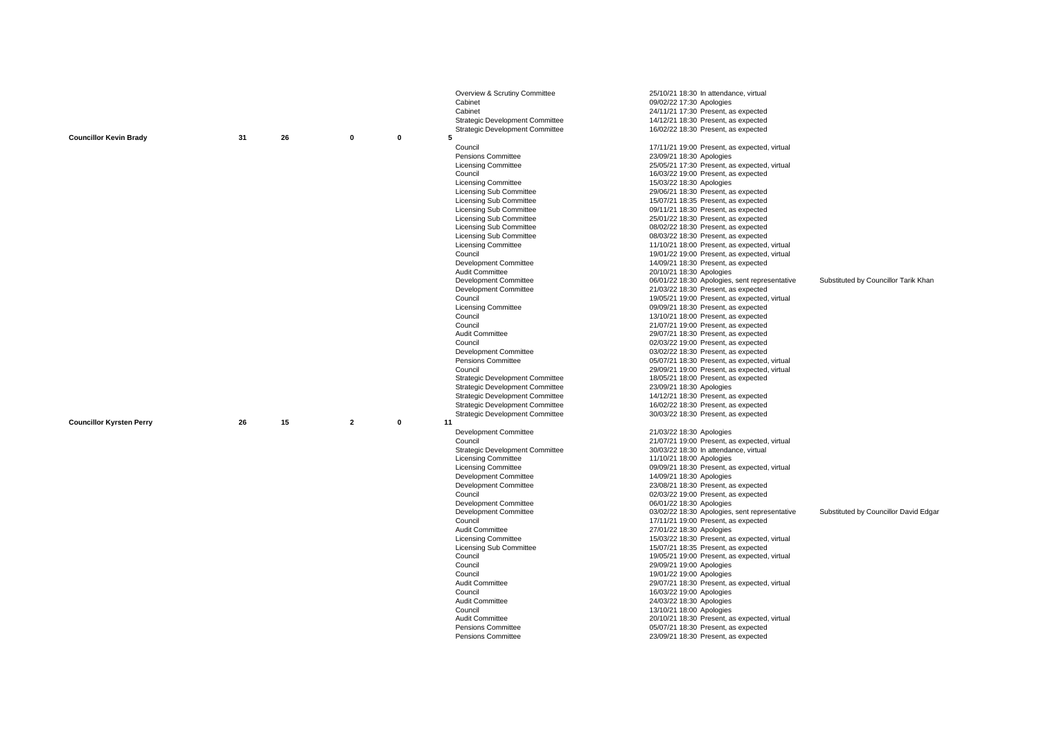|                                 |    |    |                |             | Overview & Scrutiny Committee          | 25/10/21 18:30 In attendance, virtual         |                                       |
|---------------------------------|----|----|----------------|-------------|----------------------------------------|-----------------------------------------------|---------------------------------------|
|                                 |    |    |                |             | Cabinet                                | 09/02/22 17:30 Apologies                      |                                       |
|                                 |    |    |                |             | Cabinet                                | 24/11/21 17:30 Present, as expected           |                                       |
|                                 |    |    |                |             | Strategic Development Committee        | 14/12/21 18:30 Present, as expected           |                                       |
|                                 |    |    |                |             | Strategic Development Committee        | 16/02/22 18:30 Present, as expected           |                                       |
| <b>Councillor Kevin Brady</b>   | 31 | 26 | 0              | 0           | 5                                      |                                               |                                       |
|                                 |    |    |                |             | Council                                | 17/11/21 19:00 Present, as expected, virtual  |                                       |
|                                 |    |    |                |             | <b>Pensions Committee</b>              | 23/09/21 18:30 Apologies                      |                                       |
|                                 |    |    |                |             | <b>Licensing Committee</b>             | 25/05/21 17:30 Present, as expected, virtual  |                                       |
|                                 |    |    |                |             | Council                                | 16/03/22 19:00 Present, as expected           |                                       |
|                                 |    |    |                |             | <b>Licensing Committee</b>             | 15/03/22 18:30 Apologies                      |                                       |
|                                 |    |    |                |             | Licensing Sub Committee                | 29/06/21 18:30 Present, as expected           |                                       |
|                                 |    |    |                |             | <b>Licensing Sub Committee</b>         | 15/07/21 18:35 Present, as expected           |                                       |
|                                 |    |    |                |             | Licensing Sub Committee                | 09/11/21 18:30 Present, as expected           |                                       |
|                                 |    |    |                |             | Licensing Sub Committee                | 25/01/22 18:30 Present, as expected           |                                       |
|                                 |    |    |                |             | Licensing Sub Committee                | 08/02/22 18:30 Present, as expected           |                                       |
|                                 |    |    |                |             | Licensing Sub Committee                | 08/03/22 18:30 Present, as expected           |                                       |
|                                 |    |    |                |             | <b>Licensing Committee</b>             | 11/10/21 18:00 Present, as expected, virtual  |                                       |
|                                 |    |    |                |             | Council                                | 19/01/22 19:00 Present, as expected, virtual  |                                       |
|                                 |    |    |                |             | Development Committee                  | 14/09/21 18:30 Present, as expected           |                                       |
|                                 |    |    |                |             | <b>Audit Committee</b>                 | 20/10/21 18:30 Apologies                      |                                       |
|                                 |    |    |                |             | Development Committee                  | 06/01/22 18:30 Apologies, sent representative | Substituted by Councillor Tarik Khan  |
|                                 |    |    |                |             | Development Committee                  | 21/03/22 18:30 Present, as expected           |                                       |
|                                 |    |    |                |             | Council                                | 19/05/21 19:00 Present, as expected, virtual  |                                       |
|                                 |    |    |                |             | <b>Licensing Committee</b>             | 09/09/21 18:30 Present, as expected           |                                       |
|                                 |    |    |                |             | Council                                | 13/10/21 18:00 Present, as expected           |                                       |
|                                 |    |    |                |             | Council                                | 21/07/21 19:00 Present, as expected           |                                       |
|                                 |    |    |                |             | Audit Committee                        | 29/07/21 18:30 Present, as expected           |                                       |
|                                 |    |    |                |             | Council                                | 02/03/22 19:00 Present, as expected           |                                       |
|                                 |    |    |                |             | Development Committee                  | 03/02/22 18:30 Present, as expected           |                                       |
|                                 |    |    |                |             | Pensions Committee                     | 05/07/21 18:30 Present, as expected, virtual  |                                       |
|                                 |    |    |                |             | Council                                | 29/09/21 19:00 Present, as expected, virtual  |                                       |
|                                 |    |    |                |             | Strategic Development Committee        | 18/05/21 18:00 Present, as expected           |                                       |
|                                 |    |    |                |             | Strategic Development Committee        | 23/09/21 18:30 Apologies                      |                                       |
|                                 |    |    |                |             | <b>Strategic Development Committee</b> | 14/12/21 18:30 Present, as expected           |                                       |
|                                 |    |    |                |             | <b>Strategic Development Committee</b> | 16/02/22 18:30 Present, as expected           |                                       |
|                                 |    |    |                |             | <b>Strategic Development Committee</b> | 30/03/22 18:30 Present, as expected           |                                       |
| <b>Councillor Kyrsten Perry</b> | 26 | 15 | $\overline{2}$ | $\mathbf 0$ | 11                                     |                                               |                                       |
|                                 |    |    |                |             | Development Committee                  | 21/03/22 18:30 Apologies                      |                                       |
|                                 |    |    |                |             | Council                                | 21/07/21 19:00 Present, as expected, virtual  |                                       |
|                                 |    |    |                |             | <b>Strategic Development Committee</b> | 30/03/22 18:30 In attendance, virtual         |                                       |
|                                 |    |    |                |             | <b>Licensing Committee</b>             | 11/10/21 18:00 Apologies                      |                                       |
|                                 |    |    |                |             | Licensing Committee                    | 09/09/21 18:30 Present, as expected, virtual  |                                       |
|                                 |    |    |                |             | Development Committee                  | 14/09/21 18:30 Apologies                      |                                       |
|                                 |    |    |                |             | Development Committee                  | 23/08/21 18:30 Present, as expected           |                                       |
|                                 |    |    |                |             | Council                                | 02/03/22 19:00 Present, as expected           |                                       |
|                                 |    |    |                |             | Development Committee                  | 06/01/22 18:30 Apologies                      |                                       |
|                                 |    |    |                |             | Development Committee                  | 03/02/22 18:30 Apologies, sent representative | Substituted by Councillor David Edgar |
|                                 |    |    |                |             | Council                                | 17/11/21 19:00 Present, as expected           |                                       |
|                                 |    |    |                |             | Audit Committee                        | 27/01/22 18:30 Apologies                      |                                       |
|                                 |    |    |                |             | <b>Licensing Committee</b>             | 15/03/22 18:30 Present, as expected, virtual  |                                       |
|                                 |    |    |                |             | Licensing Sub Committee                | 15/07/21 18:35 Present, as expected           |                                       |
|                                 |    |    |                |             | Council                                | 19/05/21 19:00 Present, as expected, virtual  |                                       |
|                                 |    |    |                |             | Council                                | 29/09/21 19:00 Apologies                      |                                       |
|                                 |    |    |                |             | Council                                | 19/01/22 19:00 Apologies                      |                                       |
|                                 |    |    |                |             | Audit Committee                        | 29/07/21 18:30 Present, as expected, virtual  |                                       |
|                                 |    |    |                |             | Council                                | 16/03/22 19:00 Apologies                      |                                       |
|                                 |    |    |                |             | Audit Committee                        | 24/03/22 18:30 Apologies                      |                                       |
|                                 |    |    |                |             | Council                                | 13/10/21 18:00 Apologies                      |                                       |
|                                 |    |    |                |             | <b>Audit Committee</b>                 | 20/10/21 18:30 Present, as expected, virtual  |                                       |
|                                 |    |    |                |             | Pensions Committee                     | 05/07/21 18:30 Present, as expected           |                                       |
|                                 |    |    |                |             | Pensions Committee                     | 23/09/21 18:30 Present, as expected           |                                       |
|                                 |    |    |                |             |                                        |                                               |                                       |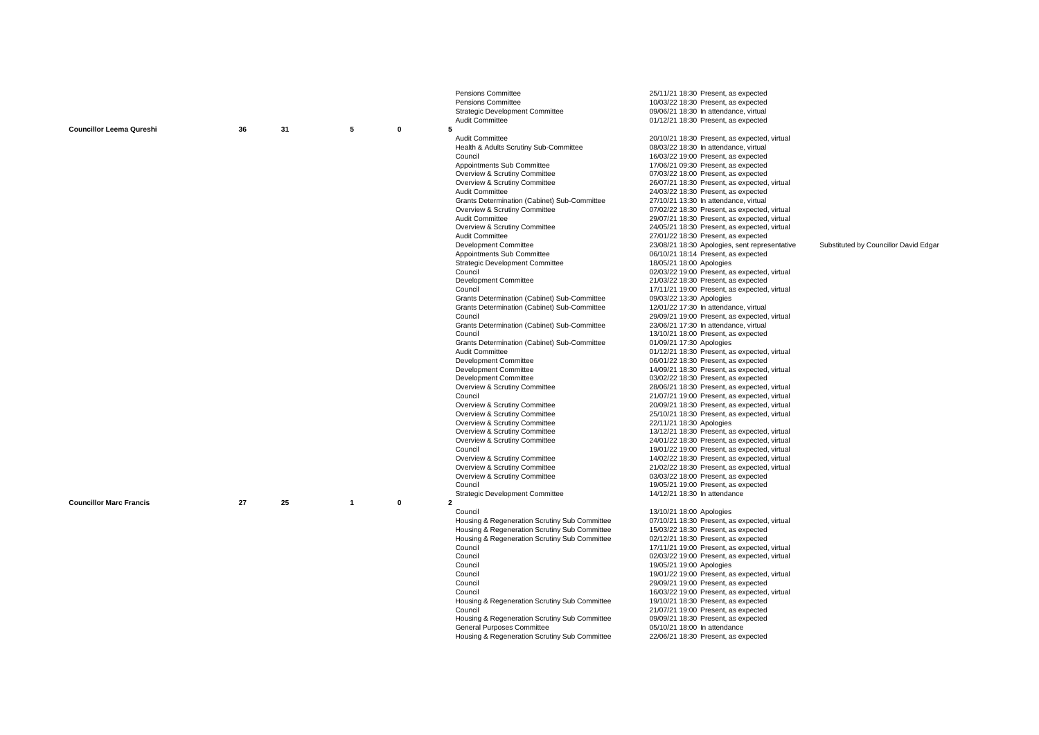|                                 |    |    |              |   | Pensions Committee                                             | 25/11/21 18:30 Present, as expected                                      |                                       |
|---------------------------------|----|----|--------------|---|----------------------------------------------------------------|--------------------------------------------------------------------------|---------------------------------------|
|                                 |    |    |              |   | Pensions Committee                                             | 10/03/22 18:30 Present, as expected                                      |                                       |
|                                 |    |    |              |   | <b>Strategic Development Committee</b>                         | 09/06/21 18:30 In attendance, virtual                                    |                                       |
| <b>Councillor Leema Qureshi</b> | 36 | 31 | 5            | 0 | Audit Committee<br>5                                           | 01/12/21 18:30 Present, as expected                                      |                                       |
|                                 |    |    |              |   | Audit Committee                                                | 20/10/21 18:30 Present, as expected, virtual                             |                                       |
|                                 |    |    |              |   | Health & Adults Scrutiny Sub-Committee                         | 08/03/22 18:30 In attendance, virtual                                    |                                       |
|                                 |    |    |              |   | Council                                                        | 16/03/22 19:00 Present, as expected                                      |                                       |
|                                 |    |    |              |   | Appointments Sub Committee                                     | 17/06/21 09:30 Present, as expected                                      |                                       |
|                                 |    |    |              |   | Overview & Scrutiny Committee                                  | 07/03/22 18:00 Present, as expected                                      |                                       |
|                                 |    |    |              |   | Overview & Scrutiny Committee                                  | 26/07/21 18:30 Present, as expected, virtual                             |                                       |
|                                 |    |    |              |   | Audit Committee                                                | 24/03/22 18:30 Present, as expected                                      |                                       |
|                                 |    |    |              |   | Grants Determination (Cabinet) Sub-Committee                   | 27/10/21 13:30 In attendance, virtual                                    |                                       |
|                                 |    |    |              |   | Overview & Scrutiny Committee                                  | 07/02/22 18:30 Present, as expected, virtual                             |                                       |
|                                 |    |    |              |   | <b>Audit Committee</b>                                         | 29/07/21 18:30 Present, as expected, virtual                             |                                       |
|                                 |    |    |              |   | Overview & Scrutiny Committee                                  | 24/05/21 18:30 Present, as expected, virtual                             |                                       |
|                                 |    |    |              |   | Audit Committee                                                | 27/01/22 18:30 Present, as expected                                      |                                       |
|                                 |    |    |              |   | Development Committee                                          | 23/08/21 18:30 Apologies, sent representative                            | Substituted by Councillor David Edgar |
|                                 |    |    |              |   | Appointments Sub Committee                                     | 06/10/21 18:14 Present, as expected                                      |                                       |
|                                 |    |    |              |   | <b>Strategic Development Committee</b><br>Council              | 18/05/21 18:00 Apologies<br>02/03/22 19:00 Present, as expected, virtual |                                       |
|                                 |    |    |              |   | Development Committee                                          | 21/03/22 18:30 Present, as expected                                      |                                       |
|                                 |    |    |              |   | Council                                                        | 17/11/21 19:00 Present, as expected, virtual                             |                                       |
|                                 |    |    |              |   | Grants Determination (Cabinet) Sub-Committee                   | 09/03/22 13:30 Apologies                                                 |                                       |
|                                 |    |    |              |   | Grants Determination (Cabinet) Sub-Committee                   | 12/01/22 17:30 In attendance, virtual                                    |                                       |
|                                 |    |    |              |   | Council                                                        | 29/09/21 19:00 Present, as expected, virtual                             |                                       |
|                                 |    |    |              |   | Grants Determination (Cabinet) Sub-Committee                   | 23/06/21 17:30 In attendance, virtual                                    |                                       |
|                                 |    |    |              |   | Council                                                        | 13/10/21 18:00 Present, as expected                                      |                                       |
|                                 |    |    |              |   | Grants Determination (Cabinet) Sub-Committee                   | 01/09/21 17:30 Apologies                                                 |                                       |
|                                 |    |    |              |   | Audit Committee                                                | 01/12/21 18:30 Present, as expected, virtual                             |                                       |
|                                 |    |    |              |   | Development Committee                                          | 06/01/22 18:30 Present, as expected                                      |                                       |
|                                 |    |    |              |   | Development Committee                                          | 14/09/21 18:30 Present, as expected, virtual                             |                                       |
|                                 |    |    |              |   | Development Committee                                          | 03/02/22 18:30 Present, as expected                                      |                                       |
|                                 |    |    |              |   | Overview & Scrutiny Committee                                  | 28/06/21 18:30 Present, as expected, virtual                             |                                       |
|                                 |    |    |              |   | Council                                                        | 21/07/21 19:00 Present, as expected, virtual                             |                                       |
|                                 |    |    |              |   | Overview & Scrutiny Committee                                  | 20/09/21 18:30 Present, as expected, virtual                             |                                       |
|                                 |    |    |              |   | Overview & Scrutiny Committee<br>Overview & Scrutiny Committee | 25/10/21 18:30 Present, as expected, virtual<br>22/11/21 18:30 Apologies |                                       |
|                                 |    |    |              |   | Overview & Scrutiny Committee                                  | 13/12/21 18:30 Present, as expected, virtual                             |                                       |
|                                 |    |    |              |   | Overview & Scrutiny Committee                                  | 24/01/22 18:30 Present, as expected, virtual                             |                                       |
|                                 |    |    |              |   | Council                                                        | 19/01/22 19:00 Present, as expected, virtual                             |                                       |
|                                 |    |    |              |   | Overview & Scrutiny Committee                                  | 14/02/22 18:30 Present, as expected, virtual                             |                                       |
|                                 |    |    |              |   | Overview & Scrutiny Committee                                  | 21/02/22 18:30 Present, as expected, virtual                             |                                       |
|                                 |    |    |              |   | Overview & Scrutiny Committee                                  | 03/03/22 18:00 Present, as expected                                      |                                       |
|                                 |    |    |              |   | Council                                                        | 19/05/21 19:00 Present, as expected                                      |                                       |
|                                 |    |    |              |   | <b>Strategic Development Committee</b>                         | 14/12/21 18:30 In attendance                                             |                                       |
| <b>Councillor Marc Francis</b>  | 27 | 25 | $\mathbf{1}$ | 0 | $\overline{\mathbf{c}}$                                        |                                                                          |                                       |
|                                 |    |    |              |   | Council                                                        | 13/10/21 18:00 Apologies                                                 |                                       |
|                                 |    |    |              |   | Housing & Regeneration Scrutiny Sub Committee                  | 07/10/21 18:30 Present, as expected, virtual                             |                                       |
|                                 |    |    |              |   | Housing & Regeneration Scrutiny Sub Committee                  | 15/03/22 18:30 Present, as expected                                      |                                       |
|                                 |    |    |              |   | Housing & Regeneration Scrutiny Sub Committee                  | 02/12/21 18:30 Present, as expected                                      |                                       |
|                                 |    |    |              |   | Council                                                        | 17/11/21 19:00 Present, as expected, virtual                             |                                       |
|                                 |    |    |              |   | Council<br>Council                                             | 02/03/22 19:00 Present, as expected, virtual<br>19/05/21 19:00 Apologies |                                       |
|                                 |    |    |              |   | Council                                                        | 19/01/22 19:00 Present, as expected, virtual                             |                                       |
|                                 |    |    |              |   | Council                                                        | 29/09/21 19:00 Present, as expected                                      |                                       |
|                                 |    |    |              |   | Council                                                        | 16/03/22 19:00 Present, as expected, virtual                             |                                       |
|                                 |    |    |              |   | Housing & Regeneration Scrutiny Sub Committee                  | 19/10/21 18:30 Present, as expected                                      |                                       |
|                                 |    |    |              |   | Council                                                        | 21/07/21 19:00 Present, as expected                                      |                                       |
|                                 |    |    |              |   | Housing & Regeneration Scrutiny Sub Committee                  | 09/09/21 18:30 Present, as expected                                      |                                       |
|                                 |    |    |              |   | General Purposes Committee                                     | 05/10/21 18:00 In attendance                                             |                                       |
|                                 |    |    |              |   | Housing & Regeneration Scrutiny Sub Committee                  | 22/06/21 18:30 Present, as expected                                      |                                       |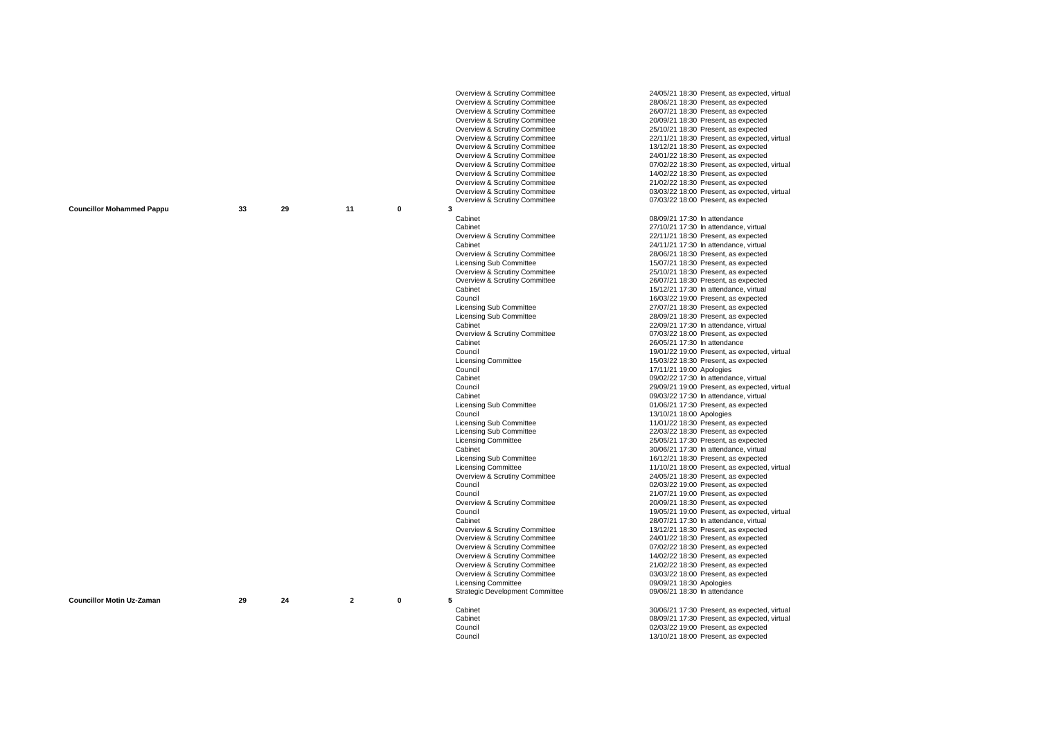|                                  |    |    |                |             | Overview & Scrutiny Committee          | 24/05/21 18:30 Present, as expected, virtual |
|----------------------------------|----|----|----------------|-------------|----------------------------------------|----------------------------------------------|
|                                  |    |    |                |             | Overview & Scrutiny Committee          | 28/06/21 18:30 Present, as expected          |
|                                  |    |    |                |             |                                        |                                              |
|                                  |    |    |                |             | Overview & Scrutiny Committee          | 26/07/21 18:30 Present, as expected          |
|                                  |    |    |                |             | Overview & Scrutiny Committee          | 20/09/21 18:30 Present, as expected          |
|                                  |    |    |                |             | Overview & Scrutiny Committee          | 25/10/21 18:30 Present, as expected          |
|                                  |    |    |                |             |                                        |                                              |
|                                  |    |    |                |             | Overview & Scrutiny Committee          | 22/11/21 18:30 Present, as expected, virtual |
|                                  |    |    |                |             | Overview & Scrutiny Committee          | 13/12/21 18:30 Present, as expected          |
|                                  |    |    |                |             | Overview & Scrutiny Committee          | 24/01/22 18:30 Present, as expected          |
|                                  |    |    |                |             |                                        |                                              |
|                                  |    |    |                |             | Overview & Scrutiny Committee          | 07/02/22 18:30 Present, as expected, virtual |
|                                  |    |    |                |             | Overview & Scrutiny Committee          | 14/02/22 18:30 Present, as expected          |
|                                  |    |    |                |             | Overview & Scrutiny Committee          | 21/02/22 18:30 Present, as expected          |
|                                  |    |    |                |             | Overview & Scrutiny Committee          | 03/03/22 18:00 Present, as expected, virtual |
|                                  |    |    |                |             |                                        |                                              |
|                                  |    |    |                |             | Overview & Scrutiny Committee          | 07/03/22 18:00 Present, as expected          |
| <b>Councillor Mohammed Pappu</b> | 33 | 29 | 11             | 0           | 3                                      |                                              |
|                                  |    |    |                |             | Cabinet                                | 08/09/21 17:30 In attendance                 |
|                                  |    |    |                |             |                                        |                                              |
|                                  |    |    |                |             | Cabinet                                | 27/10/21 17:30 In attendance, virtual        |
|                                  |    |    |                |             | Overview & Scrutiny Committee          | 22/11/21 18:30 Present, as expected          |
|                                  |    |    |                |             | Cabinet                                | 24/11/21 17:30 In attendance, virtual        |
|                                  |    |    |                |             |                                        |                                              |
|                                  |    |    |                |             | Overview & Scrutiny Committee          | 28/06/21 18:30 Present, as expected          |
|                                  |    |    |                |             | <b>Licensing Sub Committee</b>         | 15/07/21 18:30 Present, as expected          |
|                                  |    |    |                |             | Overview & Scrutiny Committee          | 25/10/21 18:30 Present, as expected          |
|                                  |    |    |                |             |                                        |                                              |
|                                  |    |    |                |             | Overview & Scrutiny Committee          | 26/07/21 18:30 Present, as expected          |
|                                  |    |    |                |             | Cabinet                                | 15/12/21 17:30 In attendance, virtual        |
|                                  |    |    |                |             | Council                                | 16/03/22 19:00 Present, as expected          |
|                                  |    |    |                |             | Licensing Sub Committee                | 27/07/21 18:30 Present, as expected          |
|                                  |    |    |                |             |                                        |                                              |
|                                  |    |    |                |             | <b>Licensing Sub Committee</b>         | 28/09/21 18:30 Present, as expected          |
|                                  |    |    |                |             | Cabinet                                | 22/09/21 17:30 In attendance, virtual        |
|                                  |    |    |                |             | Overview & Scrutiny Committee          | 07/03/22 18:00 Present, as expected          |
|                                  |    |    |                |             |                                        |                                              |
|                                  |    |    |                |             | Cabinet                                | 26/05/21 17:30 In attendance                 |
|                                  |    |    |                |             | Council                                | 19/01/22 19:00 Present, as expected, virtual |
|                                  |    |    |                |             | <b>Licensing Committee</b>             | 15/03/22 18:30 Present, as expected          |
|                                  |    |    |                |             |                                        |                                              |
|                                  |    |    |                |             | Council                                | 17/11/21 19:00 Apologies                     |
|                                  |    |    |                |             | Cabinet                                | 09/02/22 17:30 In attendance, virtual        |
|                                  |    |    |                |             | Council                                | 29/09/21 19:00 Present, as expected, virtual |
|                                  |    |    |                |             | Cabinet                                |                                              |
|                                  |    |    |                |             |                                        | 09/03/22 17:30 In attendance, virtual        |
|                                  |    |    |                |             | Licensing Sub Committee                | 01/06/21 17:30 Present, as expected          |
|                                  |    |    |                |             | Council                                | 13/10/21 18:00 Apologies                     |
|                                  |    |    |                |             | <b>Licensing Sub Committee</b>         | 11/01/22 18:30 Present, as expected          |
|                                  |    |    |                |             |                                        |                                              |
|                                  |    |    |                |             | Licensing Sub Committee                | 22/03/22 18:30 Present, as expected          |
|                                  |    |    |                |             | <b>Licensing Committee</b>             | 25/05/21 17:30 Present, as expected          |
|                                  |    |    |                |             | Cabinet                                | 30/06/21 17:30 In attendance, virtual        |
|                                  |    |    |                |             |                                        |                                              |
|                                  |    |    |                |             | Licensing Sub Committee                | 16/12/21 18:30 Present, as expected          |
|                                  |    |    |                |             | <b>Licensing Committee</b>             | 11/10/21 18:00 Present, as expected, virtual |
|                                  |    |    |                |             | Overview & Scrutiny Committee          | 24/05/21 18:30 Present, as expected          |
|                                  |    |    |                |             | Council                                | 02/03/22 19:00 Present, as expected          |
|                                  |    |    |                |             |                                        |                                              |
|                                  |    |    |                |             | Council                                | 21/07/21 19:00 Present, as expected          |
|                                  |    |    |                |             | Overview & Scrutiny Committee          | 20/09/21 18:30 Present, as expected          |
|                                  |    |    |                |             | Council                                | 19/05/21 19:00 Present, as expected, virtual |
|                                  |    |    |                |             |                                        |                                              |
|                                  |    |    |                |             | Cabinet                                | 28/07/21 17:30 In attendance, virtual        |
|                                  |    |    |                |             | Overview & Scrutiny Committee          | 13/12/21 18:30 Present, as expected          |
|                                  |    |    |                |             | Overview & Scrutiny Committee          | 24/01/22 18:30 Present, as expected          |
|                                  |    |    |                |             | Overview & Scrutiny Committee          | 07/02/22 18:30 Present, as expected          |
|                                  |    |    |                |             |                                        |                                              |
|                                  |    |    |                |             | Overview & Scrutiny Committee          | 14/02/22 18:30 Present, as expected          |
|                                  |    |    |                |             | Overview & Scrutiny Committee          | 21/02/22 18:30 Present, as expected          |
|                                  |    |    |                |             | Overview & Scrutiny Committee          | 03/03/22 18:00 Present, as expected          |
|                                  |    |    |                |             |                                        |                                              |
|                                  |    |    |                |             | <b>Licensing Committee</b>             | 09/09/21 18:30 Apologies                     |
|                                  |    |    |                |             | <b>Strategic Development Committee</b> | 09/06/21 18:30 In attendance                 |
| <b>Councillor Motin Uz-Zaman</b> | 29 | 24 | $\overline{2}$ | $\mathbf 0$ | 5                                      |                                              |
|                                  |    |    |                |             | Cabinet                                | 30/06/21 17:30 Present, as expected, virtual |
|                                  |    |    |                |             |                                        |                                              |
|                                  |    |    |                |             | Cabinet                                | 08/09/21 17:30 Present, as expected, virtual |
|                                  |    |    |                |             | Council                                | 02/03/22 19:00 Present, as expected          |
|                                  |    |    |                |             |                                        |                                              |
|                                  |    |    |                |             | Council                                | 13/10/21 18:00 Present, as expected          |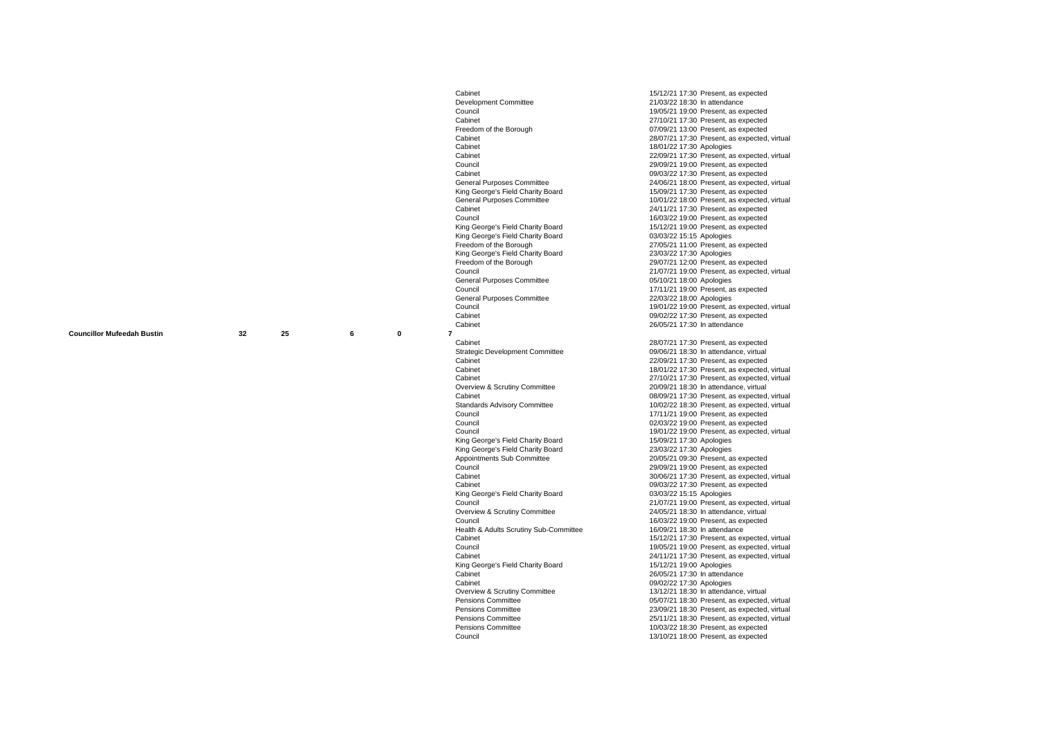| <b>Councillor Mufeedah Bustin</b> | 32 | 25 |
|-----------------------------------|----|----|
|-----------------------------------|----|----|

**6**

**0**

Cabinet<br>
Council Committee 15/12/21 17:30 Present, as expected<br>
21/03/22 18:30 In attendance Development Committee 21/03/22 18:30 In attendance<br>Council 21/05/21 19:00 Present as ex Council<br>Cabinet Motion Motion 27/10/21 19:00 Present, as expected<br>Cabinet Cabinet<br>
Cabinet 27/10/21 17:30 Present, as expected<br>
Freedom of the Borough<br>
Cabinet 27/10/21 13:00 Present as expected Freedom of the Borough 07/09/21 13:00 Present, as expected<br>Cabinet 28/07/21 17:30 Present, as expected. Cabinet 2012/22 17:30 Apologies 2014 Motivative Cabinet 2014 Motivative Motivative 2014 18/01/22 17:30 Apologies Council<br>Council 29/09/21 19:00 Present, as expected<br>Copinet Council 20/09/21 19:00 Present as expected Cabinet<br>
Council Purposes Committee<br>
Ceneral Purposes Committee<br>
24/06/21 18:00 Present, as expected King George's Field Charity Board<br>
General Purposes Committee **15/09/21 17:30** Present, as expected.<br>
10/01/22 18:00 Present, as expected. Colonet 24/11/21 17:30 Present, as expected<br>Council<br> $16/03/22.19 \cdot 10$  Present as expected Council<br>Council Moting George's Field Charity Board<br>
Moting George's Field Charity Board<br>
The Motin Uz-221 19:00 Present, as expected King George's Field Charity Board<br>Freedom of the Borough King George's Field Charity Board<br>Freedom of the Borough Freedom of the Borough 29/07/21 12:00 Present, as expected<br>Council 21/07/21 19:00 Present as expected General Purposes Committee<br>Council General Purposes Committee<br>Council Cabinet Cabinet Cabinet Cabinet Cabinet Cabinet Cabinet Cabinet Cabinet Cabinet Cabinet Cabinet Cabinet Cabinet Cabinet 26/05/21 17:30 In attendance<br>32 25 6 0 7 **7** Members' Learning and Development-2018-2022 29/07/2021 18:30 Cabinet<br>
Cabinet Committee 28/07/21 17:30 Present, as expected<br>
O9/06/21 18:30 In attendance, virtual Strategic Development Committee<br>Cabinet Cabinet 22/09/21 17:30 Present, as expected<br>
Cobinet 22/09/21 17:30 Present, as expected<br>
Cobinet Overview & Scrutiny Committee<br>Cabinet Committee 20/09/21 18:30 In attendance, virtual<br>Cabinet Sexuested Council Council Council Council Council Council Council Council Council Council Council Council Council Council Council Council Council Council Council Council Council Council Council Council Council Council Council Counci Council<br>Council Council Council Council Council Council Council Council Council Council Council Council Council Council Council Council Council Council Council Council Council Council Council Council Council Council Counci King George's Field Charity Board<br>
King George's Field Charity Board 15/09/21 17:30 Apologies<br>
23/03/22 17:30 Apologies King George's Field Charity Board<br>Appointments Sub Committee Appointments Sub Committee 20/05/21 09:30 Present, as expected<br>Council 29/09/21 19:00 Present. as expected Council<br>Council<br>Cabinet Cabinet 20/06/21 17:30 Present, as expected. King George's Field Charity Board<br>Council Overview & Scrutiny Committee 24/05/21 18:30 In attendance, virtual<br>Council<br>Council Health & Adults Scrutiny Sub-Committee **Council**<br>
King George's Field Charity Board<br>
Cabinet Cabinet 26/05/21 17:30 In attendance<br>Cabinet 26/05/21 17:30 In attendance<br>09/02/22 17:30 Apologies Overview & Scrutiny Committee<br>Pensions Committee Council Council Council Council Mustave Mustave Mustave Mustave Mustave Mustave Mustave Mustave Mustave Mustave

Cabinet 28/07/21 17:30 Present, as expected, virtual<br>Cabinet 18/01/22 17:30 Apologies Cabinet 22/09/21 17:30 Present, as expected, virtual<br>Council 29/09/21 19:00 Present, as expected General Purposes Committee 24/06/21 18:00 Present, as expected, virtual<br>
King George's Field Charity Board<br>
15/09/21 17:30 Present, as expected General Purposes Committee 10/01/22 18:00 Present, as expected, virtual<br>Cabinet 24/11/21 17:30 Present as expected 15/12/21 19:00 Present, as expected 03/03/22 15:15 Apploaces  $27/05/21$  11:00 Present, as expected<br> $23/03/22$  17:30 Apologies  $21/07/21$  19:00 Present, as expected, virtual  $0.5/10/21$  18:00 Apologies 17/11/21 19:00 Present, as expected<br>22/03/22 18:00 Apologies Council<br>Cabinet Motin Uz-20 19:00 Present, as expected, virtual<br>  $\frac{0.000222227:30 \text{ Present, as expected}}{0.90222227:30 \text{ Present, as expected}}$ Cabinet Council Cabinet 18/01/22 17:30 Present, as expected, virtual<br>Cabinet 27/10/21 17:30 Present as expected virtual Cabinet<br>
Council overview & Scrutin Committee<br>
20/09/21 18:30 In attendance, virtual<br>
20/09/21 18:30 In attendance, virtual Cabinet<br>
Cabinet Councillor Mufeedah Bustin Cabinet Cabinet Cabinet Cabinet Cabinet Cabinet Cabinet Cabinet Cabinet Ca<br>
Cabinet Cabinet Cabinet Cabinet Cabinet Cabinet Cabinet Cabinet Cabinet Cabinet Cabinet Cabinet Cabine Standards Advisory Committee 10/02/22 18:30 Present, as expected, virtual<br>Council committee 17/11/21 19:00 Present, as expected 19/01/22 19:00 Present, as expected, virtual<br>15/09/21 17:30 Apologies Council<br>Cabinet 30/06/21 17:30 Present, as expected, virtual<br>Cabinet 30/06/21 17:30 Present, as expected 09/03/22 17:30 Present, as expected<br>03/03/22 15:15 Apologies Council Council Council Council Council 21/07/21 19:00 Present, as expected, virtual<br>
Coverview & Scrutiny Committee<br>
24/05/21 18:30 In attendance, virtual 16/03/22 19:00 Present, as expected<br>16/09/21 18:30 In attendance Cabinet Council Council Council Council Council<br>Council Council Council Council Council Council Council Council Council Council Council Council Council Council Council Council Council Council Council Council Council Counci Council Council Council Council 19/05/21 19:00 Present, as expected, virtual<br>
Cabinet Cabinet Cause 24/11/21 17:30 Present, as expected, virtual  $24/11/21$  17:30 Present, as expected, virtual  $15/12/21$  19:00 Apologies 09/02/22 17:30 Apologies<br>13/12/21 18:30 In attendance virtual Pensions Committee<br>
Pensions Committee<br>
Pensions Committee 05/07/21 18:30 Present as expected virtual<br>
Pensions Committee Pensions Committee<br>
Pensions Committee 23/09/21 18:30 Present, as expected, virtual<br>
25/11/21 18:30 Present as expected virtual Pensions Committee<br>
Pensions Committee 25/11/21 18:30 Present, as expected, virtual<br>
25/11/21 18:30 Present, as expected  $10/03/22$  18:30 Present, as expected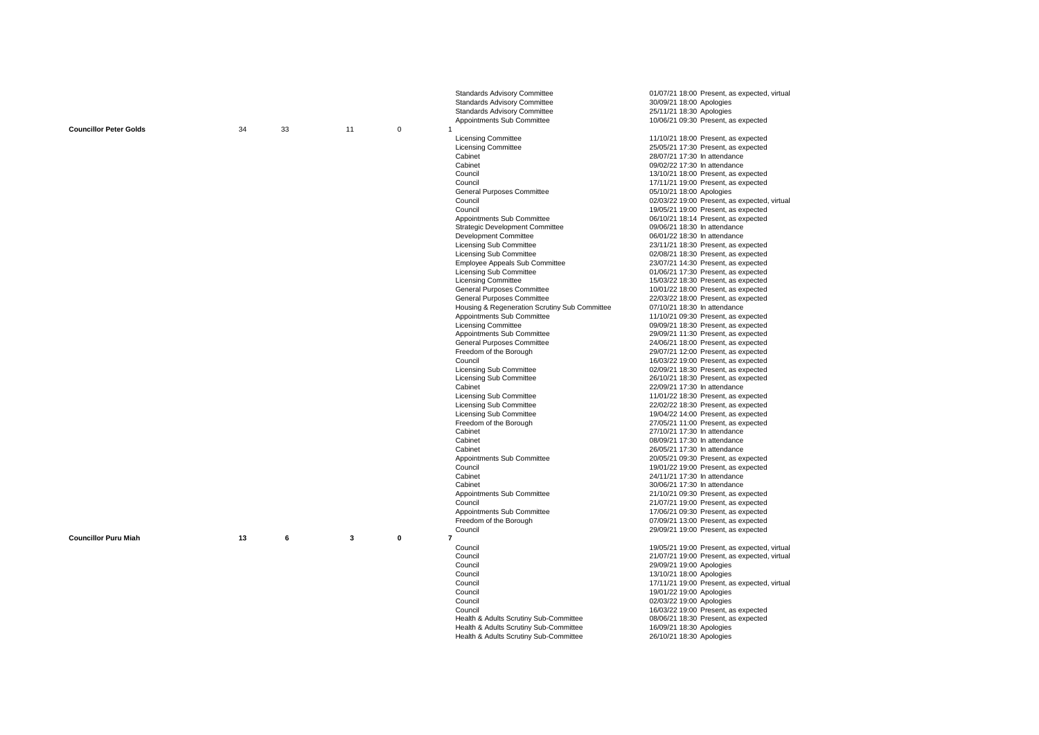| Appointments Sub Committee<br>10/06/21 09:30 Present, as expected<br>34<br>$\pmb{0}$<br><b>Councillor Peter Golds</b><br>33<br>11<br>$\overline{1}$<br><b>Licensing Committee</b><br>11/10/21 18:00 Present, as expected<br><b>Licensing Committee</b><br>25/05/21 17:30 Present, as expected<br>Cabinet<br>28/07/21 17:30 In attendance<br>Cabinet<br>09/02/22 17:30 In attendance<br>Council<br>13/10/21 18:00 Present, as expected<br>Council<br>17/11/21 19:00 Present, as expected<br>General Purposes Committee<br>05/10/21 18:00 Apologies<br>Council<br>02/03/22 19:00 Present, as expected, virtual<br>Council<br>19/05/21 19:00 Present, as expected<br>Appointments Sub Committee<br>06/10/21 18:14 Present, as expected<br>09/06/21 18:30 In attendance<br><b>Strategic Development Committee</b><br>Development Committee<br>06/01/22 18:30 In attendance<br>23/11/21 18:30 Present, as expected<br><b>Licensing Sub Committee</b><br><b>Licensing Sub Committee</b><br>02/08/21 18:30 Present, as expected<br><b>Employee Appeals Sub Committee</b><br>23/07/21 14:30 Present, as expected<br>Licensing Sub Committee<br>01/06/21 17:30 Present, as expected<br><b>Licensing Committee</b><br>15/03/22 18:30 Present, as expected<br>General Purposes Committee<br>10/01/22 18:00 Present, as expected<br>General Purposes Committee<br>22/03/22 18:00 Present, as expected<br>Housing & Regeneration Scrutiny Sub Committee<br>07/10/21 18:30 In attendance<br>Appointments Sub Committee<br>11/10/21 09:30 Present, as expected<br><b>Licensing Committee</b><br>09/09/21 18:30 Present, as expected<br>Appointments Sub Committee<br>29/09/21 11:30 Present, as expected<br>General Purposes Committee<br>24/06/21 18:00 Present, as expected<br>Freedom of the Borough<br>29/07/21 12:00 Present, as expected<br>Council<br>16/03/22 19:00 Present, as expected<br>Licensing Sub Committee<br>02/09/21 18:30 Present, as expected<br><b>Licensing Sub Committee</b><br>26/10/21 18:30 Present, as expected<br>Cabinet<br>22/09/21 17:30 In attendance<br>Licensing Sub Committee<br>11/01/22 18:30 Present, as expected<br>Licensing Sub Committee<br>22/02/22 18:30 Present, as expected<br><b>Licensing Sub Committee</b><br>19/04/22 14:00 Present, as expected<br>Freedom of the Borough<br>27/05/21 11:00 Present, as expected<br>Cabinet<br>27/10/21 17:30 In attendance<br>Cabinet<br>08/09/21 17:30 In attendance<br>Cabinet<br>26/05/21 17:30 In attendance<br>Appointments Sub Committee<br>20/05/21 09:30 Present, as expected<br>Council<br>19/01/22 19:00 Present, as expected<br>Cabinet<br>24/11/21 17:30 In attendance<br>Cabinet<br>30/06/21 17:30 In attendance<br>Appointments Sub Committee<br>21/10/21 09:30 Present, as expected<br>Council<br>21/07/21 19:00 Present, as expected<br>Appointments Sub Committee<br>17/06/21 09:30 Present, as expected<br>Freedom of the Borough<br>07/09/21 13:00 Present, as expected<br>Council<br>29/09/21 19:00 Present, as expected<br><b>Councillor Puru Miah</b><br>13<br>6<br>3<br>$\mathbf 0$<br>$\overline{7}$<br>Council<br>19/05/21 19:00 Present, as expected, virtual<br>Council<br>21/07/21 19:00 Present, as expected, virtual<br>Council<br>29/09/21 19:00 Apologies<br>Council<br>13/10/21 18:00 Apologies |  |  | <b>Standards Advisory Committee</b><br><b>Standards Advisory Committee</b><br><b>Standards Advisory Committee</b> | 01/07/21 18:00 Present, as expected, virtual<br>30/09/21 18:00 Apologies<br>25/11/21 18:30 Apologies |
|--------------------------------------------------------------------------------------------------------------------------------------------------------------------------------------------------------------------------------------------------------------------------------------------------------------------------------------------------------------------------------------------------------------------------------------------------------------------------------------------------------------------------------------------------------------------------------------------------------------------------------------------------------------------------------------------------------------------------------------------------------------------------------------------------------------------------------------------------------------------------------------------------------------------------------------------------------------------------------------------------------------------------------------------------------------------------------------------------------------------------------------------------------------------------------------------------------------------------------------------------------------------------------------------------------------------------------------------------------------------------------------------------------------------------------------------------------------------------------------------------------------------------------------------------------------------------------------------------------------------------------------------------------------------------------------------------------------------------------------------------------------------------------------------------------------------------------------------------------------------------------------------------------------------------------------------------------------------------------------------------------------------------------------------------------------------------------------------------------------------------------------------------------------------------------------------------------------------------------------------------------------------------------------------------------------------------------------------------------------------------------------------------------------------------------------------------------------------------------------------------------------------------------------------------------------------------------------------------------------------------------------------------------------------------------------------------------------------------------------------------------------------------------------------------------------------------------------------------------------------------------------------------------------------------------------------------------------------------------------------------------------------------------------------------------------------------------------------------------------------------------------------------------------------------------------------------------------------------------------------------------------------------------------------------------|--|--|-------------------------------------------------------------------------------------------------------------------|------------------------------------------------------------------------------------------------------|
|                                                                                                                                                                                                                                                                                                                                                                                                                                                                                                                                                                                                                                                                                                                                                                                                                                                                                                                                                                                                                                                                                                                                                                                                                                                                                                                                                                                                                                                                                                                                                                                                                                                                                                                                                                                                                                                                                                                                                                                                                                                                                                                                                                                                                                                                                                                                                                                                                                                                                                                                                                                                                                                                                                                                                                                                                                                                                                                                                                                                                                                                                                                                                                                                                                                                                                        |  |  |                                                                                                                   |                                                                                                      |
|                                                                                                                                                                                                                                                                                                                                                                                                                                                                                                                                                                                                                                                                                                                                                                                                                                                                                                                                                                                                                                                                                                                                                                                                                                                                                                                                                                                                                                                                                                                                                                                                                                                                                                                                                                                                                                                                                                                                                                                                                                                                                                                                                                                                                                                                                                                                                                                                                                                                                                                                                                                                                                                                                                                                                                                                                                                                                                                                                                                                                                                                                                                                                                                                                                                                                                        |  |  |                                                                                                                   |                                                                                                      |
|                                                                                                                                                                                                                                                                                                                                                                                                                                                                                                                                                                                                                                                                                                                                                                                                                                                                                                                                                                                                                                                                                                                                                                                                                                                                                                                                                                                                                                                                                                                                                                                                                                                                                                                                                                                                                                                                                                                                                                                                                                                                                                                                                                                                                                                                                                                                                                                                                                                                                                                                                                                                                                                                                                                                                                                                                                                                                                                                                                                                                                                                                                                                                                                                                                                                                                        |  |  |                                                                                                                   |                                                                                                      |
|                                                                                                                                                                                                                                                                                                                                                                                                                                                                                                                                                                                                                                                                                                                                                                                                                                                                                                                                                                                                                                                                                                                                                                                                                                                                                                                                                                                                                                                                                                                                                                                                                                                                                                                                                                                                                                                                                                                                                                                                                                                                                                                                                                                                                                                                                                                                                                                                                                                                                                                                                                                                                                                                                                                                                                                                                                                                                                                                                                                                                                                                                                                                                                                                                                                                                                        |  |  |                                                                                                                   |                                                                                                      |
|                                                                                                                                                                                                                                                                                                                                                                                                                                                                                                                                                                                                                                                                                                                                                                                                                                                                                                                                                                                                                                                                                                                                                                                                                                                                                                                                                                                                                                                                                                                                                                                                                                                                                                                                                                                                                                                                                                                                                                                                                                                                                                                                                                                                                                                                                                                                                                                                                                                                                                                                                                                                                                                                                                                                                                                                                                                                                                                                                                                                                                                                                                                                                                                                                                                                                                        |  |  |                                                                                                                   |                                                                                                      |
|                                                                                                                                                                                                                                                                                                                                                                                                                                                                                                                                                                                                                                                                                                                                                                                                                                                                                                                                                                                                                                                                                                                                                                                                                                                                                                                                                                                                                                                                                                                                                                                                                                                                                                                                                                                                                                                                                                                                                                                                                                                                                                                                                                                                                                                                                                                                                                                                                                                                                                                                                                                                                                                                                                                                                                                                                                                                                                                                                                                                                                                                                                                                                                                                                                                                                                        |  |  |                                                                                                                   |                                                                                                      |
|                                                                                                                                                                                                                                                                                                                                                                                                                                                                                                                                                                                                                                                                                                                                                                                                                                                                                                                                                                                                                                                                                                                                                                                                                                                                                                                                                                                                                                                                                                                                                                                                                                                                                                                                                                                                                                                                                                                                                                                                                                                                                                                                                                                                                                                                                                                                                                                                                                                                                                                                                                                                                                                                                                                                                                                                                                                                                                                                                                                                                                                                                                                                                                                                                                                                                                        |  |  |                                                                                                                   |                                                                                                      |
|                                                                                                                                                                                                                                                                                                                                                                                                                                                                                                                                                                                                                                                                                                                                                                                                                                                                                                                                                                                                                                                                                                                                                                                                                                                                                                                                                                                                                                                                                                                                                                                                                                                                                                                                                                                                                                                                                                                                                                                                                                                                                                                                                                                                                                                                                                                                                                                                                                                                                                                                                                                                                                                                                                                                                                                                                                                                                                                                                                                                                                                                                                                                                                                                                                                                                                        |  |  |                                                                                                                   |                                                                                                      |
|                                                                                                                                                                                                                                                                                                                                                                                                                                                                                                                                                                                                                                                                                                                                                                                                                                                                                                                                                                                                                                                                                                                                                                                                                                                                                                                                                                                                                                                                                                                                                                                                                                                                                                                                                                                                                                                                                                                                                                                                                                                                                                                                                                                                                                                                                                                                                                                                                                                                                                                                                                                                                                                                                                                                                                                                                                                                                                                                                                                                                                                                                                                                                                                                                                                                                                        |  |  |                                                                                                                   |                                                                                                      |
|                                                                                                                                                                                                                                                                                                                                                                                                                                                                                                                                                                                                                                                                                                                                                                                                                                                                                                                                                                                                                                                                                                                                                                                                                                                                                                                                                                                                                                                                                                                                                                                                                                                                                                                                                                                                                                                                                                                                                                                                                                                                                                                                                                                                                                                                                                                                                                                                                                                                                                                                                                                                                                                                                                                                                                                                                                                                                                                                                                                                                                                                                                                                                                                                                                                                                                        |  |  |                                                                                                                   |                                                                                                      |
|                                                                                                                                                                                                                                                                                                                                                                                                                                                                                                                                                                                                                                                                                                                                                                                                                                                                                                                                                                                                                                                                                                                                                                                                                                                                                                                                                                                                                                                                                                                                                                                                                                                                                                                                                                                                                                                                                                                                                                                                                                                                                                                                                                                                                                                                                                                                                                                                                                                                                                                                                                                                                                                                                                                                                                                                                                                                                                                                                                                                                                                                                                                                                                                                                                                                                                        |  |  |                                                                                                                   |                                                                                                      |
|                                                                                                                                                                                                                                                                                                                                                                                                                                                                                                                                                                                                                                                                                                                                                                                                                                                                                                                                                                                                                                                                                                                                                                                                                                                                                                                                                                                                                                                                                                                                                                                                                                                                                                                                                                                                                                                                                                                                                                                                                                                                                                                                                                                                                                                                                                                                                                                                                                                                                                                                                                                                                                                                                                                                                                                                                                                                                                                                                                                                                                                                                                                                                                                                                                                                                                        |  |  |                                                                                                                   |                                                                                                      |
|                                                                                                                                                                                                                                                                                                                                                                                                                                                                                                                                                                                                                                                                                                                                                                                                                                                                                                                                                                                                                                                                                                                                                                                                                                                                                                                                                                                                                                                                                                                                                                                                                                                                                                                                                                                                                                                                                                                                                                                                                                                                                                                                                                                                                                                                                                                                                                                                                                                                                                                                                                                                                                                                                                                                                                                                                                                                                                                                                                                                                                                                                                                                                                                                                                                                                                        |  |  |                                                                                                                   |                                                                                                      |
|                                                                                                                                                                                                                                                                                                                                                                                                                                                                                                                                                                                                                                                                                                                                                                                                                                                                                                                                                                                                                                                                                                                                                                                                                                                                                                                                                                                                                                                                                                                                                                                                                                                                                                                                                                                                                                                                                                                                                                                                                                                                                                                                                                                                                                                                                                                                                                                                                                                                                                                                                                                                                                                                                                                                                                                                                                                                                                                                                                                                                                                                                                                                                                                                                                                                                                        |  |  |                                                                                                                   |                                                                                                      |
|                                                                                                                                                                                                                                                                                                                                                                                                                                                                                                                                                                                                                                                                                                                                                                                                                                                                                                                                                                                                                                                                                                                                                                                                                                                                                                                                                                                                                                                                                                                                                                                                                                                                                                                                                                                                                                                                                                                                                                                                                                                                                                                                                                                                                                                                                                                                                                                                                                                                                                                                                                                                                                                                                                                                                                                                                                                                                                                                                                                                                                                                                                                                                                                                                                                                                                        |  |  |                                                                                                                   |                                                                                                      |
|                                                                                                                                                                                                                                                                                                                                                                                                                                                                                                                                                                                                                                                                                                                                                                                                                                                                                                                                                                                                                                                                                                                                                                                                                                                                                                                                                                                                                                                                                                                                                                                                                                                                                                                                                                                                                                                                                                                                                                                                                                                                                                                                                                                                                                                                                                                                                                                                                                                                                                                                                                                                                                                                                                                                                                                                                                                                                                                                                                                                                                                                                                                                                                                                                                                                                                        |  |  |                                                                                                                   |                                                                                                      |
|                                                                                                                                                                                                                                                                                                                                                                                                                                                                                                                                                                                                                                                                                                                                                                                                                                                                                                                                                                                                                                                                                                                                                                                                                                                                                                                                                                                                                                                                                                                                                                                                                                                                                                                                                                                                                                                                                                                                                                                                                                                                                                                                                                                                                                                                                                                                                                                                                                                                                                                                                                                                                                                                                                                                                                                                                                                                                                                                                                                                                                                                                                                                                                                                                                                                                                        |  |  |                                                                                                                   |                                                                                                      |
|                                                                                                                                                                                                                                                                                                                                                                                                                                                                                                                                                                                                                                                                                                                                                                                                                                                                                                                                                                                                                                                                                                                                                                                                                                                                                                                                                                                                                                                                                                                                                                                                                                                                                                                                                                                                                                                                                                                                                                                                                                                                                                                                                                                                                                                                                                                                                                                                                                                                                                                                                                                                                                                                                                                                                                                                                                                                                                                                                                                                                                                                                                                                                                                                                                                                                                        |  |  |                                                                                                                   |                                                                                                      |
|                                                                                                                                                                                                                                                                                                                                                                                                                                                                                                                                                                                                                                                                                                                                                                                                                                                                                                                                                                                                                                                                                                                                                                                                                                                                                                                                                                                                                                                                                                                                                                                                                                                                                                                                                                                                                                                                                                                                                                                                                                                                                                                                                                                                                                                                                                                                                                                                                                                                                                                                                                                                                                                                                                                                                                                                                                                                                                                                                                                                                                                                                                                                                                                                                                                                                                        |  |  |                                                                                                                   |                                                                                                      |
|                                                                                                                                                                                                                                                                                                                                                                                                                                                                                                                                                                                                                                                                                                                                                                                                                                                                                                                                                                                                                                                                                                                                                                                                                                                                                                                                                                                                                                                                                                                                                                                                                                                                                                                                                                                                                                                                                                                                                                                                                                                                                                                                                                                                                                                                                                                                                                                                                                                                                                                                                                                                                                                                                                                                                                                                                                                                                                                                                                                                                                                                                                                                                                                                                                                                                                        |  |  |                                                                                                                   |                                                                                                      |
|                                                                                                                                                                                                                                                                                                                                                                                                                                                                                                                                                                                                                                                                                                                                                                                                                                                                                                                                                                                                                                                                                                                                                                                                                                                                                                                                                                                                                                                                                                                                                                                                                                                                                                                                                                                                                                                                                                                                                                                                                                                                                                                                                                                                                                                                                                                                                                                                                                                                                                                                                                                                                                                                                                                                                                                                                                                                                                                                                                                                                                                                                                                                                                                                                                                                                                        |  |  |                                                                                                                   |                                                                                                      |
|                                                                                                                                                                                                                                                                                                                                                                                                                                                                                                                                                                                                                                                                                                                                                                                                                                                                                                                                                                                                                                                                                                                                                                                                                                                                                                                                                                                                                                                                                                                                                                                                                                                                                                                                                                                                                                                                                                                                                                                                                                                                                                                                                                                                                                                                                                                                                                                                                                                                                                                                                                                                                                                                                                                                                                                                                                                                                                                                                                                                                                                                                                                                                                                                                                                                                                        |  |  |                                                                                                                   |                                                                                                      |
|                                                                                                                                                                                                                                                                                                                                                                                                                                                                                                                                                                                                                                                                                                                                                                                                                                                                                                                                                                                                                                                                                                                                                                                                                                                                                                                                                                                                                                                                                                                                                                                                                                                                                                                                                                                                                                                                                                                                                                                                                                                                                                                                                                                                                                                                                                                                                                                                                                                                                                                                                                                                                                                                                                                                                                                                                                                                                                                                                                                                                                                                                                                                                                                                                                                                                                        |  |  |                                                                                                                   |                                                                                                      |
|                                                                                                                                                                                                                                                                                                                                                                                                                                                                                                                                                                                                                                                                                                                                                                                                                                                                                                                                                                                                                                                                                                                                                                                                                                                                                                                                                                                                                                                                                                                                                                                                                                                                                                                                                                                                                                                                                                                                                                                                                                                                                                                                                                                                                                                                                                                                                                                                                                                                                                                                                                                                                                                                                                                                                                                                                                                                                                                                                                                                                                                                                                                                                                                                                                                                                                        |  |  |                                                                                                                   |                                                                                                      |
|                                                                                                                                                                                                                                                                                                                                                                                                                                                                                                                                                                                                                                                                                                                                                                                                                                                                                                                                                                                                                                                                                                                                                                                                                                                                                                                                                                                                                                                                                                                                                                                                                                                                                                                                                                                                                                                                                                                                                                                                                                                                                                                                                                                                                                                                                                                                                                                                                                                                                                                                                                                                                                                                                                                                                                                                                                                                                                                                                                                                                                                                                                                                                                                                                                                                                                        |  |  |                                                                                                                   |                                                                                                      |
|                                                                                                                                                                                                                                                                                                                                                                                                                                                                                                                                                                                                                                                                                                                                                                                                                                                                                                                                                                                                                                                                                                                                                                                                                                                                                                                                                                                                                                                                                                                                                                                                                                                                                                                                                                                                                                                                                                                                                                                                                                                                                                                                                                                                                                                                                                                                                                                                                                                                                                                                                                                                                                                                                                                                                                                                                                                                                                                                                                                                                                                                                                                                                                                                                                                                                                        |  |  |                                                                                                                   |                                                                                                      |
|                                                                                                                                                                                                                                                                                                                                                                                                                                                                                                                                                                                                                                                                                                                                                                                                                                                                                                                                                                                                                                                                                                                                                                                                                                                                                                                                                                                                                                                                                                                                                                                                                                                                                                                                                                                                                                                                                                                                                                                                                                                                                                                                                                                                                                                                                                                                                                                                                                                                                                                                                                                                                                                                                                                                                                                                                                                                                                                                                                                                                                                                                                                                                                                                                                                                                                        |  |  |                                                                                                                   |                                                                                                      |
|                                                                                                                                                                                                                                                                                                                                                                                                                                                                                                                                                                                                                                                                                                                                                                                                                                                                                                                                                                                                                                                                                                                                                                                                                                                                                                                                                                                                                                                                                                                                                                                                                                                                                                                                                                                                                                                                                                                                                                                                                                                                                                                                                                                                                                                                                                                                                                                                                                                                                                                                                                                                                                                                                                                                                                                                                                                                                                                                                                                                                                                                                                                                                                                                                                                                                                        |  |  |                                                                                                                   |                                                                                                      |
|                                                                                                                                                                                                                                                                                                                                                                                                                                                                                                                                                                                                                                                                                                                                                                                                                                                                                                                                                                                                                                                                                                                                                                                                                                                                                                                                                                                                                                                                                                                                                                                                                                                                                                                                                                                                                                                                                                                                                                                                                                                                                                                                                                                                                                                                                                                                                                                                                                                                                                                                                                                                                                                                                                                                                                                                                                                                                                                                                                                                                                                                                                                                                                                                                                                                                                        |  |  |                                                                                                                   |                                                                                                      |
|                                                                                                                                                                                                                                                                                                                                                                                                                                                                                                                                                                                                                                                                                                                                                                                                                                                                                                                                                                                                                                                                                                                                                                                                                                                                                                                                                                                                                                                                                                                                                                                                                                                                                                                                                                                                                                                                                                                                                                                                                                                                                                                                                                                                                                                                                                                                                                                                                                                                                                                                                                                                                                                                                                                                                                                                                                                                                                                                                                                                                                                                                                                                                                                                                                                                                                        |  |  |                                                                                                                   |                                                                                                      |
|                                                                                                                                                                                                                                                                                                                                                                                                                                                                                                                                                                                                                                                                                                                                                                                                                                                                                                                                                                                                                                                                                                                                                                                                                                                                                                                                                                                                                                                                                                                                                                                                                                                                                                                                                                                                                                                                                                                                                                                                                                                                                                                                                                                                                                                                                                                                                                                                                                                                                                                                                                                                                                                                                                                                                                                                                                                                                                                                                                                                                                                                                                                                                                                                                                                                                                        |  |  |                                                                                                                   |                                                                                                      |
|                                                                                                                                                                                                                                                                                                                                                                                                                                                                                                                                                                                                                                                                                                                                                                                                                                                                                                                                                                                                                                                                                                                                                                                                                                                                                                                                                                                                                                                                                                                                                                                                                                                                                                                                                                                                                                                                                                                                                                                                                                                                                                                                                                                                                                                                                                                                                                                                                                                                                                                                                                                                                                                                                                                                                                                                                                                                                                                                                                                                                                                                                                                                                                                                                                                                                                        |  |  |                                                                                                                   |                                                                                                      |
|                                                                                                                                                                                                                                                                                                                                                                                                                                                                                                                                                                                                                                                                                                                                                                                                                                                                                                                                                                                                                                                                                                                                                                                                                                                                                                                                                                                                                                                                                                                                                                                                                                                                                                                                                                                                                                                                                                                                                                                                                                                                                                                                                                                                                                                                                                                                                                                                                                                                                                                                                                                                                                                                                                                                                                                                                                                                                                                                                                                                                                                                                                                                                                                                                                                                                                        |  |  |                                                                                                                   |                                                                                                      |
|                                                                                                                                                                                                                                                                                                                                                                                                                                                                                                                                                                                                                                                                                                                                                                                                                                                                                                                                                                                                                                                                                                                                                                                                                                                                                                                                                                                                                                                                                                                                                                                                                                                                                                                                                                                                                                                                                                                                                                                                                                                                                                                                                                                                                                                                                                                                                                                                                                                                                                                                                                                                                                                                                                                                                                                                                                                                                                                                                                                                                                                                                                                                                                                                                                                                                                        |  |  |                                                                                                                   |                                                                                                      |
|                                                                                                                                                                                                                                                                                                                                                                                                                                                                                                                                                                                                                                                                                                                                                                                                                                                                                                                                                                                                                                                                                                                                                                                                                                                                                                                                                                                                                                                                                                                                                                                                                                                                                                                                                                                                                                                                                                                                                                                                                                                                                                                                                                                                                                                                                                                                                                                                                                                                                                                                                                                                                                                                                                                                                                                                                                                                                                                                                                                                                                                                                                                                                                                                                                                                                                        |  |  |                                                                                                                   |                                                                                                      |
|                                                                                                                                                                                                                                                                                                                                                                                                                                                                                                                                                                                                                                                                                                                                                                                                                                                                                                                                                                                                                                                                                                                                                                                                                                                                                                                                                                                                                                                                                                                                                                                                                                                                                                                                                                                                                                                                                                                                                                                                                                                                                                                                                                                                                                                                                                                                                                                                                                                                                                                                                                                                                                                                                                                                                                                                                                                                                                                                                                                                                                                                                                                                                                                                                                                                                                        |  |  |                                                                                                                   |                                                                                                      |
|                                                                                                                                                                                                                                                                                                                                                                                                                                                                                                                                                                                                                                                                                                                                                                                                                                                                                                                                                                                                                                                                                                                                                                                                                                                                                                                                                                                                                                                                                                                                                                                                                                                                                                                                                                                                                                                                                                                                                                                                                                                                                                                                                                                                                                                                                                                                                                                                                                                                                                                                                                                                                                                                                                                                                                                                                                                                                                                                                                                                                                                                                                                                                                                                                                                                                                        |  |  |                                                                                                                   |                                                                                                      |
|                                                                                                                                                                                                                                                                                                                                                                                                                                                                                                                                                                                                                                                                                                                                                                                                                                                                                                                                                                                                                                                                                                                                                                                                                                                                                                                                                                                                                                                                                                                                                                                                                                                                                                                                                                                                                                                                                                                                                                                                                                                                                                                                                                                                                                                                                                                                                                                                                                                                                                                                                                                                                                                                                                                                                                                                                                                                                                                                                                                                                                                                                                                                                                                                                                                                                                        |  |  |                                                                                                                   |                                                                                                      |
|                                                                                                                                                                                                                                                                                                                                                                                                                                                                                                                                                                                                                                                                                                                                                                                                                                                                                                                                                                                                                                                                                                                                                                                                                                                                                                                                                                                                                                                                                                                                                                                                                                                                                                                                                                                                                                                                                                                                                                                                                                                                                                                                                                                                                                                                                                                                                                                                                                                                                                                                                                                                                                                                                                                                                                                                                                                                                                                                                                                                                                                                                                                                                                                                                                                                                                        |  |  |                                                                                                                   |                                                                                                      |
|                                                                                                                                                                                                                                                                                                                                                                                                                                                                                                                                                                                                                                                                                                                                                                                                                                                                                                                                                                                                                                                                                                                                                                                                                                                                                                                                                                                                                                                                                                                                                                                                                                                                                                                                                                                                                                                                                                                                                                                                                                                                                                                                                                                                                                                                                                                                                                                                                                                                                                                                                                                                                                                                                                                                                                                                                                                                                                                                                                                                                                                                                                                                                                                                                                                                                                        |  |  |                                                                                                                   |                                                                                                      |
|                                                                                                                                                                                                                                                                                                                                                                                                                                                                                                                                                                                                                                                                                                                                                                                                                                                                                                                                                                                                                                                                                                                                                                                                                                                                                                                                                                                                                                                                                                                                                                                                                                                                                                                                                                                                                                                                                                                                                                                                                                                                                                                                                                                                                                                                                                                                                                                                                                                                                                                                                                                                                                                                                                                                                                                                                                                                                                                                                                                                                                                                                                                                                                                                                                                                                                        |  |  |                                                                                                                   |                                                                                                      |
|                                                                                                                                                                                                                                                                                                                                                                                                                                                                                                                                                                                                                                                                                                                                                                                                                                                                                                                                                                                                                                                                                                                                                                                                                                                                                                                                                                                                                                                                                                                                                                                                                                                                                                                                                                                                                                                                                                                                                                                                                                                                                                                                                                                                                                                                                                                                                                                                                                                                                                                                                                                                                                                                                                                                                                                                                                                                                                                                                                                                                                                                                                                                                                                                                                                                                                        |  |  |                                                                                                                   |                                                                                                      |
|                                                                                                                                                                                                                                                                                                                                                                                                                                                                                                                                                                                                                                                                                                                                                                                                                                                                                                                                                                                                                                                                                                                                                                                                                                                                                                                                                                                                                                                                                                                                                                                                                                                                                                                                                                                                                                                                                                                                                                                                                                                                                                                                                                                                                                                                                                                                                                                                                                                                                                                                                                                                                                                                                                                                                                                                                                                                                                                                                                                                                                                                                                                                                                                                                                                                                                        |  |  |                                                                                                                   |                                                                                                      |
|                                                                                                                                                                                                                                                                                                                                                                                                                                                                                                                                                                                                                                                                                                                                                                                                                                                                                                                                                                                                                                                                                                                                                                                                                                                                                                                                                                                                                                                                                                                                                                                                                                                                                                                                                                                                                                                                                                                                                                                                                                                                                                                                                                                                                                                                                                                                                                                                                                                                                                                                                                                                                                                                                                                                                                                                                                                                                                                                                                                                                                                                                                                                                                                                                                                                                                        |  |  |                                                                                                                   |                                                                                                      |
|                                                                                                                                                                                                                                                                                                                                                                                                                                                                                                                                                                                                                                                                                                                                                                                                                                                                                                                                                                                                                                                                                                                                                                                                                                                                                                                                                                                                                                                                                                                                                                                                                                                                                                                                                                                                                                                                                                                                                                                                                                                                                                                                                                                                                                                                                                                                                                                                                                                                                                                                                                                                                                                                                                                                                                                                                                                                                                                                                                                                                                                                                                                                                                                                                                                                                                        |  |  |                                                                                                                   |                                                                                                      |
|                                                                                                                                                                                                                                                                                                                                                                                                                                                                                                                                                                                                                                                                                                                                                                                                                                                                                                                                                                                                                                                                                                                                                                                                                                                                                                                                                                                                                                                                                                                                                                                                                                                                                                                                                                                                                                                                                                                                                                                                                                                                                                                                                                                                                                                                                                                                                                                                                                                                                                                                                                                                                                                                                                                                                                                                                                                                                                                                                                                                                                                                                                                                                                                                                                                                                                        |  |  |                                                                                                                   |                                                                                                      |
|                                                                                                                                                                                                                                                                                                                                                                                                                                                                                                                                                                                                                                                                                                                                                                                                                                                                                                                                                                                                                                                                                                                                                                                                                                                                                                                                                                                                                                                                                                                                                                                                                                                                                                                                                                                                                                                                                                                                                                                                                                                                                                                                                                                                                                                                                                                                                                                                                                                                                                                                                                                                                                                                                                                                                                                                                                                                                                                                                                                                                                                                                                                                                                                                                                                                                                        |  |  |                                                                                                                   |                                                                                                      |
|                                                                                                                                                                                                                                                                                                                                                                                                                                                                                                                                                                                                                                                                                                                                                                                                                                                                                                                                                                                                                                                                                                                                                                                                                                                                                                                                                                                                                                                                                                                                                                                                                                                                                                                                                                                                                                                                                                                                                                                                                                                                                                                                                                                                                                                                                                                                                                                                                                                                                                                                                                                                                                                                                                                                                                                                                                                                                                                                                                                                                                                                                                                                                                                                                                                                                                        |  |  |                                                                                                                   |                                                                                                      |
|                                                                                                                                                                                                                                                                                                                                                                                                                                                                                                                                                                                                                                                                                                                                                                                                                                                                                                                                                                                                                                                                                                                                                                                                                                                                                                                                                                                                                                                                                                                                                                                                                                                                                                                                                                                                                                                                                                                                                                                                                                                                                                                                                                                                                                                                                                                                                                                                                                                                                                                                                                                                                                                                                                                                                                                                                                                                                                                                                                                                                                                                                                                                                                                                                                                                                                        |  |  |                                                                                                                   |                                                                                                      |
| Council                                                                                                                                                                                                                                                                                                                                                                                                                                                                                                                                                                                                                                                                                                                                                                                                                                                                                                                                                                                                                                                                                                                                                                                                                                                                                                                                                                                                                                                                                                                                                                                                                                                                                                                                                                                                                                                                                                                                                                                                                                                                                                                                                                                                                                                                                                                                                                                                                                                                                                                                                                                                                                                                                                                                                                                                                                                                                                                                                                                                                                                                                                                                                                                                                                                                                                |  |  | Council                                                                                                           | 17/11/21 19:00 Present, as expected, virtual                                                         |
| 19/01/22 19:00 Apologies<br>Council<br>02/03/22 19:00 Apologies                                                                                                                                                                                                                                                                                                                                                                                                                                                                                                                                                                                                                                                                                                                                                                                                                                                                                                                                                                                                                                                                                                                                                                                                                                                                                                                                                                                                                                                                                                                                                                                                                                                                                                                                                                                                                                                                                                                                                                                                                                                                                                                                                                                                                                                                                                                                                                                                                                                                                                                                                                                                                                                                                                                                                                                                                                                                                                                                                                                                                                                                                                                                                                                                                                        |  |  |                                                                                                                   |                                                                                                      |
| Council<br>16/03/22 19:00 Present, as expected                                                                                                                                                                                                                                                                                                                                                                                                                                                                                                                                                                                                                                                                                                                                                                                                                                                                                                                                                                                                                                                                                                                                                                                                                                                                                                                                                                                                                                                                                                                                                                                                                                                                                                                                                                                                                                                                                                                                                                                                                                                                                                                                                                                                                                                                                                                                                                                                                                                                                                                                                                                                                                                                                                                                                                                                                                                                                                                                                                                                                                                                                                                                                                                                                                                         |  |  |                                                                                                                   |                                                                                                      |
| 08/06/21 18:30 Present, as expected<br>Health & Adults Scrutiny Sub-Committee                                                                                                                                                                                                                                                                                                                                                                                                                                                                                                                                                                                                                                                                                                                                                                                                                                                                                                                                                                                                                                                                                                                                                                                                                                                                                                                                                                                                                                                                                                                                                                                                                                                                                                                                                                                                                                                                                                                                                                                                                                                                                                                                                                                                                                                                                                                                                                                                                                                                                                                                                                                                                                                                                                                                                                                                                                                                                                                                                                                                                                                                                                                                                                                                                          |  |  |                                                                                                                   |                                                                                                      |
| Health & Adults Scrutiny Sub-Committee<br>16/09/21 18:30 Apologies                                                                                                                                                                                                                                                                                                                                                                                                                                                                                                                                                                                                                                                                                                                                                                                                                                                                                                                                                                                                                                                                                                                                                                                                                                                                                                                                                                                                                                                                                                                                                                                                                                                                                                                                                                                                                                                                                                                                                                                                                                                                                                                                                                                                                                                                                                                                                                                                                                                                                                                                                                                                                                                                                                                                                                                                                                                                                                                                                                                                                                                                                                                                                                                                                                     |  |  |                                                                                                                   |                                                                                                      |
| Health & Adults Scrutiny Sub-Committee<br>26/10/21 18:30 Apologies                                                                                                                                                                                                                                                                                                                                                                                                                                                                                                                                                                                                                                                                                                                                                                                                                                                                                                                                                                                                                                                                                                                                                                                                                                                                                                                                                                                                                                                                                                                                                                                                                                                                                                                                                                                                                                                                                                                                                                                                                                                                                                                                                                                                                                                                                                                                                                                                                                                                                                                                                                                                                                                                                                                                                                                                                                                                                                                                                                                                                                                                                                                                                                                                                                     |  |  |                                                                                                                   |                                                                                                      |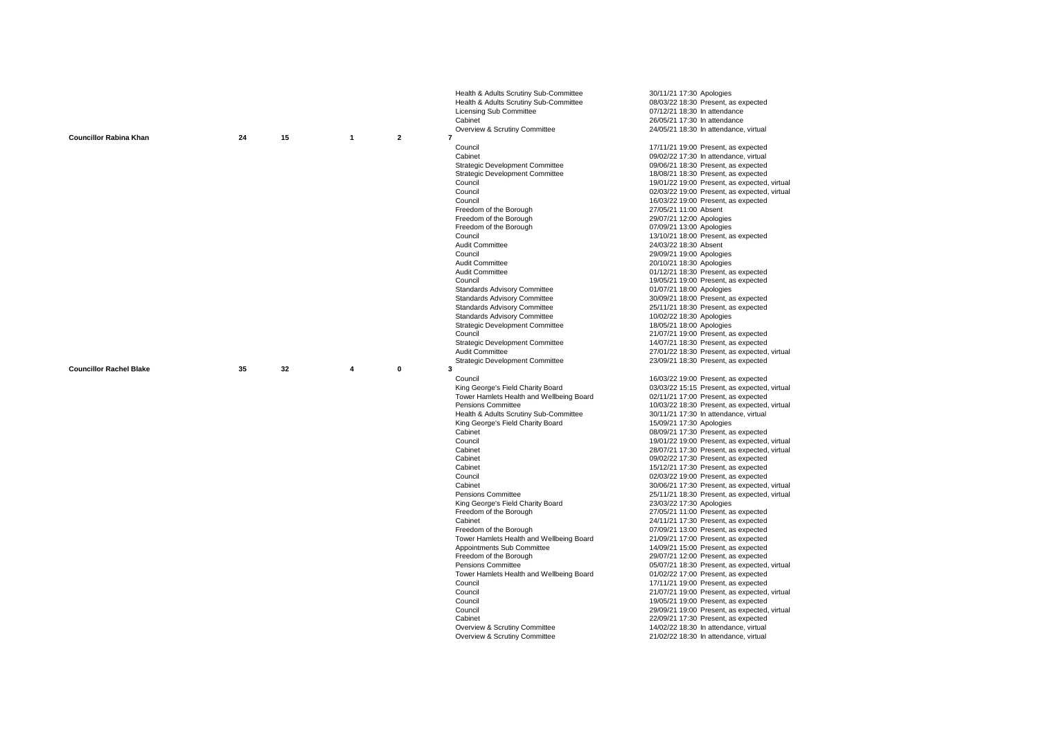|                                |    |    |                |                | Health & Adults Scrutiny Sub-Committee                         | 30/11/21 17:30 Apologies                                                       |
|--------------------------------|----|----|----------------|----------------|----------------------------------------------------------------|--------------------------------------------------------------------------------|
|                                |    |    |                |                | Health & Adults Scrutiny Sub-Committee                         | 08/03/22 18:30 Present, as expected                                            |
|                                |    |    |                |                | Licensing Sub Committee                                        | 07/12/21 18:30 In attendance                                                   |
|                                |    |    |                |                | Cabinet                                                        | 26/05/21 17:30 In attendance                                                   |
|                                |    |    |                |                | Overview & Scrutiny Committee                                  | 24/05/21 18:30 In attendance, virtual                                          |
| <b>Councillor Rabina Khan</b>  | 24 | 15 | $\overline{1}$ | $\overline{2}$ | $\overline{7}$                                                 |                                                                                |
|                                |    |    |                |                | Council                                                        | 17/11/21 19:00 Present, as expected                                            |
|                                |    |    |                |                | Cabinet                                                        | 09/02/22 17:30 In attendance, virtual                                          |
|                                |    |    |                |                | <b>Strategic Development Committee</b>                         | 09/06/21 18:30 Present, as expected                                            |
|                                |    |    |                |                | <b>Strategic Development Committee</b>                         | 18/08/21 18:30 Present, as expected                                            |
|                                |    |    |                |                | Council                                                        | 19/01/22 19:00 Present, as expected, virtual                                   |
|                                |    |    |                |                | Council                                                        | 02/03/22 19:00 Present, as expected, virtual                                   |
|                                |    |    |                |                | Council                                                        | 16/03/22 19:00 Present, as expected                                            |
|                                |    |    |                |                | Freedom of the Borough                                         | 27/05/21 11:00 Absent                                                          |
|                                |    |    |                |                | Freedom of the Borough                                         | 29/07/21 12:00 Apologies                                                       |
|                                |    |    |                |                | Freedom of the Borough                                         | 07/09/21 13:00 Apologies                                                       |
|                                |    |    |                |                | Council                                                        | 13/10/21 18:00 Present, as expected                                            |
|                                |    |    |                |                | Audit Committee                                                | 24/03/22 18:30 Absent                                                          |
|                                |    |    |                |                | Council                                                        | 29/09/21 19:00 Apologies                                                       |
|                                |    |    |                |                | Audit Committee                                                | 20/10/21 18:30 Apologies                                                       |
|                                |    |    |                |                | <b>Audit Committee</b>                                         | 01/12/21 18:30 Present, as expected                                            |
|                                |    |    |                |                | Council                                                        | 19/05/21 19:00 Present, as expected                                            |
|                                |    |    |                |                | <b>Standards Advisory Committee</b>                            | 01/07/21 18:00 Apologies                                                       |
|                                |    |    |                |                | <b>Standards Advisory Committee</b>                            | 30/09/21 18:00 Present, as expected                                            |
|                                |    |    |                |                | <b>Standards Advisory Committee</b>                            | 25/11/21 18:30 Present, as expected                                            |
|                                |    |    |                |                | <b>Standards Advisory Committee</b>                            | 10/02/22 18:30 Apologies                                                       |
|                                |    |    |                |                | <b>Strategic Development Committee</b>                         | 18/05/21 18:00 Apologies                                                       |
|                                |    |    |                |                | Council                                                        | 21/07/21 19:00 Present, as expected                                            |
|                                |    |    |                |                | <b>Strategic Development Committee</b>                         | 14/07/21 18:30 Present, as expected                                            |
|                                |    |    |                |                | Audit Committee                                                | 27/01/22 18:30 Present, as expected, virtual                                   |
|                                |    |    |                |                | <b>Strategic Development Committee</b>                         | 23/09/21 18:30 Present, as expected                                            |
|                                |    |    |                |                |                                                                |                                                                                |
| <b>Councillor Rachel Blake</b> | 35 | 32 | 4              | 0              | 3                                                              |                                                                                |
|                                |    |    |                |                | Council                                                        | 16/03/22 19:00 Present, as expected                                            |
|                                |    |    |                |                | King George's Field Charity Board                              | 03/03/22 15:15 Present, as expected, virtual                                   |
|                                |    |    |                |                | Tower Hamlets Health and Wellbeing Board                       | 02/11/21 17:00 Present, as expected                                            |
|                                |    |    |                |                | Pensions Committee                                             | 10/03/22 18:30 Present, as expected, virtual                                   |
|                                |    |    |                |                | Health & Adults Scrutiny Sub-Committee                         | 30/11/21 17:30 In attendance, virtual                                          |
|                                |    |    |                |                | King George's Field Charity Board                              | 15/09/21 17:30 Apologies                                                       |
|                                |    |    |                |                | Cabinet                                                        | 08/09/21 17:30 Present, as expected                                            |
|                                |    |    |                |                | Council                                                        | 19/01/22 19:00 Present, as expected, virtual                                   |
|                                |    |    |                |                | Cabinet                                                        | 28/07/21 17:30 Present, as expected, virtual                                   |
|                                |    |    |                |                | Cabinet                                                        | 09/02/22 17:30 Present, as expected                                            |
|                                |    |    |                |                | Cabinet                                                        | 15/12/21 17:30 Present, as expected                                            |
|                                |    |    |                |                | Council                                                        | 02/03/22 19:00 Present, as expected                                            |
|                                |    |    |                |                | Cabinet                                                        | 30/06/21 17:30 Present, as expected, virtual                                   |
|                                |    |    |                |                | Pensions Committee                                             | 25/11/21 18:30 Present, as expected, virtual                                   |
|                                |    |    |                |                | King George's Field Charity Board                              | 23/03/22 17:30 Apologies                                                       |
|                                |    |    |                |                | Freedom of the Borough                                         | 27/05/21 11:00 Present, as expected                                            |
|                                |    |    |                |                | Cabinet                                                        | 24/11/21 17:30 Present, as expected                                            |
|                                |    |    |                |                | Freedom of the Borough                                         | 07/09/21 13:00 Present, as expected                                            |
|                                |    |    |                |                | Tower Hamlets Health and Wellbeing Board                       | 21/09/21 17:00 Present, as expected                                            |
|                                |    |    |                |                | Appointments Sub Committee                                     | 14/09/21 15:00 Present, as expected                                            |
|                                |    |    |                |                | Freedom of the Borough                                         | 29/07/21 12:00 Present, as expected                                            |
|                                |    |    |                |                | Pensions Committee                                             | 05/07/21 18:30 Present, as expected, virtual                                   |
|                                |    |    |                |                | Tower Hamlets Health and Wellbeing Board                       | 01/02/22 17:00 Present, as expected                                            |
|                                |    |    |                |                | Council                                                        | 17/11/21 19:00 Present, as expected                                            |
|                                |    |    |                |                | Council                                                        | 21/07/21 19:00 Present, as expected, virtual                                   |
|                                |    |    |                |                | Council                                                        | 19/05/21 19:00 Present, as expected                                            |
|                                |    |    |                |                | Council                                                        | 29/09/21 19:00 Present, as expected, virtual                                   |
|                                |    |    |                |                | Cabinet                                                        | 22/09/21 17:30 Present, as expected                                            |
|                                |    |    |                |                | Overview & Scrutiny Committee<br>Overview & Scrutiny Committee | 14/02/22 18:30 In attendance, virtual<br>21/02/22 18:30 In attendance, virtual |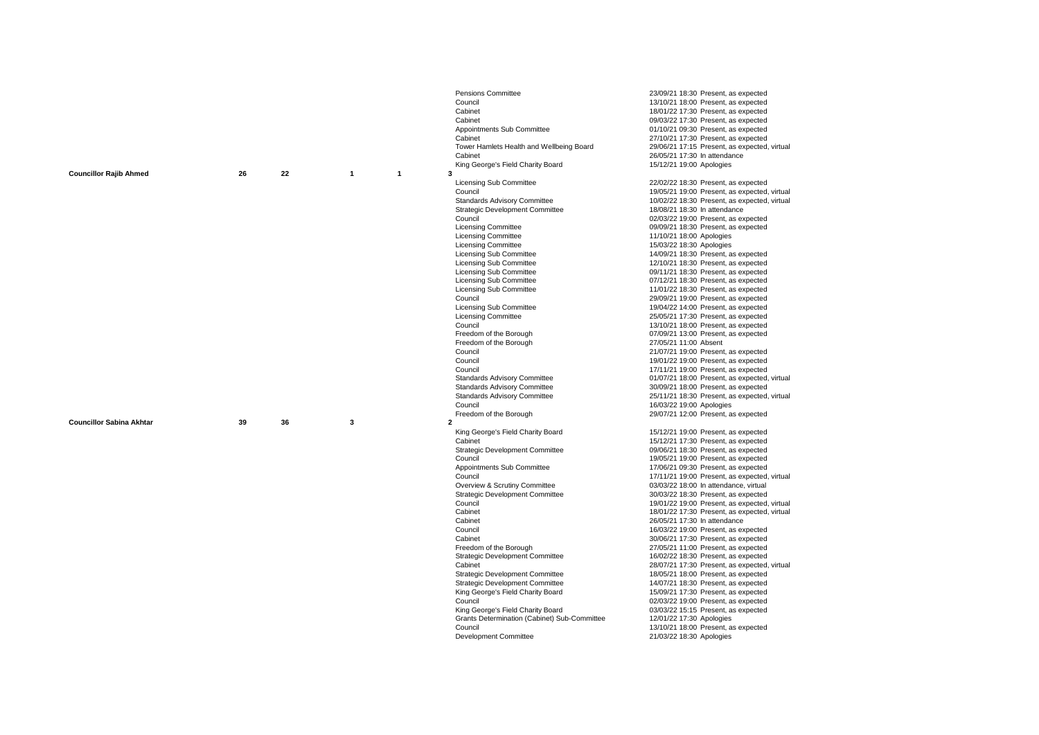|                                 |    |    |                   | <b>Pensions Committee</b>                    | 23/09/21 18:30 Present, as expected                             |
|---------------------------------|----|----|-------------------|----------------------------------------------|-----------------------------------------------------------------|
|                                 |    |    |                   | Council                                      | 13/10/21 18:00 Present, as expected                             |
|                                 |    |    |                   | Cabinet                                      | 18/01/22 17:30 Present, as expected                             |
|                                 |    |    |                   | Cabinet                                      | 09/03/22 17:30 Present, as expected                             |
|                                 |    |    |                   | Appointments Sub Committee                   | 01/10/21 09:30 Present, as expected                             |
|                                 |    |    |                   | Cabinet                                      | 27/10/21 17:30 Present, as expected                             |
|                                 |    |    |                   | Tower Hamlets Health and Wellbeing Board     | 29/06/21 17:15 Present, as expected, virtual                    |
|                                 |    |    |                   | Cabinet                                      | 26/05/21 17:30 In attendance                                    |
|                                 |    |    |                   | King George's Field Charity Board            | 15/12/21 19:00 Apologies                                        |
| <b>Councillor Rajib Ahmed</b>   | 26 | 22 | $\mathbf{1}$<br>1 | 3                                            |                                                                 |
|                                 |    |    |                   | <b>Licensing Sub Committee</b>               | 22/02/22 18:30 Present, as expected                             |
|                                 |    |    |                   | Council                                      | 19/05/21 19:00 Present, as expected, virtual                    |
|                                 |    |    |                   | <b>Standards Advisory Committee</b>          | 10/02/22 18:30 Present, as expected, virtual                    |
|                                 |    |    |                   | <b>Strategic Development Committee</b>       | 18/08/21 18:30 In attendance                                    |
|                                 |    |    |                   | Council                                      | 02/03/22 19:00 Present, as expected                             |
|                                 |    |    |                   | <b>Licensing Committee</b>                   | 09/09/21 18:30 Present, as expected                             |
|                                 |    |    |                   | <b>Licensing Committee</b>                   | 11/10/21 18:00 Apologies                                        |
|                                 |    |    |                   | <b>Licensing Committee</b>                   | 15/03/22 18:30 Apologies                                        |
|                                 |    |    |                   | <b>Licensing Sub Committee</b>               | 14/09/21 18:30 Present, as expected                             |
|                                 |    |    |                   | <b>Licensing Sub Committee</b>               | 12/10/21 18:30 Present, as expected                             |
|                                 |    |    |                   | Licensing Sub Committee                      | 09/11/21 18:30 Present, as expected                             |
|                                 |    |    |                   | <b>Licensing Sub Committee</b>               | 07/12/21 18:30 Present, as expected                             |
|                                 |    |    |                   | <b>Licensing Sub Committee</b>               | 11/01/22 18:30 Present, as expected                             |
|                                 |    |    |                   | Council                                      | 29/09/21 19:00 Present, as expected                             |
|                                 |    |    |                   | <b>Licensing Sub Committee</b>               | 19/04/22 14:00 Present, as expected                             |
|                                 |    |    |                   | <b>Licensing Committee</b>                   | 25/05/21 17:30 Present, as expected                             |
|                                 |    |    |                   | Council                                      | 13/10/21 18:00 Present, as expected                             |
|                                 |    |    |                   | Freedom of the Borough                       | 07/09/21 13:00 Present, as expected                             |
|                                 |    |    |                   | Freedom of the Borough                       | 27/05/21 11:00 Absent                                           |
|                                 |    |    |                   | Council                                      | 21/07/21 19:00 Present, as expected                             |
|                                 |    |    |                   | Council                                      | 19/01/22 19:00 Present, as expected                             |
|                                 |    |    |                   | Council                                      | 17/11/21 19:00 Present, as expected                             |
|                                 |    |    |                   | <b>Standards Advisory Committee</b>          | 01/07/21 18:00 Present, as expected, virtual                    |
|                                 |    |    |                   |                                              |                                                                 |
|                                 |    |    |                   | <b>Standards Advisory Committee</b>          | 30/09/21 18:00 Present, as expected                             |
|                                 |    |    |                   | <b>Standards Advisory Committee</b>          | 25/11/21 18:30 Present, as expected, virtual                    |
|                                 |    |    |                   | Council                                      | 16/03/22 19:00 Apologies                                        |
|                                 |    |    |                   | Freedom of the Borough                       | 29/07/21 12:00 Present, as expected                             |
| <b>Councillor Sabina Akhtar</b> | 39 | 36 | 3                 | $\overline{2}$                               |                                                                 |
|                                 |    |    |                   | King George's Field Charity Board            | 15/12/21 19:00 Present, as expected                             |
|                                 |    |    |                   | Cabinet                                      | 15/12/21 17:30 Present, as expected                             |
|                                 |    |    |                   | <b>Strategic Development Committee</b>       | 09/06/21 18:30 Present, as expected                             |
|                                 |    |    |                   | Council                                      | 19/05/21 19:00 Present, as expected                             |
|                                 |    |    |                   | Appointments Sub Committee                   | 17/06/21 09:30 Present, as expected                             |
|                                 |    |    |                   | Council                                      | 17/11/21 19:00 Present, as expected, virtual                    |
|                                 |    |    |                   | Overview & Scrutiny Committee                | 03/03/22 18:00 In attendance, virtual                           |
|                                 |    |    |                   | <b>Strategic Development Committee</b>       | 30/03/22 18:30 Present, as expected                             |
|                                 |    |    |                   | Council                                      | 19/01/22 19:00 Present, as expected, virtual                    |
|                                 |    |    |                   | Cabinet                                      | 18/01/22 17:30 Present, as expected, virtual                    |
|                                 |    |    |                   | Cabinet                                      | 26/05/21 17:30 In attendance                                    |
|                                 |    |    |                   | Council                                      | 16/03/22 19:00 Present, as expected                             |
|                                 |    |    |                   | Cabinet                                      | 30/06/21 17:30 Present, as expected                             |
|                                 |    |    |                   | Freedom of the Borough                       | 27/05/21 11:00 Present, as expected                             |
|                                 |    |    |                   | <b>Strategic Development Committee</b>       | 16/02/22 18:30 Present, as expected                             |
|                                 |    |    |                   | Cabinet                                      | 28/07/21 17:30 Present, as expected, virtual                    |
|                                 |    |    |                   | <b>Strategic Development Committee</b>       | 18/05/21 18:00 Present, as expected                             |
|                                 |    |    |                   | <b>Strategic Development Committee</b>       | 14/07/21 18:30 Present, as expected                             |
|                                 |    |    |                   | King George's Field Charity Board            | 15/09/21 17:30 Present, as expected                             |
|                                 |    |    |                   | Council                                      | 02/03/22 19:00 Present, as expected                             |
|                                 |    |    |                   | King George's Field Charity Board            | 03/03/22 15:15 Present, as expected                             |
|                                 |    |    |                   | Grants Determination (Cabinet) Sub-Committee | 12/01/22 17:30 Apologies                                        |
|                                 |    |    |                   | Council<br><b>Development Committee</b>      | 13/10/21 18:00 Present, as expected<br>21/03/22 18:30 Apologies |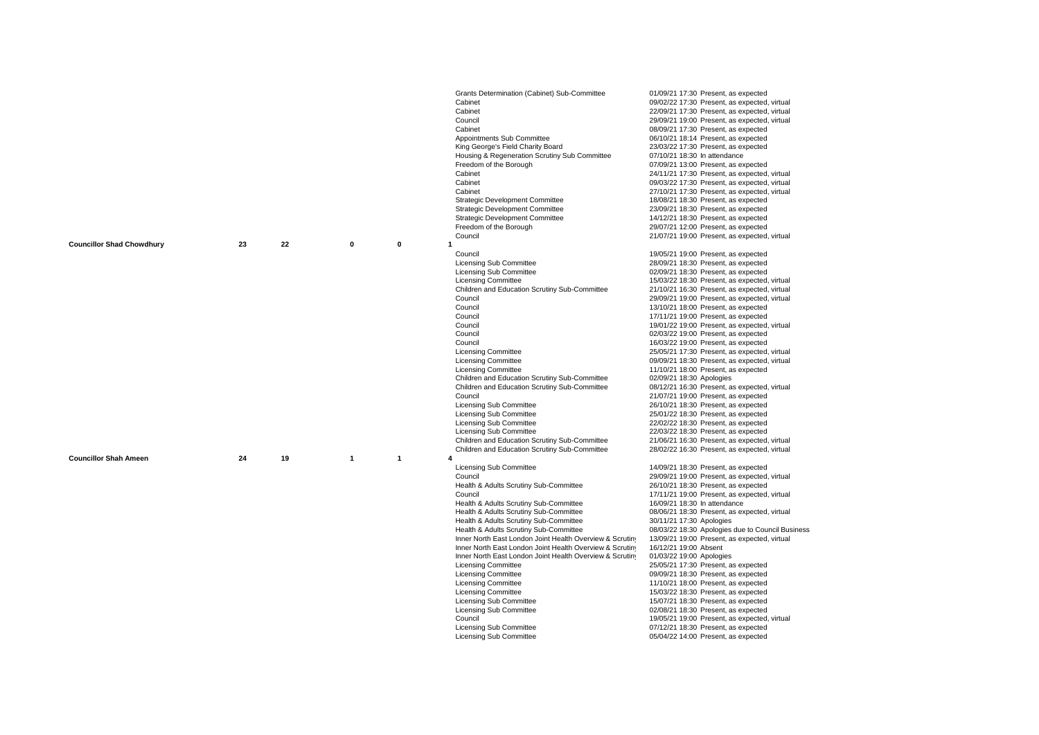|                                  |    |    |              |         | Grants Determination (Cabinet) Sub-Committee             | 01/09/21 17:30 Present, as expected                                                 |
|----------------------------------|----|----|--------------|---------|----------------------------------------------------------|-------------------------------------------------------------------------------------|
|                                  |    |    |              |         | Cabinet                                                  | 09/02/22 17:30 Present, as expected, virtual                                        |
|                                  |    |    |              |         | Cabinet                                                  | 22/09/21 17:30 Present, as expected, virtual                                        |
|                                  |    |    |              |         | Council                                                  | 29/09/21 19:00 Present, as expected, virtual                                        |
|                                  |    |    |              |         | Cabinet                                                  | 08/09/21 17:30 Present, as expected                                                 |
|                                  |    |    |              |         | Appointments Sub Committee                               | 06/10/21 18:14 Present, as expected                                                 |
|                                  |    |    |              |         | King George's Field Charity Board                        | 23/03/22 17:30 Present, as expected                                                 |
|                                  |    |    |              |         | Housing & Regeneration Scrutiny Sub Committee            | 07/10/21 18:30 In attendance                                                        |
|                                  |    |    |              |         | Freedom of the Borough                                   | 07/09/21 13:00 Present, as expected                                                 |
|                                  |    |    |              |         | Cabinet                                                  | 24/11/21 17:30 Present, as expected, virtual                                        |
|                                  |    |    |              |         | Cabinet                                                  | 09/03/22 17:30 Present, as expected, virtual                                        |
|                                  |    |    |              |         | Cabinet                                                  | 27/10/21 17:30 Present, as expected, virtual                                        |
|                                  |    |    |              |         | <b>Strategic Development Committee</b>                   | 18/08/21 18:30 Present, as expected                                                 |
|                                  |    |    |              |         | <b>Strategic Development Committee</b>                   | 23/09/21 18:30 Present, as expected                                                 |
|                                  |    |    |              |         | <b>Strategic Development Committee</b>                   | 14/12/21 18:30 Present, as expected                                                 |
|                                  |    |    |              |         | Freedom of the Borough                                   | 29/07/21 12:00 Present, as expected                                                 |
|                                  |    |    |              |         | Council                                                  | 21/07/21 19:00 Present, as expected, virtual                                        |
| <b>Councillor Shad Chowdhury</b> | 23 | 22 | $\pmb{0}$    | 0<br>-1 |                                                          |                                                                                     |
|                                  |    |    |              |         | Council                                                  | 19/05/21 19:00 Present, as expected                                                 |
|                                  |    |    |              |         | <b>Licensing Sub Committee</b>                           | 28/09/21 18:30 Present, as expected                                                 |
|                                  |    |    |              |         | <b>Licensing Sub Committee</b>                           | 02/09/21 18:30 Present, as expected                                                 |
|                                  |    |    |              |         | <b>Licensing Committee</b>                               | 15/03/22 18:30 Present, as expected, virtual                                        |
|                                  |    |    |              |         | Children and Education Scrutiny Sub-Committee            | 21/10/21 16:30 Present, as expected, virtual                                        |
|                                  |    |    |              |         | Council                                                  | 29/09/21 19:00 Present, as expected, virtual                                        |
|                                  |    |    |              |         | Council                                                  | 13/10/21 18:00 Present, as expected                                                 |
|                                  |    |    |              |         | Council                                                  | 17/11/21 19:00 Present, as expected                                                 |
|                                  |    |    |              |         | Council                                                  | 19/01/22 19:00 Present, as expected, virtual                                        |
|                                  |    |    |              |         | Council                                                  | 02/03/22 19:00 Present, as expected                                                 |
|                                  |    |    |              |         | Council<br><b>Licensing Committee</b>                    | 16/03/22 19:00 Present, as expected<br>25/05/21 17:30 Present, as expected, virtual |
|                                  |    |    |              |         | <b>Licensing Committee</b>                               | 09/09/21 18:30 Present, as expected, virtual                                        |
|                                  |    |    |              |         | <b>Licensing Committee</b>                               | 11/10/21 18:00 Present, as expected                                                 |
|                                  |    |    |              |         | Children and Education Scrutiny Sub-Committee            | 02/09/21 18:30 Apologies                                                            |
|                                  |    |    |              |         | Children and Education Scrutiny Sub-Committee            | 08/12/21 16:30 Present, as expected, virtual                                        |
|                                  |    |    |              |         | Council                                                  | 21/07/21 19:00 Present, as expected                                                 |
|                                  |    |    |              |         | Licensing Sub Committee                                  | 26/10/21 18:30 Present, as expected                                                 |
|                                  |    |    |              |         | Licensing Sub Committee                                  | 25/01/22 18:30 Present, as expected                                                 |
|                                  |    |    |              |         | Licensing Sub Committee                                  | 22/02/22 18:30 Present, as expected                                                 |
|                                  |    |    |              |         | Licensing Sub Committee                                  | 22/03/22 18:30 Present, as expected                                                 |
|                                  |    |    |              |         | Children and Education Scrutiny Sub-Committee            | 21/06/21 16:30 Present, as expected, virtual                                        |
|                                  |    |    |              |         | Children and Education Scrutiny Sub-Committee            | 28/02/22 16:30 Present, as expected, virtual                                        |
| <b>Councillor Shah Ameen</b>     | 24 | 19 | $\mathbf{1}$ | 1       |                                                          |                                                                                     |
|                                  |    |    |              |         | Licensing Sub Committee                                  | 14/09/21 18:30 Present, as expected                                                 |
|                                  |    |    |              |         | Council                                                  | 29/09/21 19:00 Present, as expected, virtual                                        |
|                                  |    |    |              |         | Health & Adults Scrutiny Sub-Committee                   | 26/10/21 18:30 Present, as expected                                                 |
|                                  |    |    |              |         | Council                                                  | 17/11/21 19:00 Present, as expected, virtual                                        |
|                                  |    |    |              |         | Health & Adults Scrutiny Sub-Committee                   | 16/09/21 18:30 In attendance                                                        |
|                                  |    |    |              |         | Health & Adults Scrutiny Sub-Committee                   | 08/06/21 18:30 Present, as expected, virtual                                        |
|                                  |    |    |              |         | Health & Adults Scrutiny Sub-Committee                   | 30/11/21 17:30 Apologies                                                            |
|                                  |    |    |              |         | Health & Adults Scrutiny Sub-Committee                   | 08/03/22 18:30 Apologies due to Council Business                                    |
|                                  |    |    |              |         | Inner North East London Joint Health Overview & Scrutiny | 13/09/21 19:00 Present, as expected, virtual                                        |
|                                  |    |    |              |         | Inner North East London Joint Health Overview & Scrutiny | 16/12/21 19:00 Absent                                                               |
|                                  |    |    |              |         | Inner North East London Joint Health Overview & Scrutiny | 01/03/22 19:00 Apologies                                                            |
|                                  |    |    |              |         | <b>Licensing Committee</b>                               | 25/05/21 17:30 Present, as expected                                                 |
|                                  |    |    |              |         | <b>Licensing Committee</b>                               | 09/09/21 18:30 Present, as expected                                                 |
|                                  |    |    |              |         | <b>Licensing Committee</b><br><b>Licensing Committee</b> | 11/10/21 18:00 Present, as expected<br>15/03/22 18:30 Present, as expected          |
|                                  |    |    |              |         | Licensing Sub Committee                                  | 15/07/21 18:30 Present, as expected                                                 |
|                                  |    |    |              |         | Licensing Sub Committee                                  | 02/08/21 18:30 Present, as expected                                                 |
|                                  |    |    |              |         | Council                                                  | 19/05/21 19:00 Present, as expected, virtual                                        |
|                                  |    |    |              |         | Licensing Sub Committee                                  | 07/12/21 18:30 Present, as expected                                                 |
|                                  |    |    |              |         | Licensing Sub Committee                                  | 05/04/22 14:00 Present, as expected                                                 |
|                                  |    |    |              |         |                                                          |                                                                                     |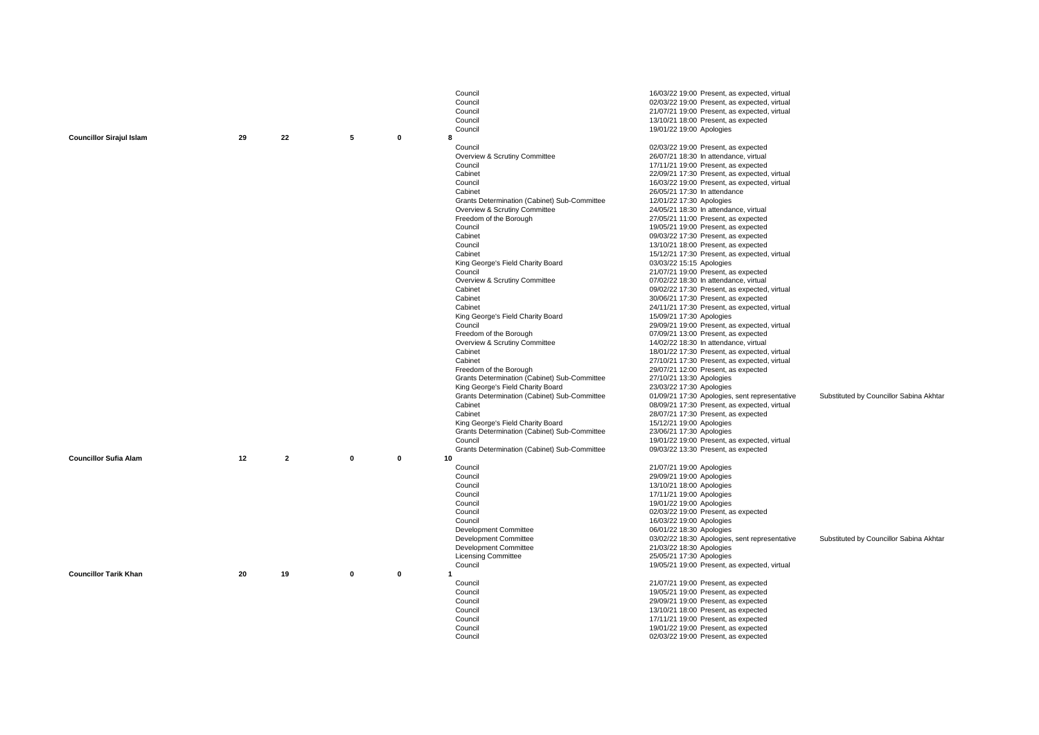|                                 |    |                |              |              | Council                                      | 16/03/22 19:00 Present, as expected, virtual  |                                         |
|---------------------------------|----|----------------|--------------|--------------|----------------------------------------------|-----------------------------------------------|-----------------------------------------|
|                                 |    |                |              |              | Council                                      | 02/03/22 19:00 Present, as expected, virtual  |                                         |
|                                 |    |                |              |              | Council                                      | 21/07/21 19:00 Present, as expected, virtual  |                                         |
|                                 |    |                |              |              | Council                                      |                                               |                                         |
|                                 |    |                |              |              | Council                                      | 13/10/21 18:00 Present, as expected           |                                         |
| <b>Councillor Sirajul Islam</b> | 29 | 22             | 5            | 0            | 8                                            | 19/01/22 19:00 Apologies                      |                                         |
|                                 |    |                |              |              |                                              |                                               |                                         |
|                                 |    |                |              |              | Council                                      | 02/03/22 19:00 Present, as expected           |                                         |
|                                 |    |                |              |              | Overview & Scrutiny Committee                | 26/07/21 18:30 In attendance, virtual         |                                         |
|                                 |    |                |              |              | Council                                      | 17/11/21 19:00 Present, as expected           |                                         |
|                                 |    |                |              |              | Cabinet                                      | 22/09/21 17:30 Present, as expected, virtual  |                                         |
|                                 |    |                |              |              | Council                                      | 16/03/22 19:00 Present, as expected, virtual  |                                         |
|                                 |    |                |              |              | Cabinet                                      | 26/05/21 17:30 In attendance                  |                                         |
|                                 |    |                |              |              | Grants Determination (Cabinet) Sub-Committee | 12/01/22 17:30 Apologies                      |                                         |
|                                 |    |                |              |              | Overview & Scrutiny Committee                | 24/05/21 18:30 In attendance, virtual         |                                         |
|                                 |    |                |              |              | Freedom of the Borough                       | 27/05/21 11:00 Present, as expected           |                                         |
|                                 |    |                |              |              | Council                                      | 19/05/21 19:00 Present, as expected           |                                         |
|                                 |    |                |              |              | Cabinet                                      | 09/03/22 17:30 Present, as expected           |                                         |
|                                 |    |                |              |              | Council                                      | 13/10/21 18:00 Present, as expected           |                                         |
|                                 |    |                |              |              | Cabinet                                      | 15/12/21 17:30 Present, as expected, virtual  |                                         |
|                                 |    |                |              |              | King George's Field Charity Board            | 03/03/22 15:15 Apologies                      |                                         |
|                                 |    |                |              |              | Council                                      | 21/07/21 19:00 Present, as expected           |                                         |
|                                 |    |                |              |              | Overview & Scrutiny Committee                | 07/02/22 18:30 In attendance, virtual         |                                         |
|                                 |    |                |              |              | Cabinet                                      | 09/02/22 17:30 Present, as expected, virtual  |                                         |
|                                 |    |                |              |              | Cabinet                                      | 30/06/21 17:30 Present, as expected           |                                         |
|                                 |    |                |              |              | Cabinet                                      | 24/11/21 17:30 Present, as expected, virtual  |                                         |
|                                 |    |                |              |              | King George's Field Charity Board            | 15/09/21 17:30 Apologies                      |                                         |
|                                 |    |                |              |              | Council                                      | 29/09/21 19:00 Present, as expected, virtual  |                                         |
|                                 |    |                |              |              | Freedom of the Borough                       | 07/09/21 13:00 Present, as expected           |                                         |
|                                 |    |                |              |              | Overview & Scrutiny Committee                | 14/02/22 18:30 In attendance, virtual         |                                         |
|                                 |    |                |              |              | Cabinet                                      | 18/01/22 17:30 Present, as expected, virtual  |                                         |
|                                 |    |                |              |              | Cabinet                                      | 27/10/21 17:30 Present, as expected, virtual  |                                         |
|                                 |    |                |              |              | Freedom of the Borough                       | 29/07/21 12:00 Present, as expected           |                                         |
|                                 |    |                |              |              | Grants Determination (Cabinet) Sub-Committee | 27/10/21 13:30 Apologies                      |                                         |
|                                 |    |                |              |              | King George's Field Charity Board            | 23/03/22 17:30 Apologies                      |                                         |
|                                 |    |                |              |              | Grants Determination (Cabinet) Sub-Committee | 01/09/21 17:30 Apologies, sent representative | Substituted by Councillor Sabina Akhtar |
|                                 |    |                |              |              | Cabinet                                      | 08/09/21 17:30 Present, as expected, virtual  |                                         |
|                                 |    |                |              |              | Cabinet                                      | 28/07/21 17:30 Present, as expected           |                                         |
|                                 |    |                |              |              | King George's Field Charity Board            | 15/12/21 19:00 Apologies                      |                                         |
|                                 |    |                |              |              | Grants Determination (Cabinet) Sub-Committee | 23/06/21 17:30 Apologies                      |                                         |
|                                 |    |                |              |              | Council                                      | 19/01/22 19:00 Present, as expected, virtual  |                                         |
|                                 |    |                |              |              | Grants Determination (Cabinet) Sub-Committee | 09/03/22 13:30 Present, as expected           |                                         |
| <b>Councillor Sufia Alam</b>    | 12 | $\overline{2}$ | $\mathbf 0$  | 0            | 10                                           |                                               |                                         |
|                                 |    |                |              |              | Council                                      | 21/07/21 19:00 Apologies                      |                                         |
|                                 |    |                |              |              | Council                                      | 29/09/21 19:00 Apologies                      |                                         |
|                                 |    |                |              |              | Council                                      | 13/10/21 18:00 Apologies                      |                                         |
|                                 |    |                |              |              | Council                                      | 17/11/21 19:00 Apologies                      |                                         |
|                                 |    |                |              |              | Council                                      | 19/01/22 19:00 Apologies                      |                                         |
|                                 |    |                |              |              | Council                                      | 02/03/22 19:00 Present, as expected           |                                         |
|                                 |    |                |              |              | Council                                      | 16/03/22 19:00 Apologies                      |                                         |
|                                 |    |                |              |              | Development Committee                        | 06/01/22 18:30 Apologies                      |                                         |
|                                 |    |                |              |              | Development Committee                        | 03/02/22 18:30 Apologies, sent representative | Substituted by Councillor Sabina Akhtar |
|                                 |    |                |              |              | <b>Development Committee</b>                 | 21/03/22 18:30 Apologies                      |                                         |
|                                 |    |                |              |              | <b>Licensing Committee</b>                   | 25/05/21 17:30 Apologies                      |                                         |
|                                 |    |                |              |              | Council                                      | 19/05/21 19:00 Present, as expected, virtual  |                                         |
| <b>Councillor Tarik Khan</b>    | 20 | 19             | $\mathbf{0}$ | $\mathbf{0}$ | 1                                            |                                               |                                         |
|                                 |    |                |              |              | Council                                      | 21/07/21 19:00 Present, as expected           |                                         |
|                                 |    |                |              |              | Council                                      | 19/05/21 19:00 Present, as expected           |                                         |
|                                 |    |                |              |              | Council                                      | 29/09/21 19:00 Present, as expected           |                                         |
|                                 |    |                |              |              | Council                                      | 13/10/21 18:00 Present, as expected           |                                         |
|                                 |    |                |              |              | Council                                      | 17/11/21 19:00 Present, as expected           |                                         |
|                                 |    |                |              |              | Council                                      | 19/01/22 19:00 Present, as expected           |                                         |
|                                 |    |                |              |              | Council                                      | 02/03/22 19:00 Present, as expected           |                                         |
|                                 |    |                |              |              |                                              |                                               |                                         |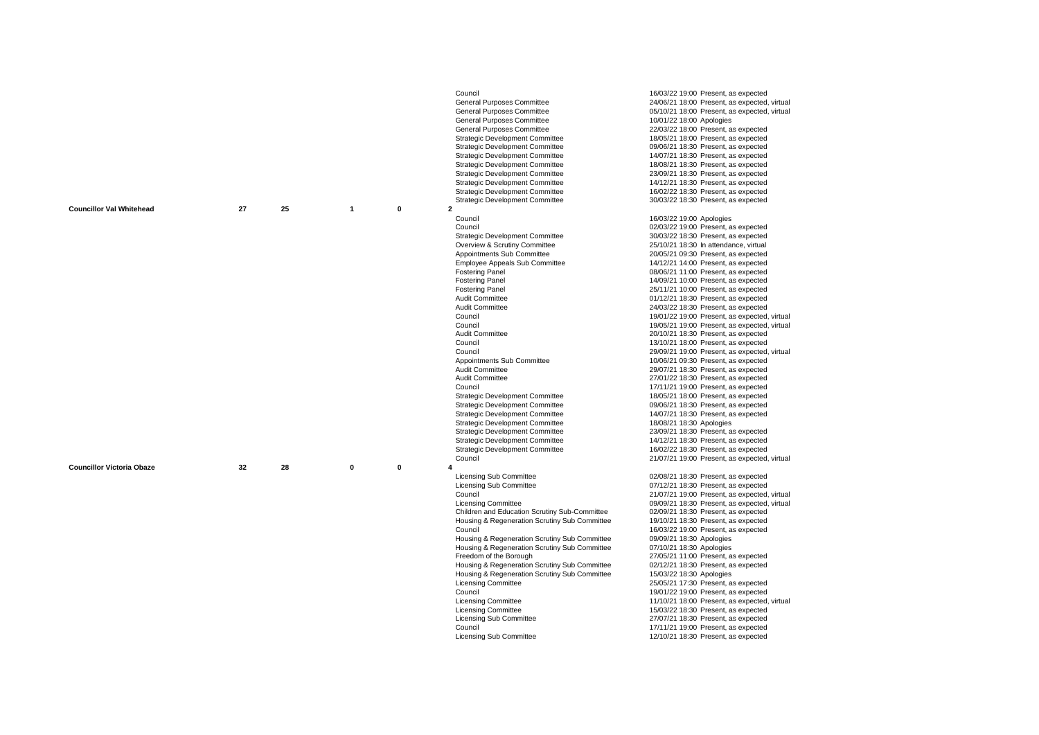|                                  |    |    |                         |             | Council                                       | 16/03/22 19:00 Present, as expected          |
|----------------------------------|----|----|-------------------------|-------------|-----------------------------------------------|----------------------------------------------|
|                                  |    |    |                         |             | General Purposes Committee                    | 24/06/21 18:00 Present, as expected, virtual |
|                                  |    |    |                         |             | General Purposes Committee                    | 05/10/21 18:00 Present, as expected, virtual |
|                                  |    |    |                         |             | General Purposes Committee                    | 10/01/22 18:00 Apologies                     |
|                                  |    |    |                         |             | General Purposes Committee                    | 22/03/22 18:00 Present, as expected          |
|                                  |    |    |                         |             | <b>Strategic Development Committee</b>        | 18/05/21 18:00 Present, as expected          |
|                                  |    |    |                         |             | <b>Strategic Development Committee</b>        | 09/06/21 18:30 Present, as expected          |
|                                  |    |    |                         |             | <b>Strategic Development Committee</b>        | 14/07/21 18:30 Present, as expected          |
|                                  |    |    |                         |             | <b>Strategic Development Committee</b>        | 18/08/21 18:30 Present, as expected          |
|                                  |    |    |                         |             | <b>Strategic Development Committee</b>        | 23/09/21 18:30 Present, as expected          |
|                                  |    |    |                         |             | <b>Strategic Development Committee</b>        | 14/12/21 18:30 Present, as expected          |
|                                  |    |    |                         |             | <b>Strategic Development Committee</b>        | 16/02/22 18:30 Present, as expected          |
|                                  |    |    |                         |             | <b>Strategic Development Committee</b>        | 30/03/22 18:30 Present, as expected          |
| <b>Councillor Val Whitehead</b>  | 27 | 25 | $\overline{\mathbf{1}}$ | $\mathbf 0$ | $\overline{2}$                                |                                              |
|                                  |    |    |                         |             | Council                                       | 16/03/22 19:00 Apologies                     |
|                                  |    |    |                         |             | Council                                       | 02/03/22 19:00 Present, as expected          |
|                                  |    |    |                         |             | <b>Strategic Development Committee</b>        | 30/03/22 18:30 Present, as expected          |
|                                  |    |    |                         |             | Overview & Scrutiny Committee                 | 25/10/21 18:30 In attendance, virtual        |
|                                  |    |    |                         |             | Appointments Sub Committee                    | 20/05/21 09:30 Present, as expected          |
|                                  |    |    |                         |             | <b>Employee Appeals Sub Committee</b>         | 14/12/21 14:00 Present, as expected          |
|                                  |    |    |                         |             | <b>Fostering Panel</b>                        | 08/06/21 11:00 Present, as expected          |
|                                  |    |    |                         |             | <b>Fostering Panel</b>                        | 14/09/21 10:00 Present, as expected          |
|                                  |    |    |                         |             | <b>Fostering Panel</b>                        | 25/11/21 10:00 Present, as expected          |
|                                  |    |    |                         |             | Audit Committee                               | 01/12/21 18:30 Present, as expected          |
|                                  |    |    |                         |             | Audit Committee                               | 24/03/22 18:30 Present, as expected          |
|                                  |    |    |                         |             | Council                                       | 19/01/22 19:00 Present, as expected, virtual |
|                                  |    |    |                         |             | Council                                       | 19/05/21 19:00 Present, as expected, virtual |
|                                  |    |    |                         |             | Audit Committee                               | 20/10/21 18:30 Present, as expected          |
|                                  |    |    |                         |             | Council                                       | 13/10/21 18:00 Present, as expected          |
|                                  |    |    |                         |             | Council                                       | 29/09/21 19:00 Present, as expected, virtual |
|                                  |    |    |                         |             | Appointments Sub Committee                    | 10/06/21 09:30 Present, as expected          |
|                                  |    |    |                         |             | Audit Committee                               | 29/07/21 18:30 Present, as expected          |
|                                  |    |    |                         |             | Audit Committee                               | 27/01/22 18:30 Present, as expected          |
|                                  |    |    |                         |             | Council                                       | 17/11/21 19:00 Present, as expected          |
|                                  |    |    |                         |             | <b>Strategic Development Committee</b>        | 18/05/21 18:00 Present, as expected          |
|                                  |    |    |                         |             | <b>Strategic Development Committee</b>        | 09/06/21 18:30 Present, as expected          |
|                                  |    |    |                         |             |                                               |                                              |
|                                  |    |    |                         |             | <b>Strategic Development Committee</b>        | 14/07/21 18:30 Present, as expected          |
|                                  |    |    |                         |             | <b>Strategic Development Committee</b>        | 18/08/21 18:30 Apologies                     |
|                                  |    |    |                         |             | <b>Strategic Development Committee</b>        | 23/09/21 18:30 Present, as expected          |
|                                  |    |    |                         |             | <b>Strategic Development Committee</b>        | 14/12/21 18:30 Present, as expected          |
|                                  |    |    |                         |             | <b>Strategic Development Committee</b>        | 16/02/22 18:30 Present, as expected          |
|                                  |    |    |                         |             | Council                                       | 21/07/21 19:00 Present, as expected, virtual |
| <b>Councillor Victoria Obaze</b> | 32 | 28 | $\mathbf{0}$            | 0           | 4                                             |                                              |
|                                  |    |    |                         |             | Licensing Sub Committee                       | 02/08/21 18:30 Present, as expected          |
|                                  |    |    |                         |             | <b>Licensing Sub Committee</b>                | 07/12/21 18:30 Present, as expected          |
|                                  |    |    |                         |             | Council                                       | 21/07/21 19:00 Present, as expected, virtual |
|                                  |    |    |                         |             | <b>Licensing Committee</b>                    | 09/09/21 18:30 Present, as expected, virtual |
|                                  |    |    |                         |             | Children and Education Scrutiny Sub-Committee | 02/09/21 18:30 Present, as expected          |
|                                  |    |    |                         |             | Housing & Regeneration Scrutiny Sub Committee | 19/10/21 18:30 Present, as expected          |
|                                  |    |    |                         |             | Council                                       | 16/03/22 19:00 Present, as expected          |
|                                  |    |    |                         |             | Housing & Regeneration Scrutiny Sub Committee | 09/09/21 18:30 Apologies                     |
|                                  |    |    |                         |             | Housing & Regeneration Scrutiny Sub Committee | 07/10/21 18:30 Apologies                     |
|                                  |    |    |                         |             | Freedom of the Borough                        | 27/05/21 11:00 Present, as expected          |
|                                  |    |    |                         |             | Housing & Regeneration Scrutiny Sub Committee | 02/12/21 18:30 Present, as expected          |
|                                  |    |    |                         |             | Housing & Regeneration Scrutiny Sub Committee | 15/03/22 18:30 Apologies                     |
|                                  |    |    |                         |             | <b>Licensing Committee</b>                    | 25/05/21 17:30 Present, as expected          |
|                                  |    |    |                         |             | Council                                       | 19/01/22 19:00 Present, as expected          |
|                                  |    |    |                         |             | <b>Licensing Committee</b>                    | 11/10/21 18:00 Present, as expected, virtual |
|                                  |    |    |                         |             | <b>Licensing Committee</b>                    | 15/03/22 18:30 Present, as expected          |
|                                  |    |    |                         |             | Licensing Sub Committee                       | 27/07/21 18:30 Present, as expected          |
|                                  |    |    |                         |             | Council                                       | 17/11/21 19:00 Present, as expected          |
|                                  |    |    |                         |             | <b>Licensing Sub Committee</b>                | 12/10/21 18:30 Present, as expected          |
|                                  |    |    |                         |             |                                               |                                              |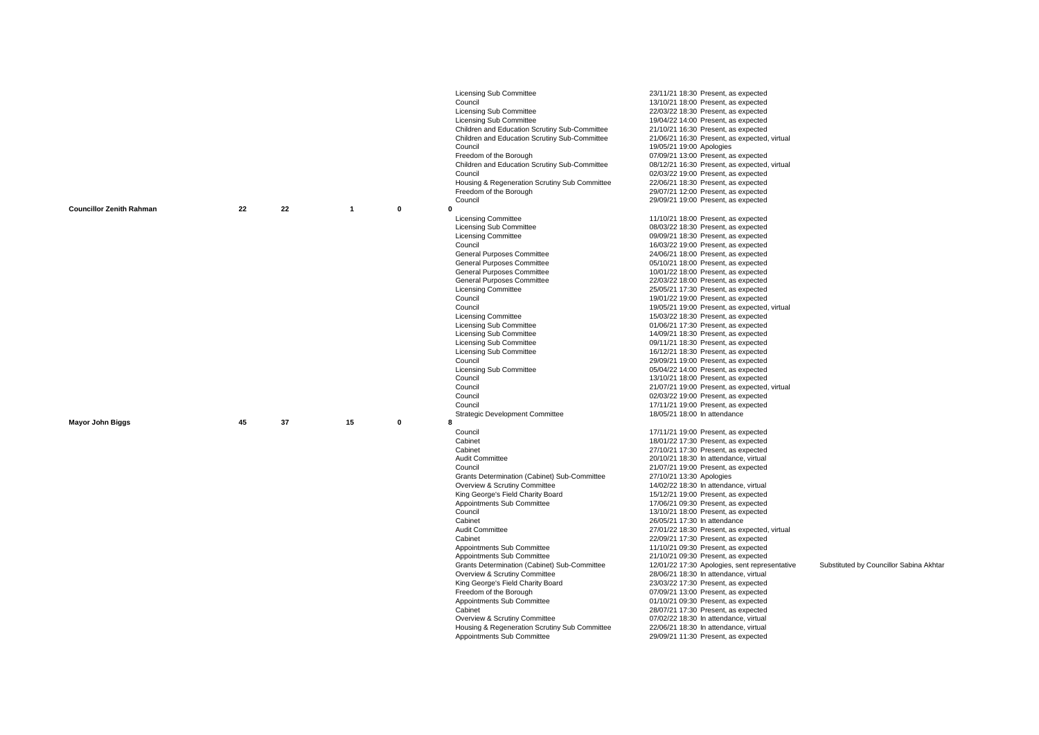|                                 |    |    |                |   | <b>Licensing Sub Committee</b><br>Council<br><b>Licensing Sub Committee</b><br><b>Licensing Sub Committee</b><br>Children and Education Scrutiny Sub-Committee<br>Children and Education Scrutiny Sub-Committee<br>Council<br>Freedom of the Borough<br>Children and Education Scrutiny Sub-Committee<br>Council<br>Housing & Regeneration Scrutiny Sub Committee<br>Freedom of the Borough                                                                                                                                                                                                                                                   | 23/11/21 18:30 Present, as expected<br>13/10/21 18:00 Present, as expected<br>22/03/22 18:30 Present, as expected<br>19/04/22 14:00 Present, as expected<br>21/10/21 16:30 Present, as expected<br>21/06/21 16:30 Present, as expected, virtual<br>19/05/21 19:00 Apologies<br>07/09/21 13:00 Present, as expected<br>08/12/21 16:30 Present, as expected, virtual<br>02/03/22 19:00 Present, as expected<br>22/06/21 18:30 Present, as expected<br>29/07/21 12:00 Present, as expected                                                                                                                                                                                                                                                                                                                                                                                                                                                                                         |                                         |
|---------------------------------|----|----|----------------|---|-----------------------------------------------------------------------------------------------------------------------------------------------------------------------------------------------------------------------------------------------------------------------------------------------------------------------------------------------------------------------------------------------------------------------------------------------------------------------------------------------------------------------------------------------------------------------------------------------------------------------------------------------|---------------------------------------------------------------------------------------------------------------------------------------------------------------------------------------------------------------------------------------------------------------------------------------------------------------------------------------------------------------------------------------------------------------------------------------------------------------------------------------------------------------------------------------------------------------------------------------------------------------------------------------------------------------------------------------------------------------------------------------------------------------------------------------------------------------------------------------------------------------------------------------------------------------------------------------------------------------------------------|-----------------------------------------|
| <b>Councillor Zenith Rahman</b> | 22 | 22 | $\overline{1}$ | 0 | Council<br>$\mathbf{0}$                                                                                                                                                                                                                                                                                                                                                                                                                                                                                                                                                                                                                       | 29/09/21 19:00 Present, as expected                                                                                                                                                                                                                                                                                                                                                                                                                                                                                                                                                                                                                                                                                                                                                                                                                                                                                                                                             |                                         |
|                                 |    |    |                |   | <b>Licensing Committee</b><br><b>Licensing Sub Committee</b><br><b>Licensing Committee</b><br>Council<br>General Purposes Committee<br>General Purposes Committee<br><b>General Purposes Committee</b><br>General Purposes Committee<br><b>Licensing Committee</b><br>Council<br>Council<br><b>Licensing Committee</b><br>Licensing Sub Committee<br><b>Licensing Sub Committee</b><br><b>Licensing Sub Committee</b><br><b>Licensing Sub Committee</b><br>Council<br>Licensing Sub Committee<br>Council<br>Council<br>Council<br>Council                                                                                                     | 11/10/21 18:00 Present, as expected<br>08/03/22 18:30 Present, as expected<br>09/09/21 18:30 Present, as expected<br>16/03/22 19:00 Present, as expected<br>24/06/21 18:00 Present, as expected<br>05/10/21 18:00 Present, as expected<br>10/01/22 18:00 Present, as expected<br>22/03/22 18:00 Present, as expected<br>25/05/21 17:30 Present, as expected<br>19/01/22 19:00 Present, as expected<br>19/05/21 19:00 Present, as expected, virtual<br>15/03/22 18:30 Present, as expected<br>01/06/21 17:30 Present, as expected<br>14/09/21 18:30 Present, as expected<br>09/11/21 18:30 Present, as expected<br>16/12/21 18:30 Present, as expected<br>29/09/21 19:00 Present, as expected<br>05/04/22 14:00 Present, as expected<br>13/10/21 18:00 Present, as expected<br>21/07/21 19:00 Present, as expected, virtual<br>02/03/22 19:00 Present, as expected<br>17/11/21 19:00 Present, as expected                                                                        |                                         |
|                                 |    |    |                |   | <b>Strategic Development Committee</b>                                                                                                                                                                                                                                                                                                                                                                                                                                                                                                                                                                                                        | 18/05/21 18:00 In attendance                                                                                                                                                                                                                                                                                                                                                                                                                                                                                                                                                                                                                                                                                                                                                                                                                                                                                                                                                    |                                         |
| <b>Mayor John Biggs</b>         | 45 | 37 | 15             | 0 | R<br>Council<br>Cabinet<br>Cabinet<br>Audit Committee<br>Council<br>Grants Determination (Cabinet) Sub-Committee<br>Overview & Scrutiny Committee<br>King George's Field Charity Board<br>Appointments Sub Committee<br>Council<br>Cabinet<br>Audit Committee<br>Cabinet<br>Appointments Sub Committee<br>Appointments Sub Committee<br>Grants Determination (Cabinet) Sub-Committee<br>Overview & Scrutiny Committee<br>King George's Field Charity Board<br>Freedom of the Borough<br>Appointments Sub Committee<br>Cabinet<br>Overview & Scrutiny Committee<br>Housing & Regeneration Scrutiny Sub Committee<br>Appointments Sub Committee | 17/11/21 19:00 Present, as expected<br>18/01/22 17:30 Present, as expected<br>27/10/21 17:30 Present, as expected<br>20/10/21 18:30 In attendance, virtual<br>21/07/21 19:00 Present, as expected<br>27/10/21 13:30 Apologies<br>14/02/22 18:30 In attendance, virtual<br>15/12/21 19:00 Present, as expected<br>17/06/21 09:30 Present, as expected<br>13/10/21 18:00 Present, as expected<br>26/05/21 17:30 In attendance<br>27/01/22 18:30 Present, as expected, virtual<br>22/09/21 17:30 Present, as expected<br>11/10/21 09:30 Present, as expected<br>21/10/21 09:30 Present, as expected<br>12/01/22 17:30 Apologies, sent representative<br>28/06/21 18:30 In attendance, virtual<br>23/03/22 17:30 Present, as expected<br>07/09/21 13:00 Present, as expected<br>01/10/21 09:30 Present, as expected<br>28/07/21 17:30 Present, as expected<br>07/02/22 18:30 In attendance, virtual<br>22/06/21 18:30 In attendance, virtual<br>29/09/21 11:30 Present, as expected | Substituted by Councillor Sabina Akhtar |